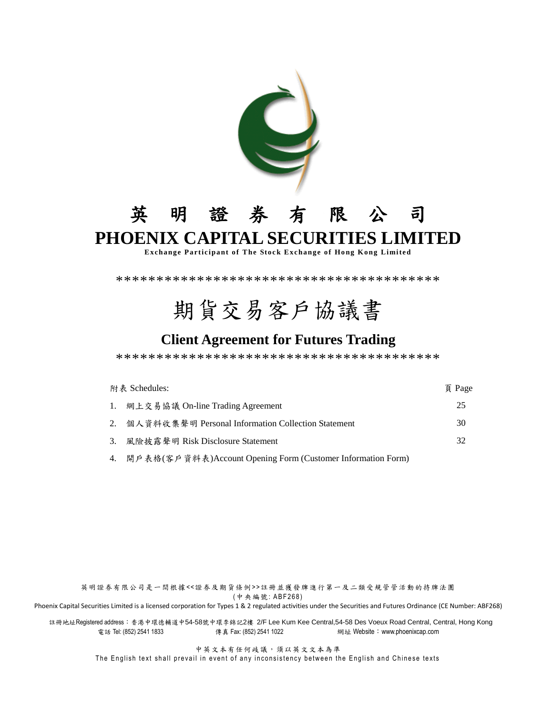

## 英明證券有限公司 **PHOENIX CAPITAL SECURITIES LIMITED**

**Exchange Participant of The Stock Exchange of Hong Kong Limited** 

\*\*\*\*\*\*\*\*\*\*\*\*\*\*\*\*\*\*\*\*\*\*\*\*\*\*\*\*\*\*\*\*\*\*\*\*\*\*\*\*

# 期貨交易客戶協議書

## **Client Agreement for Futures Trading**

\*\*\*\*\*\*\*\*\*\*\*\*\*\*\*\*\*\*\*\*\*\*\*\*\*\*\*\*\*\*\*\*\*\*\*\*\*\*\*\*

| 附表 Schedules: |                                                                | 頁 Page |
|---------------|----------------------------------------------------------------|--------|
|               | 1. 網上交易協議 On-line Trading Agreement                            | 25     |
|               | 2. 個人資料收集聲明 Personal Information Collection Statement          | 30     |
|               | 3. 風險披露聲明 Risk Disclosure Statement                            | 32     |
|               | 4. 開戶表格(客戶資料表)Account Opening Form (Customer Information Form) |        |

英明證券有限公司是一間根據<<證券及期貨條例> >註冊並獲發牌進行第一及二類受規管管活動的持牌法團 (中央編號: ABF268)

Phoenix Capital Securities Limited is a licensed corporation for Types 1 & 2 regulated activities under the Securities and Futures Ordinance (CE Number: ABF268)

註冊地址Registered address:香港中環德輔道中54-58號中環李錦記2樓 2/F Lee Kum Kee Central,54-58 Des Voeux Road Central, Central, Hong Kong 電話 Tel: (852) 2541 1833 傳真 Fax: (852) 2541 1022 網址 Website:www.phoenixcap.com

中英文本有任何歧議,須以英文文本為準

The English text shall prevail in event of any inconsistency between the English and Chinese texts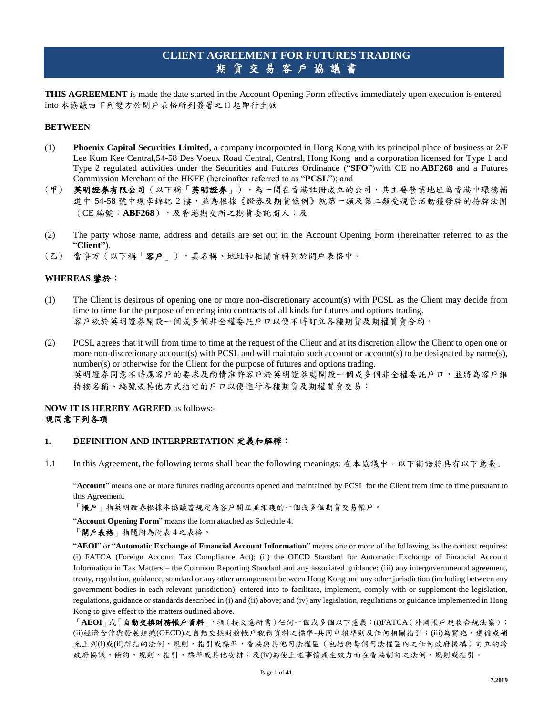## **CLIENT AGREEMENT FOR FUTURES TRADING** 期貨交易客戶協議書

**THIS AGREEMENT** is made the date started in the Account Opening Form effective immediately upon execution is entered into 本協議由下列雙方於開戶表格所列簽署之日起即行生效

#### **BETWEEN**

- (1) **Phoenix Capital Securities Limited**, a company incorporated in Hong Kong with its principal place of business at 2/F Lee Kum Kee Central,54-58 Des Voeux Road Central, Central, Hong Kong and a corporation licensed for Type 1 and Type 2 regulated activities under the Securities and Futures Ordinance ("**SFO**")with CE no.**ABF268** and a Futures Commission Merchant of the HKFE (hereinafter referred to as "**PCSL**"); and
- (甲) 英明證券有限公司(以下稱「英明證券」),為一間在香港註冊成立的公司,其主要營業地址為香港中環德輔 道中 54-58 號中環李錦記 2 樓,並為根據《證券及期貨條例》就第一類及第二類受規管活動獲發牌的持牌法團 (CE 編號:**ABF268**),及香港期交所之期貨委託商人;及
- (2) The party whose name, address and details are set out in the Account Opening Form (hereinafter referred to as the "**Client"**).
- (乙) 當事方(以下稱「客戶」),其名稱、地址和相關資料列於開戶表格中。

## **WHEREAS** 鑒於:

- (1) The Client is desirous of opening one or more non-discretionary account(s) with PCSL as the Client may decide from time to time for the purpose of entering into contracts of all kinds for futures and options trading. 客戶欲於英明證券開設一個或多個非全權委託戶口以便不時訂立各種期貨及期權買賣合約。
- (2) PCSL agrees that it will from time to time at the request of the Client and at its discretion allow the Client to open one or more non-discretionary account(s) with PCSL and will maintain such account or account(s) to be designated by name(s), number(s) or otherwise for the Client for the purpose of futures and options trading. 英明證券同意不時應客戶的要求及酌情准許客戶於英明證券處開設一個或多個非全權委託戶口,並將為客戶維 持按名稱、編號或其他方式指定的戶口以便進行各種期貨及期權買賣交易:

## **NOW IT IS HEREBY AGREED** as follows:- 現同意下列各項

#### **1. DEFINITION AND INTERPRETATION** 定義和解釋:

1.1 In this Agreement, the following terms shall bear the following meanings: 在本協議中,以下術語將具有以下意義:

"**Account**" means one or more futures trading accounts opened and maintained by PCSL for the Client from time to time pursuant to this Agreement.

「帳戶」指英明證券根據本協議書規定為客戶開立並維護的一個或多個期貨交易帳戶。

"**Account Opening Form**" means the form attached as Schedule 4.

「開戶表格」指隨附為附表 4 之表格。

"**AEOI**" or "**Automatic Exchange of Financial Account Information**" means one or more of the following, as the context requires: (i) FATCA (Foreign Account Tax Compliance Act); (ii) the OECD Standard for Automatic Exchange of Financial Account Information in Tax Matters – the Common Reporting Standard and any associated guidance; (iii) any intergovernmental agreement, treaty, regulation, guidance, standard or any other arrangement between Hong Kong and any other jurisdiction (including between any government bodies in each relevant jurisdiction), entered into to facilitate, implement, comply with or supplement the legislation, regulations, guidance or standards described in (i) and (ii) above; and (iv) any legislation, regulations or guidance implemented in Hong Kong to give effect to the matters outlined above.

「**AEOI**」或「自動交換財務帳戶資料」,指(按文意所需)任何一個或多個以下意義:(i)FATCA(外國帳戶稅收合規法案); (ii)經濟合作與發展組織(OECD)之自動交換財務帳戶稅務資料之標準-共同申報準則及任何相關指引;(iii)為實施、遵循或補 充上列(i)或(ii)所指的法例、規則、指引或標準,香港與其他司法權區(包括與每個司法權區內之任何政府機構)訂立的跨 政府協議、條約、規則、指引、標準或其他安排;及(iv)為使上述事情產生效力而在香港制訂之法例、規則或指引。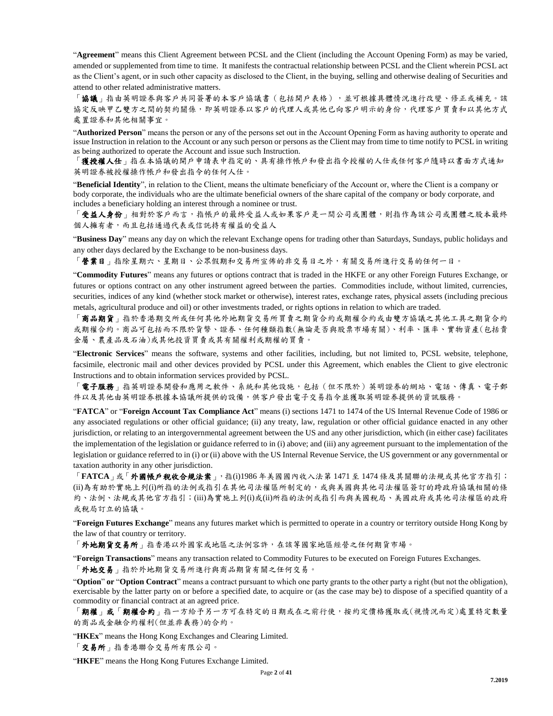"**Agreement**" means this Client Agreement between PCSL and the Client (including the Account Opening Form) as may be varied, amended or supplemented from time to time. It manifests the contractual relationship between PCSL and the Client wherein PCSL act as the Client's agent, or in such other capacity as disclosed to the Client, in the buying, selling and otherwise dealing of Securities and attend to other related administrative matters.

「協議」指由英明證券與客戶共同簽署的本客戶協議書(包括開戶表格),並可根據具體情況進行改變、修正或補充。該 協定反映甲乙雙方之間的契約關係,即英明證券以客戶的代理人或其他已向客戶明示的身份,代理客戶買賣和以其他方式 處置證券和其他相關事宜。

"**Authorized Person**" means the person or any of the persons set out in the Account Opening Form as having authority to operate and issue Instruction in relation to the Account or any such person or persons as the Client may from time to time notify to PCSL in writing as being authorized to operate the Account and issue such Instruction.

獲授權人仕」指在本協議的開戶申請表中指定的、具有操作帳戶和發出指令授權的人仕或任何客戶隨時以書面方式通知 英明證券被授權操作帳戶和發出指令的任何人仕。

"**Beneficial Identity**", in relation to the Client, means the ultimate beneficiary of the Account or, where the Client is a company or body corporate, the individuals who are the ultimate beneficial owners of the share capital of the company or body corporate, and includes a beneficiary holding an interest through a nominee or trust.

受益人身份」相對於客戶而言,指帳戶的最終受益人或如果客戶是一間公司或團體,則指作為該公司或團體之股本最終 個人擁有者,而且包括通過代表或信託持有權益的受益人

"**Business Day**" means any day on which the relevant Exchange opens for trading other than Saturdays, Sundays, public holidays and any other days declared by the Exchange to be non-business days.

「營業日」指除星期六、星期日、公眾假期和交易所宣佈的非交易日之外,有關交易所進行交易的任何一日。

"**Commodity Futures**" means any futures or options contract that is traded in the HKFE or any other Foreign Futures Exchange, or futures or options contract on any other instrument agreed between the parties. Commodities include, without limited, currencies, securities, indices of any kind (whether stock market or otherwise), interest rates, exchange rates, physical assets (including precious metals, agricultural produce and oil) or other investments traded, or rights options in relation to which are traded.

「商品期貨」指於香港期交所或任何其他外地期貨交易所買賣之期貨合約或期權合約或由雙方協議之其他工具之期貨合約 或期權合約。商品可包括而不限於貨幣、證券、任何種類指數(無論是否與股票市場有關)、利率、匯率、實物資產(包括貴 金屬、農產品及石油)或其他投資買賣或其有關權利或期權的買賣。

"**Electronic Services**" means the software, systems and other facilities, including, but not limited to, PCSL website, telephone, facsimile, electronic mail and other devices provided by PCSL under this Agreement, which enables the Client to give electronic Instructions and to obtain information services provided by PCSL.

「電子服務」指英明證券開發和應用之軟件、系統和其他設施,包括(但不限於)英明證券的網站、電話、傳真、電子郵 件以及其他由英明證券根據本協議所提供的設備,供客戶發出電子交易指令並獲取英明證券提供的資訊服務。

"**FATCA**" or "**Foreign Account Tax Compliance Act**" means (i) sections 1471 to 1474 of the US Internal Revenue Code of 1986 or any associated regulations or other official guidance; (ii) any treaty, law, regulation or other official guidance enacted in any other jurisdiction, or relating to an intergovernmental agreement between the US and any other jurisdiction, which (in either case) facilitates the implementation of the legislation or guidance referred to in (i) above; and (iii) any agreement pursuant to the implementation of the legislation or guidance referred to in (i) or (ii) above with the US Internal Revenue Service, the US government or any governmental or taxation authority in any other jurisdiction.

「**FATCA**」或「外國帳戶稅收合規法案」,指(i)1986 年美國國內收入法第 1471 至 1474 條及其關聯的法規或其他官方指引; (ii)為有助於實施上列(i)所指的法例或指引在其他司法權區所制定的,或與美國與其他司法權區簽訂的跨政府協議相關的條 約、法例、法規或其他官方指引;(iii)為實施上列(i)或(ii)所指的法例或指引而與美國稅局、美國政府或其他司法權區的政府 或稅局訂立的協議。

"**Foreign Futures Exchange**" means any futures market which is permitted to operate in a country or territory outside Hong Kong by the law of that country or territory.

「外地期貨交易所」指香港以外國家或地區之法例容許,在該等國家地區經營之任何期貨市場。

"**Foreign Transactions**" means any transaction related to Commodity Futures to be executed on Foreign Futures Exchanges.

「外地交易」指於外地期貨交易所進行與商品期貨有關之任何交易。

"**Option**" **or** "**Option Contract**" means a contract pursuant to which one party grants to the other party a right (but not the obligation), exercisable by the latter party on or before a specified date, to acquire or (as the case may be) to dispose of a specified quantity of a commodity or financial contract at an agreed price.

「期權」或「期權合約」指一方給予另一方可在特定的日期或在之前行使,按約定價格獲取或(視情況而定)處置特定數量 的商品或金融合約權利(但並非義務)的合約。

"HKEx" means the Hong Kong Exchanges and Clearing Limited.

「交易所」指香港聯合交易所有限公司。

"**HKFE**" means the Hong Kong Futures Exchange Limited.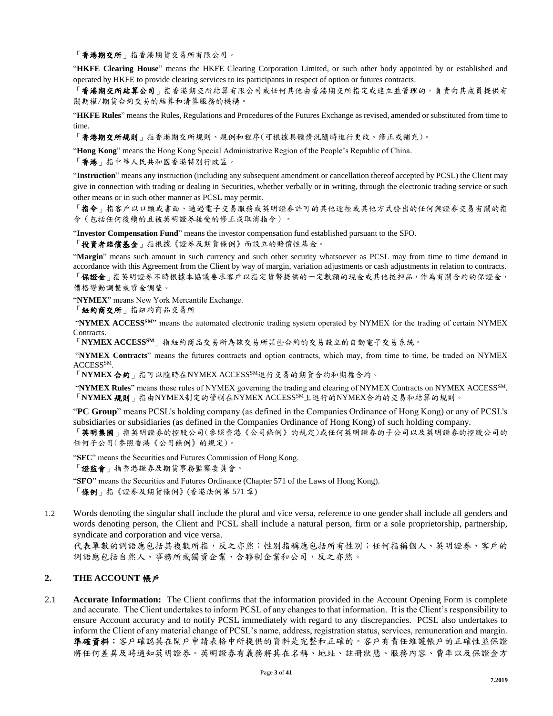「香港期交所」指香港期貨交易所有限公司。

"**HKFE Clearing House**" means the HKFE Clearing Corporation Limited, or such other body appointed by or established and operated by HKFE to provide clearing services to its participants in respect of option or futures contracts.

香港期交所結算公司、指有限公司或任何其他由香港期交所指定或建立並管理的,負責向其成員提供有 關期權/期貨合約交易的結算和清算服務的機構。

"**HKFE Rules**" means the Rules, Regulations and Procedures of the Futures Exchange as revised, amended or substituted from time to time.

「香港期交所規則」指香港期交所規則、規例和程序(可根據具體情況隨時進行更改、修正或補充)。

"**Hong Kong**" means the Hong Kong Special Administrative Region of the People's Republic of China.

「香港」指中華人民共和國香港特別行政區。

"**Instruction**" means any instruction (including any subsequent amendment or cancellation thereof accepted by PCSL) the Client may give in connection with trading or dealing in Securities, whether verbally or in writing, through the electronic trading service or such other means or in such other manner as PCSL may permit.

「指令」指客戶以口頭或書面、通過電子交易服務或英明證券許可的其他途徑或其他方式發出的任何與證券交易有關的指 令(包括任何後續的且被英明證券接受的修正或取消指令)。

"**Investor Compensation Fund**" means the investor compensation fund established pursuant to the SFO.

「投資者賠償基金」指根據《證券及期貨條例》而設立的賠償性基金。

"**Margin**" means such amount in such currency and such other security whatsoever as PCSL may from time to time demand in accordance with this Agreement from the Client by way of margin, variation adjustments or cash adjustments in relation to contracts. 「保證金」指英明證券不時根據本協議要求客戶以指定貨幣提供的一定數額的現金或其他抵押品,作為有關合約的保證金,

價格變動調整或資金調整。

"**NYMEX**" means New York Mercantile Exchange.

「紐約商交所」指紐約商品交易所

"**NYMEX ACCESSSM**" means the automated electronic trading system operated by NYMEX for the trading of certain NYMEX Contracts.

「**NYMEX ACCESSSM**」指紐約商品交易所為該交易所某些合約的交易設立的自動電子交易系統。

"**NYMEX Contracts**" means the futures contracts and option contracts, which may, from time to time, be traded on NYMEX ACCESS<sup>SM</sup>.

「**NYMEX** 合約」指可以隨時在NYMEX ACCESSSM進行交易的期貨合約和期權合約。

"**NYMEX Rules**" means those rules of NYMEX governing the trading and clearing of NYMEX Contracts on NYMEX ACCESSSM. 「**NYMEX** 規則」指由NYMEX制定的管制在NYMEX ACCESSSM上進行的NYMEX合約的交易和結算的規則。

"**PC Group**" means PCSL's holding company (as defined in the Companies Ordinance of Hong Kong) or any of PCSL's subsidiaries or subsidiaries (as defined in the Companies Ordinance of Hong Kong) of such holding company.

「英明集國」指英明證券的控股公司(參照香港《公司條例》的規定)或任何英明證券的子公司以及英明證券的控股公司的 任何子公司(參照香港《公司條例》的規定)。

"**SFC**" means the Securities and Futures Commission of Hong Kong.

「證監會」指香港證券及期貨事務監察委員會。

"**SFO**" means the Securities and Futures Ordinance (Chapter 571 of the Laws of Hong Kong). 「條例」指《證券及期貨條例》(香港法例第 571 章)

1.2 Words denoting the singular shall include the plural and vice versa, reference to one gender shall include all genders and words denoting person, the Client and PCSL shall include a natural person, firm or a sole proprietorship, partnership, syndicate and corporation and vice versa.

代表單數的詞語應包括其複數所指,反之亦然;性別指稱應包括所有性別;任何指稱個人、英明證券、客戶的 詞語應包括自然人、事務所或獨資企業、合夥制企業和公司,反之亦然。

## **2. THE ACCOUNT** 帳戶

2.1 **Accurate Information:** The Client confirms that the information provided in the Account Opening Form is complete and accurate. The Client undertakes to inform PCSL of any changes to that information. It is the Client's responsibility to ensure Account accuracy and to notify PCSL immediately with regard to any discrepancies. PCSL also undertakes to inform the Client of any material change of PCSL's name, address, registration status, services, remuneration and margin. 準確資料:客戶確認其在開戶申請表格中所提供的資料是完整和正確的。客戶有責任維護帳戶的正確性並保證 將任何差異及時通知英明證券。英明證券有義務將其在名稱、地址、註冊狀態、服務內容、費率以及保證金方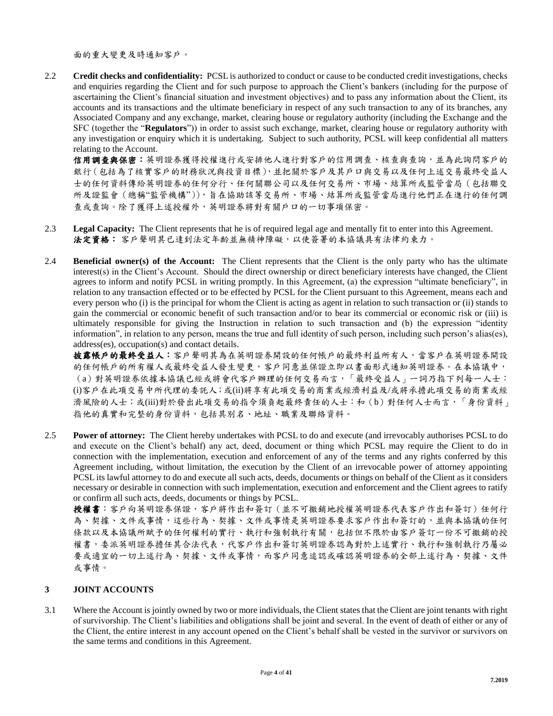面的重大變更及時通知客戶。

2.2 **Credit checks and confidentiality:** PCSL is authorized to conduct or cause to be conducted credit investigations, checks and enquiries regarding the Client and for such purpose to approach the Client's bankers (including for the purpose of ascertaining the Client's financial situation and investment objectives) and to pass any information about the Client, its accounts and its transactions and the ultimate beneficiary in respect of any such transaction to any of its branches, any Associated Company and any exchange, market, clearing house or regulatory authority (including the Exchange and the SFC (together the "**Regulators**")) in order to assist such exchange, market, clearing house or regulatory authority with any investigation or enquiry which it is undertaking. Subject to such authority, PCSL will keep confidential all matters relating to the Account.

信用調查與保密:英明證券獲得授權進行或安排他人進行對客戶的信用調查、核查與查詢,並為此詢問客戶的 銀行(包括為了核實客戶的財務狀況與投資目標),並把關於客戶及其戶口與交易以及任何上述交易最終受益人 士的任何資料傳給英明證券的任何分行、任何關聯公司以及任何交易所、市場、結算所或監管當局(包括聯交 所及證監會(總稱"監管機構")),盲在協助該等交易所、市場、結算所或監管當局進行他們正在進行的任何調 查或查詢。除了獲得上述授權外,英明證券將對有關戶口的一切事項保密。

- 2.3 **Legal Capacity:** The Client represents that he is of required legal age and mentally fit to enter into this Agreement. 法定資格: 客戶聲明其已達到法定年齡並無精神障礙,以使簽署的本協議具有法律約束力。
- 2.4 **Beneficial owner(s) of the Account:** The Client represents that the Client is the only party who has the ultimate interest(s) in the Client's Account. Should the direct ownership or direct beneficiary interests have changed, the Client agrees to inform and notify PCSL in writing promptly. In this Agreement, (a) the expression "ultimate beneficiary", in relation to any transaction effected or to be effected by PCSL for the Client pursuant to this Agreement, means each and every person who (i) is the principal for whom the Client is acting as agent in relation to such transaction or (ii) stands to gain the commercial or economic benefit of such transaction and/or to bear its commercial or economic risk or (iii) is ultimately responsible for giving the Instruction in relation to such transaction and (b) the expression "identity information", in relation to any person, means the true and full identity of such person, including such person's alias(es), address(es), occupation(s) and contact details.

披露帳戶的最終受益人:客戶聲明其為在英明證券開設的任何帳戶的最終利益所有人,當客戶在英明證券開設 的任何帳戶的所有權人或最終受益人發生變更,客戶同意並保證立即以書面形式通知英明證券。在本協議中, (a)對英明證券依據本協議已經或將會代客戶辦理的任何交易而言,「最終受益人」一詞乃指下列每一人士: (i)客戶在此項交易中所代理的委託人;或(ii)將享有此項交易的商業或經濟利益及/或將承擔此項交易的商業或經 濟風險的人士;或(iii)對於發出此項交易的指令須負起最終責任的人士:和 (b) 對任何人士而言,「身份資料」 指他的真實和完整的身份資料,包括其別名、地址、職業及聯絡資料。

2.5 **Power of attorney:** The Client hereby undertakes with PCSL to do and execute (and irrevocably authorises PCSL to do and execute on the Client's behalf) any act, deed, document or thing which PCSL may require the Client to do in connection with the implementation, execution and enforcement of any of the terms and any rights conferred by this Agreement including, without limitation, the execution by the Client of an irrevocable power of attorney appointing PCSL its lawful attorney to do and execute all such acts, deeds, documents or things on behalf of the Client as it considers necessary or desirable in connection with such implementation, execution and enforcement and the Client agrees to ratify or confirm all such acts, deeds, documents or things by PCSL.

授權書:客戶向英明證券保證,客戶將作出和簽訂(並不可撤銷地授權英明證券代表客戶作出和簽訂)任何行 為、契據、文件或事情,這些行為、契據、文件或事情是英明證券要求客戶作出和簽訂的,並與本協議的任何 條款以及本協議所賦予的任何權利的實行、執行和強制執行有關,包括但不限於由客戶簽訂一份不可撤銷的授 權書,委派英明證券擔任其合法代表,代客戶作出和簽訂英明證券認為對於上述實行、執行和強制執行乃屬必 要或適宜的一切上述行為、契據、文件或事情,而客戶同意追認或確認英明證券的全部上述行為、契據、文件 或事情。

## **3 JOINT ACCOUNTS**

3.1 Where the Account is jointly owned by two or more individuals, the Client states that the Client are joint tenants with right of survivorship. The Client's liabilities and obligations shall be joint and several. In the event of death of either or any of the Client, the entire interest in any account opened on the Client's behalf shall be vested in the survivor or survivors on the same terms and conditions in this Agreement.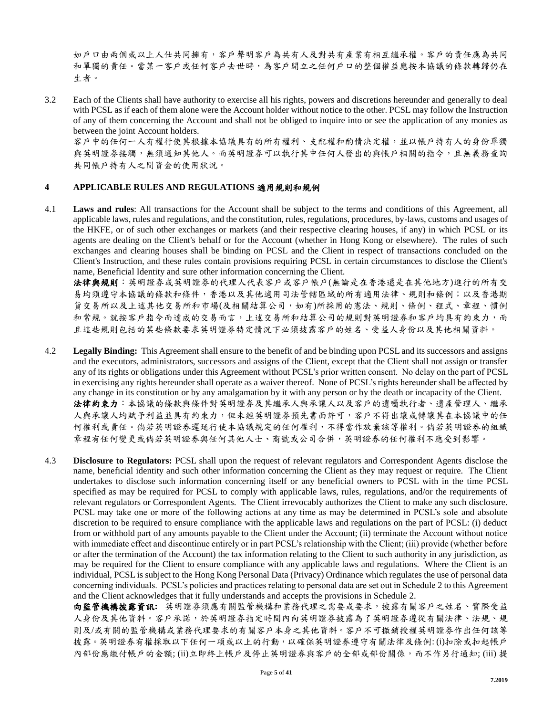如戶口由兩個或以上人仕共同擁有,客戶聲明客戶為共有人及對共有產業有相互繼承權。客戶的責任應為共同 和單獨的責任。當某一客戶或任何客戶去世時,為客戶開立之任何戶口的整個權益應按本協議的條款轉歸仍在 生者。

3.2 Each of the Clients shall have authority to exercise all his rights, powers and discretions hereunder and generally to deal with PCSL as if each of them alone were the Account holder without notice to the other. PCSL may follow the Instruction of any of them concerning the Account and shall not be obliged to inquire into or see the application of any monies as between the joint Account holders.

客戶中的任何一人有權行使其根據本協議具有的所有權利、支配權和酌情決定權,並以帳戶持有人的身份單獨 與英明證券接觸,無須通知其他人。而英明證券可以執行其中任何人發出的與帳戶相關的指令,且無義務查詢 共同帳戶持有人之間資金的使用狀況。

#### **4 APPLICABLE RULES AND REGULATIONS** 適用規則和規例

4.1 **Laws and rules**: All transactions for the Account shall be subject to the terms and conditions of this Agreement, all applicable laws, rules and regulations, and the constitution, rules, regulations, procedures, by-laws, customs and usages of the HKFE, or of such other exchanges or markets (and their respective clearing houses, if any) in which PCSL or its agents are dealing on the Client's behalf or for the Account (whether in Hong Kong or elsewhere). The rules of such exchanges and clearing houses shall be binding on PCSL and the Client in respect of transactions concluded on the Client's Instruction, and these rules contain provisions requiring PCSL in certain circumstances to disclose the Client's name, Beneficial Identity and sure other information concerning the Client.

法律與規則:英明證券或英明證券的代理人代表客戶或客戶帳戶(無論是在香港還是在其他地方)進行的所有交 易均須遵守本協議的條款和條件,香港以及其他適用司法管轄區域的所有適用法律、規則和條例;以及香港期 貨交易所以及上述其他交易所和巿場(及相關結算公司,如有)所採用的憲法、規則、條例、程式、章程、慣例 和常規。就按客戶指令而達成的交易而言,上述交易所和結算公司的規則對英明證券和客戶均具有約束力,而 且這些規則包括的某些條款要求英明證券特定情況下必須披露客戶的姓名、受益人身份以及其他相關資料。

- 4.2 **Legally Binding:** This Agreement shall ensure to the benefit of and be binding upon PCSL and its successors and assigns and the executors, administrators, successors and assigns of the Client, except that the Client shall not assign or transfer any of its rights or obligations under this Agreement without PCSL's prior written consent. No delay on the part of PCSL in exercising any rights hereunder shall operate as a waiver thereof. None of PCSL's rights hereunder shall be affected by any change in its constitution or by any amalgamation by it with any person or by the death or incapacity of the Client. 法律約束力:本協議的條款與條件對英明證券及其繼承人與承讓人以及客戶的遺囑執行者、遺產管理人、繼承 人與承讓人均賦予利益並具有約束力,但未經英明證券預先書面許可,客戶不得出讓或轉讓其在本協議中的任 何權利或責任。倘若英明證券遲延行使本協議規定的任何權利,不得當作放棄該等權利。倘若英明證券的組織 章程有任何變更或倘若英明證券與任何其他人士、商號或公司合併,英明證券的任何權利不應受到影響。
- 4.3 **Disclosure to Regulators:** PCSL shall upon the request of relevant regulators and Correspondent Agents disclose the name, beneficial identity and such other information concerning the Client as they may request or require. The Client undertakes to disclose such information concerning itself or any beneficial owners to PCSL with in the time PCSL specified as may be required for PCSL to comply with applicable laws, rules, regulations, and/or the requirements of relevant regulators or Correspondent Agents. The Client irrevocably authorizes the Client to make any such disclosure. PCSL may take one or more of the following actions at any time as may be determined in PCSL's sole and absolute discretion to be required to ensure compliance with the applicable laws and regulations on the part of PCSL: (i) deduct from or withhold part of any amounts payable to the Client under the Account; (ii) terminate the Account without notice with immediate effect and discontinue entirely or in part PCSL's relationship with the Client; (iii) provide (whether before or after the termination of the Account) the tax information relating to the Client to such authority in any jurisdiction, as may be required for the Client to ensure compliance with any applicable laws and regulations. Where the Client is an individual, PCSL is subject to the Hong Kong Personal Data (Privacy) Ordinance which regulates the use of personal data concerning individuals. PCSL's policies and practices relating to personal data are set out in Schedule 2 to this Agreement and the Client acknowledges that it fully understands and accepts the provisions in Schedule 2.

向監管機構披露資訊**:** 英明證券須應有關監管機構和業務代理之需要或要求,披露有關客戶之姓名、實際受益 人身份及其他資料。客戶承諾,於英明證券指定時間內向英明證券披露為了英明證券遵從有關法律、法規、規 則及/或有關的監管機構或業務代理要求的有關客戶本身之其他資料。客戶不可撤銷授權英明證券作出任何該等 披露。英明證券有權採取以下任何一項或以上的行動,以確保英明證券遵守有關法律及條例: (i)扣除或扣起帳戶 內部份應繳付帳戶的金額; (ii)立即終上帳戶及停止英明證券與客戶的全部或部份關係,而不作另行通知; (iii) 提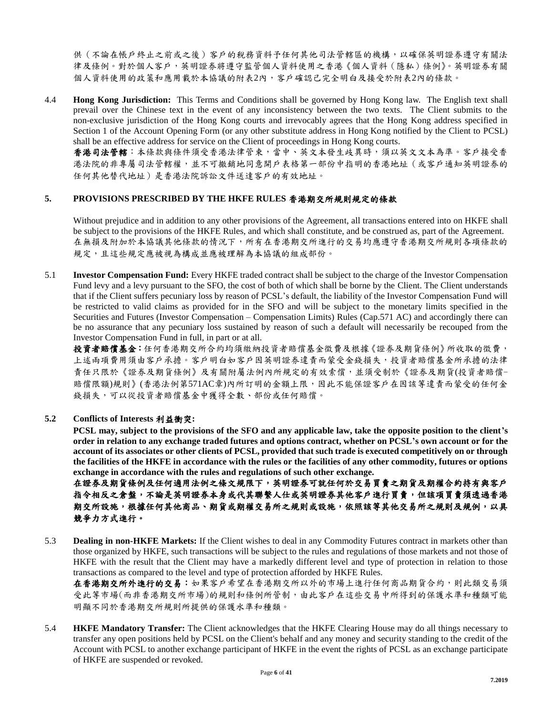供(不論在帳戶終止之前或之後)客戶的稅務資料予任何其他司法管轄區的機構,以確保英明證券遵守有關法 律及條例。對於個人客戶,英明證券將遵守監管個人資料使用之香港《個人資料(隱私)條例》。英明證券有關 個人資料使用的政策和應用載於本協議的附表2內,客戶確認己完全明白及接受於附表2內的條款。

4.4 **Hong Kong Jurisdiction:** This Terms and Conditions shall be governed by Hong Kong law. The English text shall prevail over the Chinese text in the event of any inconsistency between the two texts. The Client submits to the non-exclusive jurisdiction of the Hong Kong courts and irrevocably agrees that the Hong Kong address specified in Section 1 of the Account Opening Form (or any other substitute address in Hong Kong notified by the Client to PCSL) shall be an effective address for service on the Client of proceedings in Hong Kong courts.

香港司法管轄:本條款與條件須受香港法律管束,當中、英文本發生歧異時,須以英文文本為準。客戶接受香 港法院的非專屬司法管轄權,並不可撤銷地同意開戶表格第一部份中指明的香港地址(或客戶通知英明證券的 任何其他替代地址)是香港法院訴訟文件送達客戶的有效地址。

## **5. PROVISIONS PRESCRIBED BY THE HKFE RULES** 香港期交所規則規定的條款

Without prejudice and in addition to any other provisions of the Agreement, all transactions entered into on HKFE shall be subject to the provisions of the HKFE Rules, and which shall constitute, and be construed as, part of the Agreement. 在無損及附加於本協議其他條款的情況下,所有在香港期交所進行的交易均應遵守香港期交所規則各項條款的 規定,且這些規定應被視為構成並應被理解為本協議的組成部份。

5.1 **Investor Compensation Fund:** Every HKFE traded contract shall be subject to the charge of the Investor Compensation Fund levy and a levy pursuant to the SFO, the cost of both of which shall be borne by the Client. The Client understands that if the Client suffers pecuniary loss by reason of PCSL's default, the liability of the Investor Compensation Fund will be restricted to valid claims as provided for in the SFO and will be subject to the monetary limits specified in the Securities and Futures (Investor Compensation – Compensation Limits) Rules (Cap.571 AC) and accordingly there can be no assurance that any pecuniary loss sustained by reason of such a default will necessarily be recouped from the Investor Compensation Fund in full, in part or at all.

投資者賠償基金:任何香港期交所合約均須繳納投資者賠償基金徵費及根據《證券及期貨條例》所收取的徵費, 上述兩項費用須由客戶承擔。客戶明白如客戶因英明證券違責而蒙受金錢損失,投資者賠償基金所承擔的法律 責任只限於《證券及期貨條例》及有關附屬法例內所規定的有效索償,並須受制於《證券及期貨(投資者賠償-賠償限額)規則》(香港法例第571AC章)內所訂明的金額上限,因此不能保證客戶在因該等違責而蒙受的任何金 錢損失,可以從投資者賠償基金中獲得全數、部份或任何賠償。

## **5.2 Conflicts of Interests** 利益衝突**:**

**PCSL may, subject to the provisions of the SFO and any applicable law, take the opposite position to the client's order in relation to any exchange traded futures and options contract, whether on PCSL's own account or for the account of its associates or other clients of PCSL, provided that such trade is executed competitively on or through the facilities of the HKFE in accordance with the rules or the facilities of any other commodity, futures or options exchange in accordance with the rules and regulations of such other exchange.**

在證券及期貨條例及任何適用法例之條文規限下,英明證券可就任何於交易買賣之期貨及期權合約持有與客戶 指令相反之倉盤,不論是英明證券本身或代其聯繫人仕或英明證券其他客戶進行買賣,但該項買賣須透過香港 期交所設施,根據任何其他商品、期貨或期權交易所之規則或設施,依照該等其他交易所之規則及規例,以具 競爭力方式進行。

5.3 **Dealing in non-HKFE Markets:** If the Client wishes to deal in any Commodity Futures contract in markets other than those organized by HKFE, such transactions will be subject to the rules and regulations of those markets and not those of HKFE with the result that the Client may have a markedly different level and type of protection in relation to those transactions as compared to the level and type of protection afforded by HKFE Rules.

在香港期交所外進行的交易: 如果客戶希望在香港期交所以外的市場上進行任何商品期貨合約,則此類交易須 受此等巿場(而非香港期交所巿場)的規則和條例所管制,由此客戶在這些交易中所得到的保護水準和種類可能 明顯不同於香港期交所規則所提供的保護水準和種類。

5.4 **HKFE Mandatory Transfer:** The Client acknowledges that the HKFE Clearing House may do all things necessary to transfer any open positions held by PCSL on the Client's behalf and any money and security standing to the credit of the Account with PCSL to another exchange participant of HKFE in the event the rights of PCSL as an exchange participate of HKFE are suspended or revoked.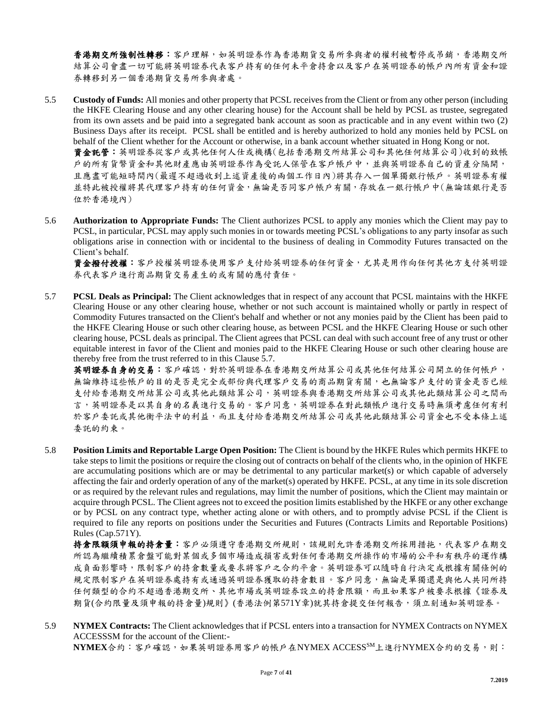香港期交所強制性轉移;容戶理解,如英明證券作為香港期貨交易所參與者的權利被暫停或吊銷,香港期交所 結算公司會盡一切可能將英明證券代表客戶持有的任何未平倉持倉以及客戶在英明證券的帳戶內所有資金和證 券轉移到另一個香港期貨交易所參與者處。

- 5.5 **Custody of Funds:** All monies and other property that PCSL receives from the Client or from any other person (including the HKFE Clearing House and any other clearing house) for the Account shall be held by PCSL as trustee, segregated from its own assets and be paid into a segregated bank account as soon as practicable and in any event within two (2) Business Days after its receipt. PCSL shall be entitled and is hereby authorized to hold any monies held by PCSL on behalf of the Client whether for the Account or otherwise, in a bank account whether situated in Hong Kong or not. 資金託管:英明證券從客戶或其他任何人仕或機構(包括香港期交所結算公司和其他任何結算公司)收到的致帳 戶的所有貨幣資金和其他財產應由英明證券作為受託人保管在客戶帳戶中,並與英明證券自己的資產分隔開, 且應盡可能短時間內(最遲不超過收到上述資產後的兩個工作日內)將其存入一個單獨銀行帳戶。英明證券有權 並特此被授權將其代理客戶持有的任何資金,無論是否同客戶帳戶有關,存放在一銀行帳戶中(無論該銀行是否 位於香港境內)
- 5.6 **Authorization to Appropriate Funds:** The Client authorizes PCSL to apply any monies which the Client may pay to PCSL, in particular, PCSL may apply such monies in or towards meeting PCSL's obligations to any party insofar as such obligations arise in connection with or incidental to the business of dealing in Commodity Futures transacted on the Client's behalf.

資金撥付授權:客戶授權英明證券使用客戶支付給英明證券的任何資金,尤其是用作向任何其他方支付英明證 券代表客戶進行商品期貨交易產生的或有關的應付責任。

5.7 **PCSL Deals as Principal:** The Client acknowledges that in respect of any account that PCSL maintains with the HKFE Clearing House or any other clearing house, whether or not such account is maintained wholly or partly in respect of Commodity Futures transacted on the Client's behalf and whether or not any monies paid by the Client has been paid to the HKFE Clearing House or such other clearing house, as between PCSL and the HKFE Clearing House or such other clearing house, PCSL deals as principal. The Client agrees that PCSL can deal with such account free of any trust or other equitable interest in favor of the Client and monies paid to the HKFE Clearing House or such other clearing house are thereby free from the trust referred to in this Clause 5.7.

**英明證券自身的交易:**客戶確認,對於英明證券在香港期交所結算公司或其他任何結算公司開立的任何帳戶, 無論維持這些帳戶的目的是否是完全或部份與代理客戶交易的商品期貨有關,也無論客戶支付的資金是否已經 支付給香港期交所結算公司或與結算公司,英明證券與香港期交所結算公司或其他此類結算公司之間而 言,英明證券是以其自身的名義進行交易的。客戶同意,英明證券在對此類帳戶進行交易時無須考慮任何有利 於客戶委託或其他衡平法中的利益,而且支付給香港期交所結算公司或其他此類結算公司資金也不受本條上述 委託的約束。

5.8 **Position Limits and Reportable Large Open Position:** The Client is bound by the HKFE Rules which permits HKFE to take steps to limit the positions or require the closing out of contracts on behalf of the clients who, in the opinion of HKFE are accumulating positions which are or may be detrimental to any particular market(s) or which capable of adversely affecting the fair and orderly operation of any of the market(s) operated by HKFE. PCSL, at any time in its sole discretion or as required by the relevant rules and regulations, may limit the number of positions, which the Client may maintain or acquire through PCSL. The Client agrees not to exceed the position limits established by the HKFE or any other exchange or by PCSL on any contract type, whether acting alone or with others, and to promptly advise PCSL if the Client is required to file any reports on positions under the Securities and Futures (Contracts Limits and Reportable Positions) Rules (Cap.571Y).

持倉限額須申報的持倉量:客戶必須遵守香港期交所規則,該規則允許香港期交所採用措拖,代表客戶在期交 所認為繼續積累倉盤可能對某個或多個巿場造成損害或對任何香港期交所操作的巿場的公平和有秩序的運作構 成負面影響時,限制客戶的持倉數量或要求將客戶之合約平倉。英明證券可以隨時自行決定或根據有關條例的 規定限制客戶在英明證券處持有或通過英明證券獲取的持倉數目。客戶同意,無論是單獨還是與他人共同所持 任何類型的合約不超過香港期交所、其他巿場或英明證券設立的持倉限額,而且如果客戶被要求根據《證券及 期貨(合約限量及須申報的持倉量)規則》(香港法例第571Y章)就其持倉提交任何報告,須立刻通知英明證券。

5.9 **NYMEX Contracts:** The Client acknowledges that if PCSL enters into a transaction for NYMEX Contracts on NYMEX ACCESSSM for the account of the Client:- **NYMEX**合約:客戶確認,如果英明證券用客戶的帳戶在NYMEX ACCESSSM上進行NYMEX合約的交易,則: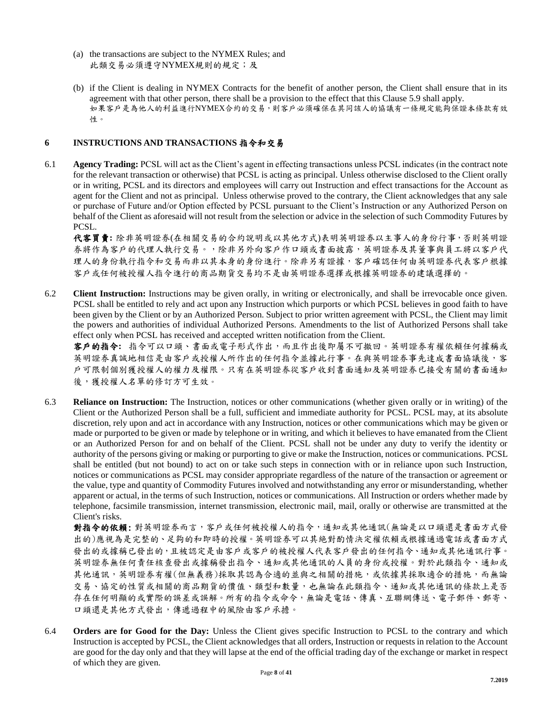- (a) the transactions are subject to the NYMEX Rules; and 此類交易必須遵守NYMEX規則的規定;及
- (b) if the Client is dealing in NYMEX Contracts for the benefit of another person, the Client shall ensure that in its agreement with that other person, there shall be a provision to the effect that this Clause 5.9 shall apply. 如果客戶是為他人的利益進行NYMEX合約的交易,則客戶必須確保在其同該人的協議有一條規定能夠保證本條款有效 性。

## **6 INSTRUCTIONS AND TRANSACTIONS** 指令和交易

6.1 **Agency Trading:** PCSL will act as the Client's agent in effecting transactions unless PCSL indicates (in the contract note for the relevant transaction or otherwise) that PCSL is acting as principal. Unless otherwise disclosed to the Client orally or in writing, PCSL and its directors and employees will carry out Instruction and effect transactions for the Account as agent for the Client and not as principal. Unless otherwise proved to the contrary, the Client acknowledges that any sale or purchase of Future and/or Option effected by PCSL pursuant to the Client's Instruction or any Authorized Person on behalf of the Client as aforesaid will not result from the selection or advice in the selection of such Commodity Futures by PCSL.

代客買賣**:** 除非英明證券(在相關交易的合約說明或以其他方式)表明英明證券以主事人的身份行事,否則英明證 券將作為客戶的代理人執行交易。,除非另外向客戶作口頭或書面披露,英明證券及其董事與員工將以客戶代 理人的身份執行指令和交易而非以其本身的身份進行。除非另有證據,客戶確認任何由英明證券代表客戶根據 客戶或任何被授權人指令進行的商品期貨交易均不是由英明證券選擇或根據英明證券的建議選擇的。

6.2 **Client Instruction:** Instructions may be given orally, in writing or electronically, and shall be irrevocable once given. PCSL shall be entitled to rely and act upon any Instruction which purports or which PCSL believes in good faith to have been given by the Client or by an Authorized Person. Subject to prior written agreement with PCSL, the Client may limit the powers and authorities of individual Authorized Persons. Amendments to the list of Authorized Persons shall take effect only when PCSL has received and accepted written notification from the Client.

客戶的指令**:** 指令可以口頭、書面或電子形式作出,而且作出後即屬不可撤回。英明證券有權依賴任何據稱或 英明證券真誠地相信是由客戶或提權人所作出的任何指令並據此行事。在與英明證券事先達成書面協議後,客 戶可限制個別獲授權人的權力及權限。只有在英明證券從客戶收到書面通知及英明證券已接受有關的書面通知 後,獲授權人名單的修訂方可生效。

6.3 **Reliance on Instruction:** The Instruction, notices or other communications (whether given orally or in writing) of the Client or the Authorized Person shall be a full, sufficient and immediate authority for PCSL. PCSL may, at its absolute discretion, rely upon and act in accordance with any Instruction, notices or other communications which may be given or made or purported to be given or made by telephone or in writing, and which it believes to have emanated from the Client or an Authorized Person for and on behalf of the Client. PCSL shall not be under any duty to verify the identity or authority of the persons giving or making or purporting to give or make the Instruction, notices or communications. PCSL shall be entitled (but not bound) to act on or take such steps in connection with or in reliance upon such Instruction, notices or communications as PCSL may consider appropriate regardless of the nature of the transaction or agreement or the value, type and quantity of Commodity Futures involved and notwithstanding any error or misunderstanding, whether apparent or actual, in the terms of such Instruction, notices or communications. All Instruction or orders whether made by telephone, facsimile transmission, internet transmission, electronic mail, mail, orally or otherwise are transmitted at the Client's risks.

對指令的依賴: 對英明證券而言,客戶或任何被授權人的指令,通知或其他通訊(無論是以口頭還是書面方式發 出的)應視為是完整的、足夠的和即時的授權。英明證券可以其絶對酌情決定權依賴或根據通過電話或書面方式 發出的或據稱已發出的,且被認定是由客戶或客戶的被授權人代表客戶發出的任何指令、通知或其他通訊行事。 英明證券無任何責任核查發出或據稱發出指令、通知或其他通訊的人員的身份或授權。對於此類指令、通知或 其他通訊,英明證券有權(但無義務)採取其認為合適的並與之相關的措施,或依據其採取適合的措施,而無論 交易、協定的性質或相關的商品期貨的價值、類型和數量,也無論在此類指令、通知或其他通訊的條款上是否 存在任何明顯的或實際的誤差或誤解。所有的指令或命令,無論是電話、傳真、互聯網傳送、電子郵件、郵寄、 口頭還是其他方式發出,傳遞過程中的風險由客戶承擔。

6.4 **Orders are for Good for the Day:** Unless the Client gives specific Instruction to PCSL to the contrary and which Instruction is accepted by PCSL, the Client acknowledges that all orders, Instruction or requests in relation to the Account are good for the day only and that they will lapse at the end of the official trading day of the exchange or market in respect of which they are given.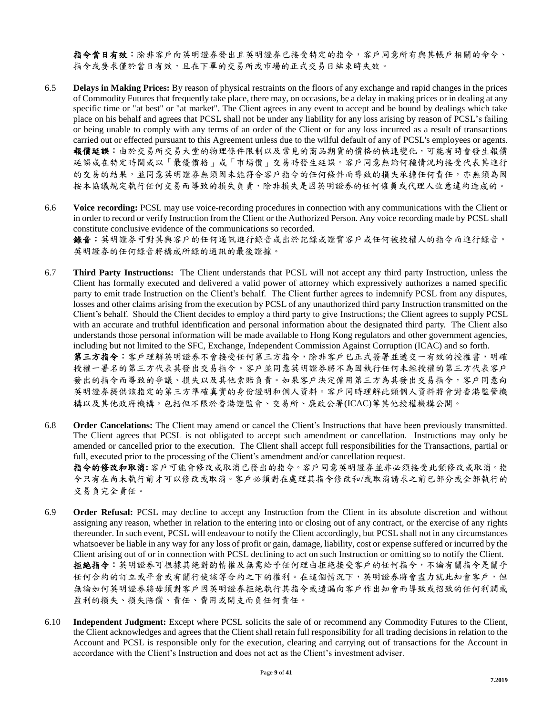指令當日有效:除非客戶向英明證券發出且英明證券已接受特定的指令,客戶同意所有與其帳戶相關的命令、 指令或要求僅於當日有效,且在下單的交易所或市場的正式交易日結束時失效。

- 6.5 **Delays in Making Prices:** By reason of physical restraints on the floors of any exchange and rapid changes in the prices of Commodity Futures that frequently take place, there may, on occasions, be a delay in making prices or in dealing at any specific time or "at best" or "at market". The Client agrees in any event to accept and be bound by dealings which take place on his behalf and agrees that PCSL shall not be under any liability for any loss arising by reason of PCSL's failing or being unable to comply with any terms of an order of the Client or for any loss incurred as a result of transactions carried out or effected pursuant to this Agreement unless due to the wilful default of any of PCSL's employees or agents. 報價延誤:由於交易所交易大堂的物理條件限制以及常見的商品期貨的價格的快速變化,可能有時會發生報價 延誤或在特定時間或以「最優價格」或「市場價」交易時發生延誤。客戶同意無論何種情況均接受代表其進行 的交易的結果,並同意英明證券無須因未能符合客戶指令的任何條件而導致的損失承擔任何責任,亦無須為因 按本協議規定執行任何交易而導致的損失負責,除非損失是因英明證券的任何僱員或代理人故意違約造成的。
- 6.6 **Voice recording:** PCSL may use voice-recording procedures in connection with any communications with the Client or in order to record or verify Instruction from the Client or the Authorized Person. Any voice recording made by PCSL shall constitute conclusive evidence of the communications so recorded.

錄音:英明證券可對其與客戶的任何通訊進行錄音或出於記錄或證實客戶或任何被授權人的指令而進行錄音。 英明證券的任何錄音將構成所錄的通訊的最後證據。

6.7 **Third Party Instructions:** The Client understands that PCSL will not accept any third party Instruction, unless the Client has formally executed and delivered a valid power of attorney which expressively authorizes a named specific party to emit trade Instruction on the Client's behalf. The Client further agrees to indemnify PCSL from any disputes, losses and other claims arising from the execution by PCSL of any unauthorized third party Instruction transmitted on the Client's behalf. Should the Client decides to employ a third party to give Instructions; the Client agrees to supply PCSL with an accurate and truthful identification and personal information about the designated third party. The Client also understands those personal information will be made available to Hong Kong regulators and other government agencies, including but not limited to the SFC, Exchange, Independent Commission Against Corruption (ICAC) and so forth. 第三方指令:客戶理解英明證券不會接受任何第三方指令,除非客戶已正式簽署並遞交一有效的授權書,明確 授權一署名的第三方代表其發出交易指令。客戶並同意英明證券將不為因執行任何未經授權的第三方代表客戶

發出的指令而導致的爭議、損失以及其他索賠負責。如果客戶決定僱用第三方為其發出交易指令,客戶同意向 英明證券提供該指定的第三方準確真實的身份證明和個人資料。客戶同時理解此類個人資料將會對香港監管機 構以及其他政府機構,包括但不限於香港證監會、交易所、廉政公署(ICAC)等其他授權機構公開。

6.8 **Order Cancelations:** The Client may amend or cancel the Client's Instructions that have been previously transmitted. The Client agrees that PCSL is not obligated to accept such amendment or cancellation. Instructions may only be amended or cancelled prior to the execution. The Client shall accept full responsibilities for the Transactions, partial or full, executed prior to the processing of the Client's amendment and/or cancellation request.

指令的修改和取消**:** 客戶可能會修改或取消已發出的指令。客戶同意英明證券並非必須接受此類修改或取消。指 令只有在尚未執行前才可以修改或取消。客戶必須對在處理其指令修改和/或取消請求之前已部分或全部執行的 交易負完全責任。

- 6.9 **Order Refusal:** PCSL may decline to accept any Instruction from the Client in its absolute discretion and without assigning any reason, whether in relation to the entering into or closing out of any contract, or the exercise of any rights thereunder. In such event, PCSL will endeavour to notify the Client accordingly, but PCSL shall not in any circumstances whatsoever be liable in any way for any loss of profit or gain, damage, liability, cost or expense suffered or incurred by the Client arising out of or in connection with PCSL declining to act on such Instruction or omitting so to notify the Client. 拒絶指令:英明證券可根據其絶對酌情權及無需給予任何理由拒絶接受客戶的任何指令,不論有關指令是關乎 任何合約的訂立或平倉或有關行使該等合約之下的權利。在這個情況下,英明證券將會盡力就此知會客戶,但 無論如何英明證券將毋須對客戶因英明證券拒絶執行其指令或遺漏向客戶作出知會而導致或招致的任何利潤或 盈利的損失、損失陪償、責任、費用或開支而負任何責任。
- 6.10 **Independent Judgment:** Except where PCSL solicits the sale of or recommend any Commodity Futures to the Client, the Client acknowledges and agrees that the Client shall retain full responsibility for all trading decisions in relation to the Account and PCSL is responsible only for the execution, clearing and carrying out of transactions for the Account in accordance with the Client's Instruction and does not act as the Client's investment adviser.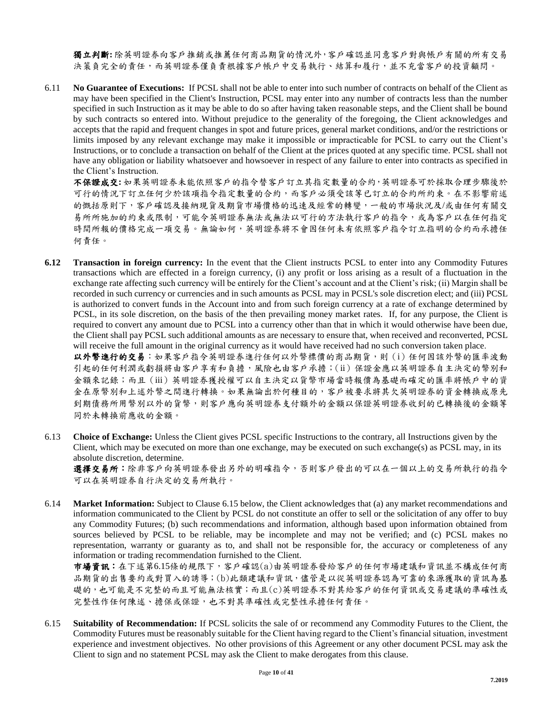獨立判斷**:** 除英明證券向客戶推銷或推薦任何商品期貨的情況外,客戶確認並同意客戶對與帳戶有關的所有交易 決策負完全的責任,而英明證券僅負責根據客戶帳戶中交易執行、結算和履行,並不充當客戶的投資顧問。

6.11 **No Guarantee of Executions:** If PCSL shall not be able to enter into such number of contracts on behalf of the Client as may have been specified in the Client's Instruction, PCSL may enter into any number of contracts less than the number specified in such Instruction as it may be able to do so after having taken reasonable steps, and the Client shall be bound by such contracts so entered into. Without prejudice to the generality of the foregoing, the Client acknowledges and accepts that the rapid and frequent changes in spot and future prices, general market conditions, and/or the restrictions or limits imposed by any relevant exchange may make it impossible or impracticable for PCSL to carry out the Client's Instructions, or to conclude a transaction on behalf of the Client at the prices quoted at any specific time. PCSL shall not have any obligation or liability whatsoever and howsoever in respect of any failure to enter into contracts as specified in the Client's Instruction.

不保證成交**:** 如果英明證券未能依照客戶的指令替客戶訂立其指定數量的合約,英明證券可於採取合理步驟後於 可行的情況下訂立任何少於該項指令指定數量的合約,而客戶必須受該等已訂立的合約所約束。在不影響前述 的慨括原則下,客戶確認及接納現貨及期貨市場價格的迅速及經常的轉變,一般的巿場狀況及/或由任何有關交 易所所施加的約束或限制,可能令英明證券無法或無法以可行的方法執行客戶的指令,或為客戶以在任何指定 時間所報的價格完成一項交易。無論如何,英明證券將不會因任何未有依照客戶指令訂立指明的合約而承擔任 何責任。

**6.12 Transaction in foreign currency:** In the event that the Client instructs PCSL to enter into any Commodity Futures transactions which are effected in a foreign currency, (i) any profit or loss arising as a result of a fluctuation in the exchange rate affecting such currency will be entirely for the Client's account and at the Client's risk; (ii) Margin shall be recorded in such currency or currencies and in such amounts as PCSL may in PCSL's sole discretion elect; and (iii) PCSL is authorized to convert funds in the Account into and from such foreign currency at a rate of exchange determined by PCSL, in its sole discretion, on the basis of the then prevailing money market rates. If, for any purpose, the Client is required to convert any amount due to PCSL into a currency other than that in which it would otherwise have been due, the Client shall pay PCSL such additional amounts as are necessary to ensure that, when received and reconverted, PCSL will receive the full amount in the original currency as it would have received had no such conversion taken place.

以外幣進行的交易:如果客戶指令英明證券進行任何以外幣標價的商品期貨,則(i)任何因該外幣的匯率波動 引起的任何利潤或虧損將由客戶享有和負擔,風險也由客戶承擔;(ii)保證金應以英明證券自主決定的幣別和 金額來記錄;而且(iii)英明證券獲授權可以自主決定以貨幣巿場當時報價為基礎而確定的匯率將帳戶中的資 金在原幣別和上述外幣之間進行轉換。如果無論出於何種目的,客戶被要求將其欠英明證券的資金轉換成原先 到期債務所用幣別以外的貨幣,則客戶應向英明證券支付額外的金額以保證英明證券收到的已轉換後的金額等 同於未轉換前應收的金額。

6.13 **Choice of Exchange:** Unless the Client gives PCSL specific Instructions to the contrary, all Instructions given by the Client, which may be executed on more than one exchange, may be executed on such exchange(s) as PCSL may, in its absolute discretion, determine.

選擇交易所:除非客戶向英明證券發出另外的明確指令,否則客戶發出的可以在一個以上的交易所執行的指令 可以在英明證券自行決定的交易所執行。

6.14 **Market Information:** Subject to Clause 6.15 below, the Client acknowledges that (a) any market recommendations and information communicated to the Client by PCSL do not constitute an offer to sell or the solicitation of any offer to buy any Commodity Futures; (b) such recommendations and information, although based upon information obtained from sources believed by PCSL to be reliable, may be incomplete and may not be verified; and (c) PCSL makes no representation, warranty or guaranty as to, and shall not be responsible for, the accuracy or completeness of any information or trading recommendation furnished to the Client.

巿場資訊:在下述第6.15條的規限下,客戶確認(a)由英明證券發給客戶的任何巿場建議和資訊並不構成任何商 品期貨的出售要約或對買入的誘導;(b)此類建議和資訊,儘管是以從英明證券認為可靠的來源獲取的資訊為基 礎的,也可能是不完整的而且可能無法核實;而且(c)英明證券不對其給客戶的任何資訊或交易建議的準確性或 完整性作任何陳述、擔保或保證,也不對其準確性或完整性承擔任何責任。

6.15 **Suitability of Recommendation:** If PCSL solicits the sale of or recommend any Commodity Futures to the Client, the Commodity Futures must be reasonably suitable for the Client having regard to the Client's financial situation, investment experience and investment objectives. No other provisions of this Agreement or any other document PCSL may ask the Client to sign and no statement PCSL may ask the Client to make derogates from this clause.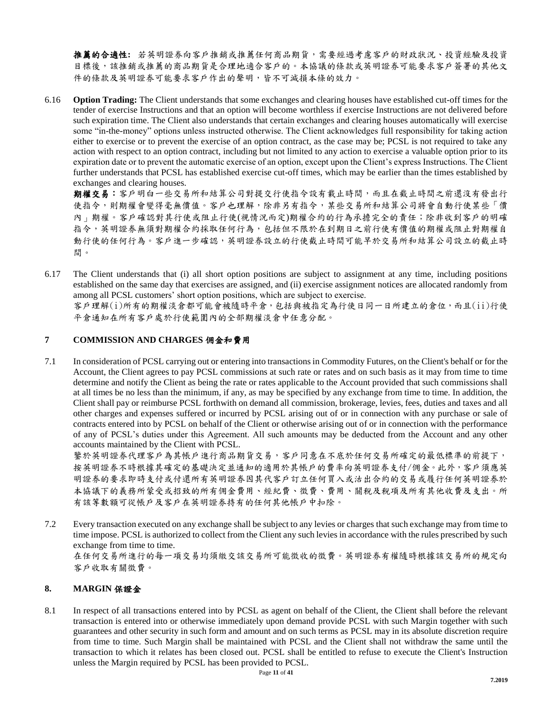推薦的合適性**:** 若英明證券向客戶推銷或推薦任何商品期貨,需要經過考慮客戶的財政狀況、投資經驗及投資 目標後,該推銷或推薦的商品期貨是合理地適合客戶的。本協議的條款或英明證券可能要求客戶簽署的其他文 件的條款及英明證券可能要求客戶作出的聲明,皆不可減損本條的效力。

6.16 **Option Trading:** The Client understands that some exchanges and clearing houses have established cut-off times for the tender of exercise Instructions and that an option will become worthless if exercise Instructions are not delivered before such expiration time. The Client also understands that certain exchanges and clearing houses automatically will exercise some "in-the-money" options unless instructed otherwise. The Client acknowledges full responsibility for taking action either to exercise or to prevent the exercise of an option contract, as the case may be; PCSL is not required to take any action with respect to an option contract, including but not limited to any action to exercise a valuable option prior to its expiration date or to prevent the automatic exercise of an option, except upon the Client's express Instructions. The Client further understands that PCSL has established exercise cut-off times, which may be earlier than the times established by exchanges and clearing houses.

期權交易:客戶明白一些交易所和結算公司對提交行使指令設有載止時間,而且在截止時間之前還沒有發出行 使指令,則期權會變得毫無價值。客戶也理解,除非另有指令,某些交易所和結算公司將會自動行使某些「價 內」期權。客戶確認對其行使或阻止行使(視情況而定)期權合約的行為承擔完全的責任;除非收到客戶的明確 指令,英明證券無須對期權合約採取任何行為,包括但不限於在到期日之前行使有價值的期權或阻止對期權自 動行使的任何行為。客戶進一步確認,英明證券設立的行使截止時間可能早於交易所和結算公司設立的截止時 間。

6.17 The Client understands that (i) all short option positions are subject to assignment at any time, including positions established on the same day that exercises are assigned, and (ii) exercise assignment notices are allocated randomly from among all PCSL customers' short option positions, which are subject to exercise. 客戶理解(i)所有的期權淡倉都可能會被隨時平倉,包括與被指定為行使日同一日所建立的倉位,而且(ii)行使 平倉通知在所有客戶處於行使範圍內的全部期權淡倉中任意分配。

## **7 COMMISSION AND CHARGES** 佣金和費用

7.1 In consideration of PCSL carrying out or entering into transactions in Commodity Futures, on the Client's behalf or for the Account, the Client agrees to pay PCSL commissions at such rate or rates and on such basis as it may from time to time determine and notify the Client as being the rate or rates applicable to the Account provided that such commissions shall at all times be no less than the minimum, if any, as may be specified by any exchange from time to time. In addition, the Client shall pay or reimburse PCSL forthwith on demand all commission, brokerage, levies, fees, duties and taxes and all other charges and expenses suffered or incurred by PCSL arising out of or in connection with any purchase or sale of contracts entered into by PCSL on behalf of the Client or otherwise arising out of or in connection with the performance of any of PCSL's duties under this Agreement. All such amounts may be deducted from the Account and any other accounts maintained by the Client with PCSL.

鑒於英明證券代理客戶為其帳戶進行商品期貨交易,客戶同意在不底於任何交易所確定的最低標準的前提下, 按英明證券不時根據其確定的基礎決定並通知的適用於其帳戶的費率向英明證券支付/佣金。此外,客戶須應英 明證券的要求即時支付或付還所有英明證券因其代客戶訂立任何買入或沽出合約的交易或履行任何英明證券於 本協議下的義務所蒙受或招致的所有佣金費用、經紀費、徵費、費用、關稅及稅項及所有其他收費及支出。所 有該等數額可從帳戶及客戶在英明證券持有的任何其他帳戶中扣除。

7.2 Every transaction executed on any exchange shall be subject to any levies or charges that such exchange may from time to time impose. PCSL is authorized to collect from the Client any such levies in accordance with the rules prescribed by such exchange from time to time. 在任何交易所進行的每一項交易均須繳交該交易所可能徵收的徵費。英明證券有權隨時根據該交易所的規定向

客戶收取有關徵費。

## **8. MARGIN** 保證金

8.1 In respect of all transactions entered into by PCSL as agent on behalf of the Client, the Client shall before the relevant transaction is entered into or otherwise immediately upon demand provide PCSL with such Margin together with such guarantees and other security in such form and amount and on such terms as PCSL may in its absolute discretion require from time to time. Such Margin shall be maintained with PCSL and the Client shall not withdraw the same until the transaction to which it relates has been closed out. PCSL shall be entitled to refuse to execute the Client's Instruction unless the Margin required by PCSL has been provided to PCSL.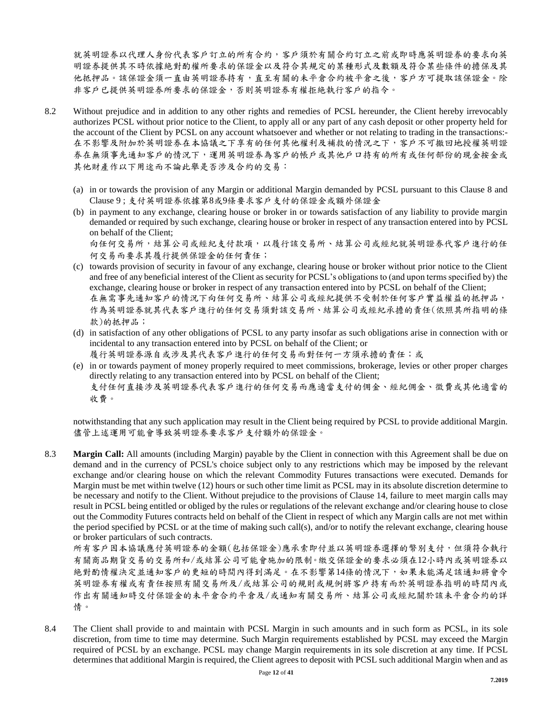就英明證券以代理人身份代表客戶訂立的所有合約,客戶須於有關合約訂立之前或即時應英明證券的要求向英 明證券提供其不時依據絶對酌權所要求的保證金以及符合其規定的某種形式及數額及符合某些條件的擔保及其 他抵押品。該保證金須一直由英明證券持有,直至有關的未平倉合約被平倉之後,客戶方可提取該保證金。除 非客戶已提供英明證券所要求的保證金,否則英明證券有權拒絶執行客戶的指令。

- 8.2 Without prejudice and in addition to any other rights and remedies of PCSL hereunder, the Client hereby irrevocably authorizes PCSL without prior notice to the Client, to apply all or any part of any cash deposit or other property held for the account of the Client by PCSL on any account whatsoever and whether or not relating to trading in the transactions:- 在不影響及附加於英明證券在本協議之下享有的任何其他權利及補救的情況之下,客戶不可撤回地授權英明證 券在無須事先通知客戶的情況下,運用英明證券為客戶的帳戶或其他戶口持有的所有或任何部份的現金按金或 其他財產作以下用途而不論此舉是否涉及合約的交易:
	- (a) in or towards the provision of any Margin or additional Margin demanded by PCSL pursuant to this Clause 8 and Clause 9 ; 支付英明證券依據第8或9條要求客戶支付的保證金或額外保證金
	- (b) in payment to any exchange, clearing house or broker in or towards satisfaction of any liability to provide margin demanded or required by such exchange, clearing house or broker in respect of any transaction entered into by PCSL on behalf of the Client; 向任何交易所,結算公司或經紀支付款項,以履行該交易所、結算公司或經紀就英明證券代客戶進行的任

何交易而要求其履行提供保證金的任何責任;

- (c) towards provision of security in favour of any exchange, clearing house or broker without prior notice to the Client and free of any beneficial interest of the Client as security for PCSL's obligations to (and upon terms specified by) the exchange, clearing house or broker in respect of any transaction entered into by PCSL on behalf of the Client; 在無需事先通知客戶的情況下向任何交易所、結算公司或經紀提供不受制於任何客戶實益權益的抵押品, 作為英明證券就其代表客戶進行的任何交易須對該交易所、結算公司或經紀承擔的責任(依照其所指明的條 款)的抵押品;
- (d) in satisfaction of any other obligations of PCSL to any party insofar as such obligations arise in connection with or incidental to any transaction entered into by PCSL on behalf of the Client; or
- 履行英明證券源自或涉及其代表客戶進行的任何交易而對任何一方須承擔的責任;或
- (e) in or towards payment of money properly required to meet commissions, brokerage, levies or other proper charges directly relating to any transaction entered into by PCSL on behalf of the Client; 支付任何直接涉及英明證券代表客戶進行的任何交易而應適當支付的佣金、經紀佣金、徵費或其他適當的

收費。

notwithstanding that any such application may result in the Client being required by PCSL to provide additional Margin. 儘管上述運用可能會導致英明證券要求客戶支付額外的保證金。

8.3 **Margin Call:** All amounts (including Margin) payable by the Client in connection with this Agreement shall be due on demand and in the currency of PCSL's choice subject only to any restrictions which may be imposed by the relevant exchange and/or clearing house on which the relevant Commodity Futures transactions were executed. Demands for Margin must be met within twelve (12) hours or such other time limit as PCSL may in its absolute discretion determine to be necessary and notify to the Client. Without prejudice to the provisions of Clause 14, failure to meet margin calls may result in PCSL being entitled or obliged by the rules or regulations of the relevant exchange and/or clearing house to close out the Commodity Futures contracts held on behalf of the Client in respect of which any Margin calls are not met within the period specified by PCSL or at the time of making such call(s), and/or to notify the relevant exchange, clearing house or broker particulars of such contracts.

所有客戶因本協議應付英明證券的金額(包括保證金)應承索即付並以英明證券選擇的幣別支付,但須符合執行 有關商品期貨交易的交易所和/或結算公司可能會施加的限制。繳交保證金的要求必須在12小時內或英明證券以 絶對酌情權決定並通知客戶的更短的時間內得到滿足。在不影響第14條的情況下,如果未能滿足該通知將會令 英明證券有權或有責任按照有關交易所及/或結算公司的規則或規例將客戶持有而於英明證券指明的時間內或 作出有關通知時交付保證金的未平倉合約平倉及/或通知有關交易所、結算公司或經紀關於該未平倉合約的詳 情。

8.4 The Client shall provide to and maintain with PCSL Margin in such amounts and in such form as PCSL, in its sole discretion, from time to time may determine. Such Margin requirements established by PCSL may exceed the Margin required of PCSL by an exchange. PCSL may change Margin requirements in its sole discretion at any time. If PCSL determines that additional Margin is required, the Client agrees to deposit with PCSL such additional Margin when and as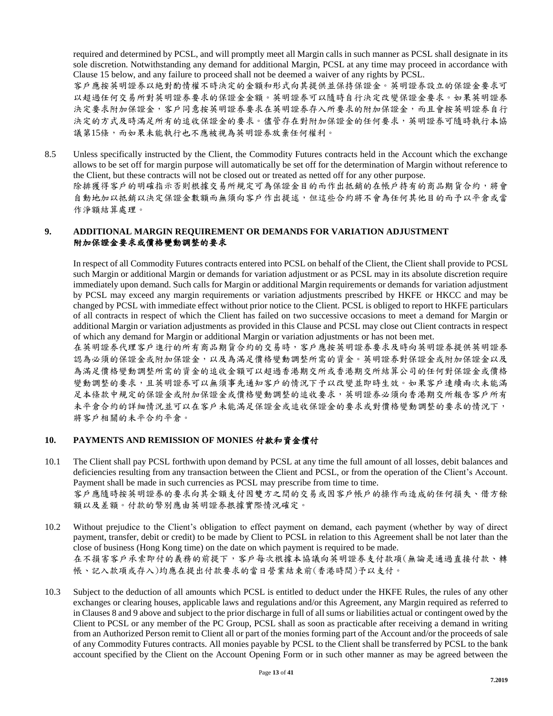required and determined by PCSL, and will promptly meet all Margin calls in such manner as PCSL shall designate in its sole discretion. Notwithstanding any demand for additional Margin, PCSL at any time may proceed in accordance with Clause 15 below, and any failure to proceed shall not be deemed a waiver of any rights by PCSL.

客戶應按英明證券以絶對酌情權不時決定的金額和形式向其提供並保持保證金。英明證券設立的保證金要求可 以超過任何交易所對英明證券要求的保證金金額。英明證券可以隨時自行決定改變保證金要求。如果英明證券 決定要求附加保證金,客戶同意按英明證券要求在英明證券存入所要求的附加保證金,而且會按英明證券自行 決定的方式及時滿足所有的追收保證金的要求。儘管存在對附加保證金的任何要求,英明證券可隨時執行本協 議第15條,而如果未能執行也不應被視為英明證券放棄任何權利。

8.5 Unless specifically instructed by the Client, the Commodity Futures contracts held in the Account which the exchange allows to be set off for margin purpose will automatically be set off for the determination of Margin without reference to the Client, but these contracts will not be closed out or treated as netted off for any other purpose. 除排獲得客戶的明確指示否則根據交易所規定可為保證金目的而作出抵銷的在帳戶持有的商品期貨合約,將會 自動地加以抵銷以決定保證金數額而無須向客戶作出提述,但這些合約將不會為任何其他目的而予以平倉或當 作淨額結算處理。

## **9. ADDITIONAL MARGIN REQUIREMENT OR DEMANDS FOR VARIATION ADJUSTMENT** 附加保證金要求或價格變動調整的要求

In respect of all Commodity Futures contracts entered into PCSL on behalf of the Client, the Client shall provide to PCSL such Margin or additional Margin or demands for variation adjustment or as PCSL may in its absolute discretion require immediately upon demand. Such calls for Margin or additional Margin requirements or demands for variation adjustment by PCSL may exceed any margin requirements or variation adjustments prescribed by HKFE or HKCC and may be changed by PCSL with immediate effect without prior notice to the Client. PCSL is obliged to report to HKFE particulars of all contracts in respect of which the Client has failed on two successive occasions to meet a demand for Margin or additional Margin or variation adjustments as provided in this Clause and PCSL may close out Client contracts in respect of which any demand for Margin or additional Margin or variation adjustments or has not been met.

在英明證券代理客戶進行的所有商品期貨合約的交易時,客戶應按英明證券要求及時向英明證券提供英明證券 認為必須的保證金或附加保證金,以及為滿足價格變動調整所需的資金。英明證券對保證金或附加保證金以及 為滿足價格變動調整所需的資金的追收金額可以超過香港期交所或香港期交所結算公司的任何對保證金或價格 變動調整的要求,且英明證券可以無須事先通知客戶的情況下予以改變並即時生效。如果客戶連續兩次未能滿 足本條款中規定的保證金或附加保證金或價格變動調整的追收要求,英明證券必須向香港期交所報告客戶所有 未平倉合約的詳細情況並可以在客戶未能滿足保證金或追收保證金的要求或對價格變動調整的要求的情況下, 將客戶相關的未平合約平倉。

## **10. PAYMENTS AND REMISSION OF MONIES** 付款和資金償付

- 10.1 The Client shall pay PCSL forthwith upon demand by PCSL at any time the full amount of all losses, debit balances and deficiencies resulting from any transaction between the Client and PCSL, or from the operation of the Client's Account. Payment shall be made in such currencies as PCSL may prescribe from time to time. 客戶應隨時按英明證券的要求向其全額支付因雙方之間的交易或因客戶帳戶的操作而造成的任何損失、借方餘 額以及差額。付款的幣別應由英明證券拫據實際情況確定。
- 10.2 Without prejudice to the Client's obligation to effect payment on demand, each payment (whether by way of direct payment, transfer, debit or credit) to be made by Client to PCSL in relation to this Agreement shall be not later than the close of business (Hong Kong time) on the date on which payment is required to be made. 在不損害客戶承索即付的義務的前提下,客戶每次根據本協議向英明證券支付款項(無論是通過直接付款、轉 帳、記入款項或存入)均應在提出付款要求的當日營業結束前(香港時間)予以支付。
- 10.3 Subject to the deduction of all amounts which PCSL is entitled to deduct under the HKFE Rules, the rules of any other exchanges or clearing houses, applicable laws and regulations and/or this Agreement, any Margin required as referred to in Clauses 8 and 9 above and subject to the prior discharge in full of all sums or liabilities actual or contingent owed by the Client to PCSL or any member of the PC Group, PCSL shall as soon as practicable after receiving a demand in writing from an Authorized Person remit to Client all or part of the monies forming part of the Account and/or the proceeds of sale of any Commodity Futures contracts. All monies payable by PCSL to the Client shall be transferred by PCSL to the bank account specified by the Client on the Account Opening Form or in such other manner as may be agreed between the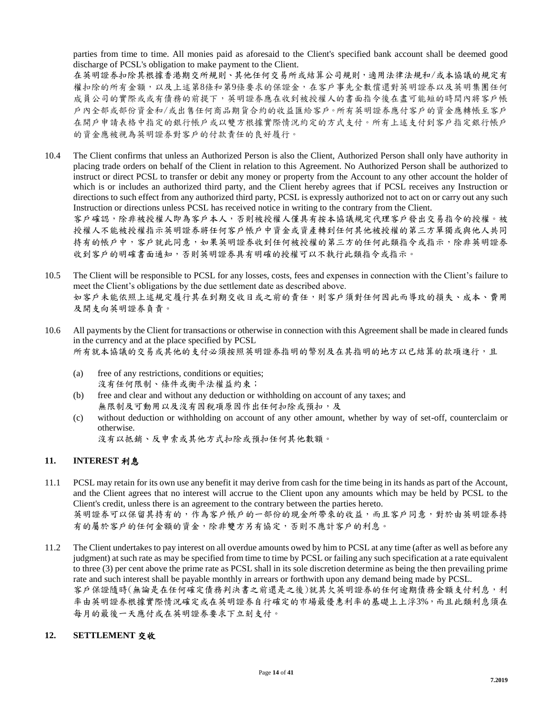parties from time to time. All monies paid as aforesaid to the Client's specified bank account shall be deemed good discharge of PCSL's obligation to make payment to the Client.

在英明證券扣除其根據香港期交所規則、其他任何交易所或結算公司規則,適用法律法規和/或本協議的規定有 權扣除的所有金額,以及上述第8條和第9條要求的保證金,在客戶事先全數償還對英明證券以及英明集團任何 成員公司的實際或或有債務的前提下,英明證券應在收到被授權人的書面指令後在盡可能短的時間內將客戶帳 戶內全部或部份資金和/或出售任何商品期貨合約的收益匯給客戶。所有英明證券應付客戶的資金應轉帳至客戶 在開戶申請表格中指定的銀行帳戶或以雙方根據實際情況約定的方式支付。所有上述支付到客戶指定銀行帳戶 的資金應被視為英明證券對客戶的付款責任的良好履行。

- 10.4 The Client confirms that unless an Authorized Person is also the Client, Authorized Person shall only have authority in placing trade orders on behalf of the Client in relation to this Agreement. No Authorized Person shall be authorized to instruct or direct PCSL to transfer or debit any money or property from the Account to any other account the holder of which is or includes an authorized third party, and the Client hereby agrees that if PCSL receives any Instruction or directions to such effect from any authorized third party, PCSL is expressly authorized not to act on or carry out any such Instruction or directions unless PCSL has received notice in writing to the contrary from the Client. 客戶確認,除非被授權人即為客戶本人,否則被授權人僅具有按本協議規定代理客戶發出交易指令的授權。被 授權人不能被授權指示英明證券將任何客戶帳戶中資金或資產轉到任何其他被授權的第三方單獨或與他人共同 持有的帳戶中,客戶就此同意,如果英明證券收到任何被授權的第三方的任何此類指令或指示,除非英明證券
- 10.5 The Client will be responsible to PCSL for any losses, costs, fees and expenses in connection with the Client's failure to meet the Client's obligations by the due settlement date as described above. 如客戶未能依照上述規定履行其在到期交收日或之前的責任,則客戶須對任何因此而導玫的損失、成本、費用 及開支向英明證券負責。
- 10.6 All payments by the Client for transactions or otherwise in connection with this Agreement shall be made in cleared funds in the currency and at the place specified by PCSL 所有就本協議的交易或其他的支付必須按照英明證券指明的幣別及在其指明的地方以已結算的款項進行,且
	- (a) free of any restrictions, conditions or equities; 沒有任何限制、條件或衡平法權益約束;
	- (b) free and clear and without any deduction or withholding on account of any taxes; and 無限制及可動用以及沒有因稅項原因作出任何扣除或預扣,及

收到客戶的明確書面通知,否則英明證券具有明確的授權可以不執行此類指令或指示。

- (c) without deduction or withholding on account of any other amount, whether by way of set-off, counterclaim or otherwise.
	- 沒有以抵銷、反申索或其他方式扣除或預扣任何其他數額。

## **11. INTEREST** 利息

- 11.1 PCSL may retain for its own use any benefit it may derive from cash for the time being in its hands as part of the Account, and the Client agrees that no interest will accrue to the Client upon any amounts which may be held by PCSL to the Client's credit, unless there is an agreement to the contrary between the parties hereto. 英明證券可以保留其持有的,作為客戶帳戶的一部份的現金所帶來的收益,而且客戶同意,對於由英明證券持 有的屬於客戶的任何金額的資金,除非雙方另有協定,否則不應計客戶的利息。
- 11.2 The Client undertakes to pay interest on all overdue amounts owed by him to PCSL at any time (after as well as before any judgment) at such rate as may be specified from time to time by PCSL or failing any such specification at a rate equivalent to three (3) per cent above the prime rate as PCSL shall in its sole discretion determine as being the then prevailing prime rate and such interest shall be payable monthly in arrears or forthwith upon any demand being made by PCSL. 客戶保證隨時(無論是在任何確定債務判決書之前還是之後)就其欠英明證券的任何逾期債務金額支付利息,利 率由英明證券根據實際情況確定或在英明證券自行確定的巿場最優惠利率的基礎上上浮3%,而且此類利息須在 每月的最後一天應付或在英明證券要求下立刻支付。

## **12. SETTLEMENT** 交收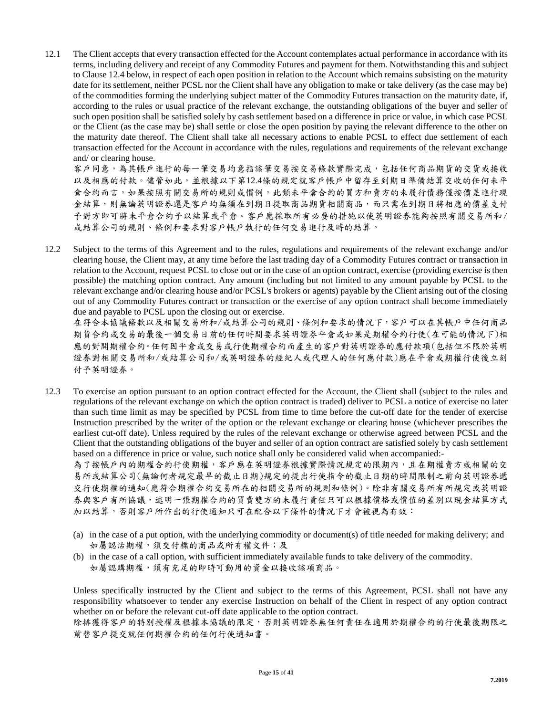12.1 The Client accepts that every transaction effected for the Account contemplates actual performance in accordance with its terms, including delivery and receipt of any Commodity Futures and payment for them. Notwithstanding this and subject to Clause 12.4 below, in respect of each open position in relation to the Account which remains subsisting on the maturity date for its settlement, neither PCSL nor the Client shall have any obligation to make or take delivery (as the case may be) of the commodities forming the underlying subject matter of the Commodity Futures transaction on the maturity date, if, according to the rules or usual practice of the relevant exchange, the outstanding obligations of the buyer and seller of such open position shall be satisfied solely by cash settlement based on a difference in price or value, in which case PCSL or the Client (as the case may be) shall settle or close the open position by paying the relevant difference to the other on the maturity date thereof. The Client shall take all necessary actions to enable PCSL to effect due settlement of each transaction effected for the Account in accordance with the rules, regulations and requirements of the relevant exchange and/ or clearing house.

客戶同意,為其帳戶進行的每一筆交易均意指該筆交易按交易條款實際完成,包括任何商品期貨的交貨或接收 以及相應的付款。儘管如此,並根據以下第12.4條的規定就客戶帳戶中留存至到期日準備結算交收的任何未平 倉合約而言,如果按照有關交易所的規則或慣例,此類未平倉合約的買方和賣方的未履行債務僅按價差進行現 金結算,則無論英明證券還是容戶均無須在到期日提取商品期貨相關商品,而只需在到期日將相應的價差支付 予對方即可將未平倉合約予以結算或平倉。客戶應採取所有必要的措施以使英明證券能夠按照有關交易所和/ 或結算公司的規則、條例和要求對客戶帳戶執行的任何交易進行及時的結算。

12.2 Subject to the terms of this Agreement and to the rules, regulations and requirements of the relevant exchange and/or clearing house, the Client may, at any time before the last trading day of a Commodity Futures contract or transaction in relation to the Account, request PCSL to close out or in the case of an option contract, exercise (providing exercise is then possible) the matching option contract. Any amount (including but not limited to any amount payable by PCSL to the relevant exchange and/or clearing house and/or PCSL's brokers or agents) payable by the Client arising out of the closing out of any Commodity Futures contract or transaction or the exercise of any option contract shall become immediately due and payable to PCSL upon the closing out or exercise.

在符合本協議條款以及相關交易所和/或結算公司的規則、條例和要求的情況下,客戶可以在其帳戶中任何商品 期貨合約或交易的最後一個交易日前的任何時間要求英明證券平倉或如果是期權合約行使(在可能的情況下)相 應的對開期權合約。任何因平倉或交易或行使期權合約而產生的客戶對英明證券的應付款項(包括但不限於英明 證券對相關交易所和/或結算公司和/或英明證券的經紀人或代理人的任何應付款)應在平倉或期權行使後立刻 付予英明證券。

12.3 To exercise an option pursuant to an option contract effected for the Account, the Client shall (subject to the rules and regulations of the relevant exchange on which the option contract is traded) deliver to PCSL a notice of exercise no later than such time limit as may be specified by PCSL from time to time before the cut-off date for the tender of exercise Instruction prescribed by the writer of the option or the relevant exchange or clearing house (whichever prescribes the earliest cut-off date). Unless required by the rules of the relevant exchange or otherwise agreed between PCSL and the Client that the outstanding obligations of the buyer and seller of an option contract are satisfied solely by cash settlement based on a difference in price or value, such notice shall only be considered valid when accompanied:-

為了按帳戶內的期權合約行使期權,客戶應在英明證券根據實際情況規定的限期內,且在期權賣方或相關的交 易所或結算公司(無論何者規定最早的截止日期)規定的提出行使指令的截止日期的時間限制之前向英明證券遞 交行使期權的通知(應符合期權合約交易所在的相關交易所的規則和條例)。除非有關交易所有所規定或英明證 券與客戶有所協議,述明一張期權合約的買賣雙方的未履行責任只可以根據價格或價值的差別以現金結算方式 加以結算,否則客戶所作出的行使通知只可在配合以下條件的情況下才會被視為有效:

- (a) in the case of a put option, with the underlying commodity or document(s) of title needed for making delivery; and 如屬認沽期權,須交付標的商品或所有權文件;及
- (b) in the case of a call option, with sufficient immediately available funds to take delivery of the commodity. 如屬認購期權,須有充足的即時可動用的資金以接收該項商品。

Unless specifically instructed by the Client and subject to the terms of this Agreement, PCSL shall not have any responsibility whatsoever to tender any exercise Instruction on behalf of the Client in respect of any option contract whether on or before the relevant cut-off date applicable to the option contract.

除排獲得客戶的特別授權及根據本協議的限定,否則英明證券無任何責任在適用於期權合約的行使最後期限之 前替客戶提交就任何期權合約的任何行使通知書。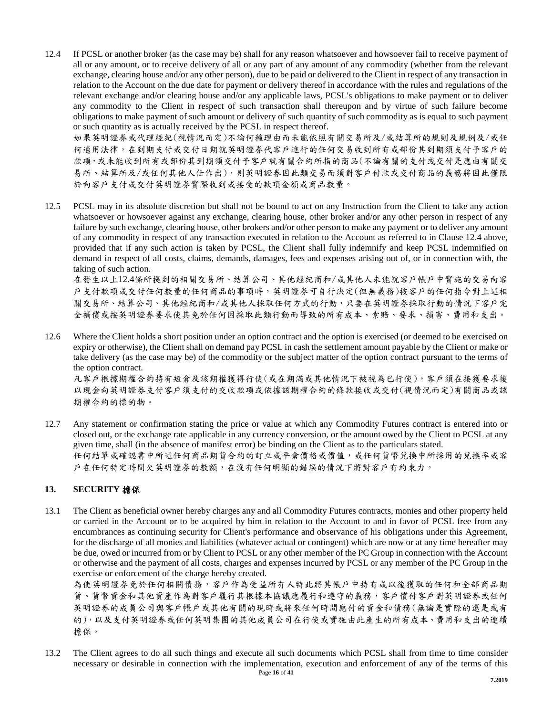12.4 If PCSL or another broker (as the case may be) shall for any reason whatsoever and howsoever fail to receive payment of all or any amount, or to receive delivery of all or any part of any amount of any commodity (whether from the relevant exchange, clearing house and/or any other person), due to be paid or delivered to the Client in respect of any transaction in relation to the Account on the due date for payment or delivery thereof in accordance with the rules and regulations of the relevant exchange and/or clearing house and/or any applicable laws, PCSL's obligations to make payment or to deliver any commodity to the Client in respect of such transaction shall thereupon and by virtue of such failure become obligations to make payment of such amount or delivery of such quantity of such commodity as is equal to such payment or such quantity as is actually received by the PCSL in respect thereof.

如果英明證券或代理經紀(視情況而定)不論何種理由而未能依照有關交易所及/或結算所的規則及規例及/或任 何適用法律,在到期支付或交付日期就英明證券代客戶進行的任何交易收到所有或部份其到期須支付予客戶的 款項,或未能收到所有或部份其到期須交付予客戶就有關合約所指的商品(不論有關的支付或交付是應由有關交 易所、結算所及/或任何其他人仕作出),則英明證券因此類交易而須對客戶付款或交付商品的義務將因此僅限 於向客戶支付或交付英明證券實際收到或接受的款項金額或商品數量。

12.5 PCSL may in its absolute discretion but shall not be bound to act on any Instruction from the Client to take any action whatsoever or howsoever against any exchange, clearing house, other broker and/or any other person in respect of any failure by such exchange, clearing house, other brokers and/or other person to make any payment or to deliver any amount of any commodity in respect of any transaction executed in relation to the Account as referred to in Clause 12.4 above, provided that if any such action is taken by PCSL, the Client shall fully indemnify and keep PCSL indemnified on demand in respect of all costs, claims, demands, damages, fees and expenses arising out of, or in connection with, the taking of such action.

在發生以上12.4條所提到的相關交易所、結算公司、其他經紀商和/或其他人未能就客戶帳戶中實施的交易向客 戶支付款項或交付任何數量的任何商品的事項時,英明證券可自行決定(但無義務)按客戶的任何指令對上述相 關交易所、結算公司、其他經紀商和/或其他人採取任何方式的行動,只要在英明證券採取行動的情況下客戶完 全補償或按英明證券要求使其免於任何因採取此類行動而導致的所有成本、索賠、要求、損害、費用和支出。

12.6 Where the Client holds a short position under an option contract and the option is exercised (or deemed to be exercised on expiry or otherwise), the Client shall on demand pay PCSL in cash the settlement amount payable by the Client or make or take delivery (as the case may be) of the commodity or the subject matter of the option contract pursuant to the terms of the option contract.

凡客戶根據期權合約持有短倉及該期權獲得行使(或在期滿或其他情況下被視為已行使),客戶須在接獲要求後 以現金向英明證券支付客戶須支付的交收款項或依據該期權合約的條款接收或交付(視情況而定)有關商品或該 期權合約的標的物。

12.7 Any statement or confirmation stating the price or value at which any Commodity Futures contract is entered into or closed out, or the exchange rate applicable in any currency conversion, or the amount owed by the Client to PCSL at any given time, shall (in the absence of manifest error) be binding on the Client as to the particulars stated. 任何結單或確認書中所述任何商品期貨合約的訂立或平倉價格或價值,或任何貨幣兌換中所採用的兌換率或客 戶在任何特定時間欠英明證券的數額,在沒有任何明顯的錯誤的情況下將對客戶有約束力。

## **13. SECURITY** 擔保

13.1 The Client as beneficial owner hereby charges any and all Commodity Futures contracts, monies and other property held or carried in the Account or to be acquired by him in relation to the Account to and in favor of PCSL free from any encumbrances as continuing security for Client's performance and observance of his obligations under this Agreement, for the discharge of all monies and liabilities (whatever actual or contingent) which are now or at any time hereafter may be due, owed or incurred from or by Client to PCSL or any other member of the PC Group in connection with the Account or otherwise and the payment of all costs, charges and expenses incurred by PCSL or any member of the PC Group in the exercise or enforcement of the charge hereby created.

為使英明證券免於任何相關債務,客戶作為受益所有人特此將其帳戶中持有或以後獲取的任何和全部商品期 貨、貨幣資金和其他資產作為對客戶履行其據本協議應履行和遵守的義務,客戶償付客戶對英明證券或任何 英明證券的成員公司與客戶帳戶或其他有關的現時或將來任何時間應付的資金和債務(無論是實際的還是或有 的),以及支付英明證券或任何英明集團的其他成員公司在行使或實施由此產生的所有成本、費用和支出的連續 擔保。

Page **16** of **41** 13.2 The Client agrees to do all such things and execute all such documents which PCSL shall from time to time consider necessary or desirable in connection with the implementation, execution and enforcement of any of the terms of this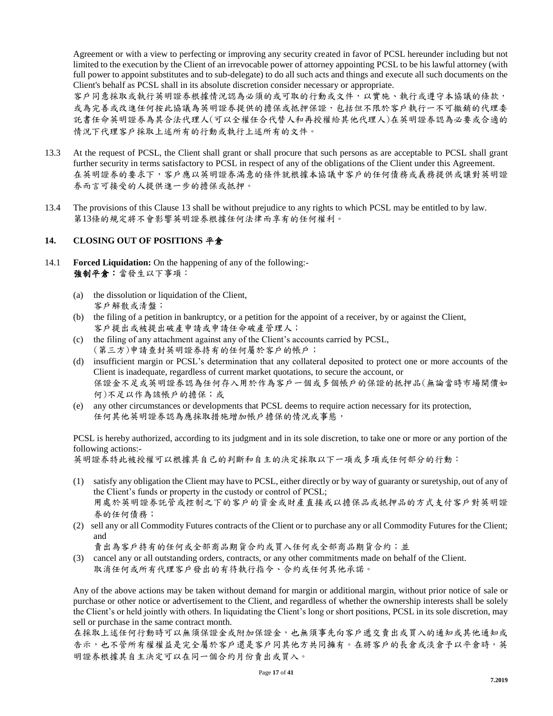Agreement or with a view to perfecting or improving any security created in favor of PCSL hereunder including but not limited to the execution by the Client of an irrevocable power of attorney appointing PCSL to be his lawful attorney (with full power to appoint substitutes and to sub-delegate) to do all such acts and things and execute all such documents on the Client's behalf as PCSL shall in its absolute discretion consider necessary or appropriate.

客戶同意採取或執行英明證券根據情況認為必須的或可取的行動或文件,以實施、執行或遵守本協議的條款, 或為完善或改進任何按此協議為英明證券提供的擔保或抵押保證,包括但不限於客戶執行一不可撤銷的代理委 託書任命英明證券為其合法代理人(可以全權任合代替人和再授權給其他代理人)在英明證券認為必要或合適的 情況下代理客戶採取上述所有的行動或執行上述所有的文件。

- 13.3 At the request of PCSL, the Client shall grant or shall procure that such persons as are acceptable to PCSL shall grant further security in terms satisfactory to PCSL in respect of any of the obligations of the Client under this Agreement. 在英明證券的要求下,客戶應以英明證券滿意的條件就根據本協議中客戶的任何債務或義務提供或讓對英明證 券而言可接受的人提供進一步的擔保或抵押。
- 13.4 The provisions of this Clause 13 shall be without prejudice to any rights to which PCSL may be entitled to by law. 第13條的規定將不會影響英明證券根據任何法律而享有的任何權利。

## **14. CLOSING OUT OF POSITIONS** 平倉

- 14.1 **Forced Liquidation:** On the happening of any of the following:- 強制平倉:當發生以下事項:
	- (a) the dissolution or liquidation of the Client, 客戶解散或清盤;
	- (b) the filing of a petition in bankruptcy, or a petition for the appoint of a receiver, by or against the Client, 客戶提出或被提出破產申請或申請任命破產管理人;
	- (c) the filing of any attachment against any of the Client's accounts carried by PCSL, (第三方)申請查封英明證券持有的任何屬於客戶的帳戶;
	- (d) insufficient margin or PCSL's determination that any collateral deposited to protect one or more accounts of the Client is inadequate, regardless of current market quotations, to secure the account, or 保證金不足或英明證券認為任何存入用於作為客戶一個或多個帳戶的保證的抵押品(無論當時巿場開價如 何)不足以作為該帳戶的擔保;或
	- (e) any other circumstances or developments that PCSL deems to require action necessary for its protection, 任何其他英明證券認為應採取措施增加帳戶擔保的情況或事態,

PCSL is hereby authorized, according to its judgment and in its sole discretion, to take one or more or any portion of the following actions:-

英明證券特此被授權可以根據其自己的判斷和自主的決定採取以下一項或多項或任何部分的行動:

- (1) satisfy any obligation the Client may have to PCSL, either directly or by way of guaranty or suretyship, out of any of the Client's funds or property in the custody or control of PCSL; 用處於英明證券託管或控制之下的客戶的資金或財產直接或以擔保品或抵押品的方式支付客戶對英明證 券的任何債務;
- (2) sell any or all Commodity Futures contracts of the Client or to purchase any or all Commodity Futures for the Client; and

賣出為客戶持有的任何或全部商品期貨合約或買入任何或全部商品期貨合約;並

(3) cancel any or all outstanding orders, contracts, or any other commitments made on behalf of the Client. 取消任何或所有代理客戶發出的有待執行指令、合約或任何其他承諾。

Any of the above actions may be taken without demand for margin or additional margin, without prior notice of sale or purchase or other notice or advertisement to the Client, and regardless of whether the ownership interests shall be solely the Client's or held jointly with others. In liquidating the Client's long or short positions, PCSL in its sole discretion, may sell or purchase in the same contract month.

在採取上述任何行動時可以無須保證金或附加保證金,也無須事先向客戶遞交賣出或買入的通知或其他通知或 告示,也不管所有權權益是完全屬於客戶還是客戶同其他方共同擁有。在將客戶的長倉或淡倉予以平倉時,英 明證券根據其自主決定可以在同一個合約月份賣出或買入。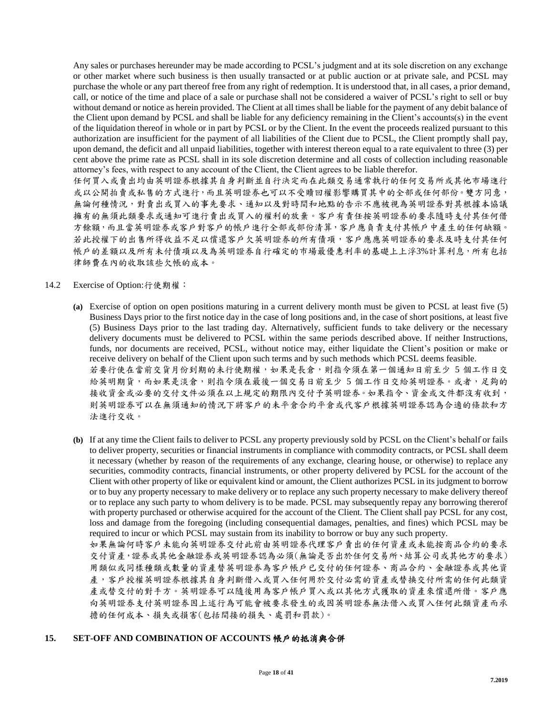Any sales or purchases hereunder may be made according to PCSL's judgment and at its sole discretion on any exchange or other market where such business is then usually transacted or at public auction or at private sale, and PCSL may purchase the whole or any part thereof free from any right of redemption. It is understood that, in all cases, a prior demand, call, or notice of the time and place of a sale or purchase shall not be considered a waiver of PCSL's right to sell or buy without demand or notice as herein provided. The Client at all times shall be liable for the payment of any debit balance of the Client upon demand by PCSL and shall be liable for any deficiency remaining in the Client's accounts(s) in the event of the liquidation thereof in whole or in part by PCSL or by the Client. In the event the proceeds realized pursuant to this authorization are insufficient for the payment of all liabilities of the Client due to PCSL, the Client promptly shall pay, upon demand, the deficit and all unpaid liabilities, together with interest thereon equal to a rate equivalent to three (3) per cent above the prime rate as PCSL shall in its sole discretion determine and all costs of collection including reasonable attorney's fees, with respect to any account of the Client, the Client agrees to be liable therefor.

任何買入或賣出均由英明證券根據其自身判斷並自行決定而在此類交易通常執行的任何交易所或其他巿場進行 或以公開拍賣或私售的方式進行,而且英明證券也可以不受贖回權影響購買其中的全部或任何部份。雙方同意, 無論何種情況,對賣出或買入的事先要求、通知以及對時間和地點的告示不應被視為英明證券對其根據本協議 擁有的無須此類要求或通知可進行賣出或買入的權利的放棄。客戶有責任按英明證券的要求隨時支付其任何借 方餘額,而且當英明證券或客戶對客戶的帳戶進行全部或部份清算,客戶應負責支付其帳戶中產生的任何缺額。 若此授權下的出售所得收益不足以償還客戶欠英明證券的所有債項,客戶應應英明證券的要求及時支付其任何 帳戶的差額以及所有未付債項以及為英明證券自行確定的巿場最優惠利率的基礎上上浮3%計算利息,所有包括 律師費在內的收取該些欠帳的成本。

#### 14.2 Exercise of Option:行使期權:

- **(a)** Exercise of option on open positions maturing in a current delivery month must be given to PCSL at least five (5) Business Days prior to the first notice day in the case of long positions and, in the case of short positions, at least five (5) Business Days prior to the last trading day. Alternatively, sufficient funds to take delivery or the necessary delivery documents must be delivered to PCSL within the same periods described above. If neither Instructions, funds, nor documents are received, PCSL, without notice may, either liquidate the Client's position or make or receive delivery on behalf of the Client upon such terms and by such methods which PCSL deems feasible. 若要行使在當前交貨月份到期的未行使期權,如果是長倉,則指令須在第一個通知日前至少 5 個工作日交 給英明期貨,而如果是淡倉,則指令須在最後一個交易日前至少 5 個工作日交給英明證券。或者,足夠的 接收資金或必要的交付文件必須在以上規定的期限內交付予英明證券。如果指令、資金或文件都沒有收到, 則英明證券可以在無須通知的情況下將客戶的未平倉合約平倉或代客戶根據英明證券認為合適的條款和方 法進行交收。
- **(b)** If at any time the Client fails to deliver to PCSL any property previously sold by PCSL on the Client's behalf or fails to deliver property, securities or financial instruments in compliance with commodity contracts, or PCSL shall deem it necessary (whether by reason of the requirements of any exchange, clearing house, or otherwise) to replace any securities, commodity contracts, financial instruments, or other property delivered by PCSL for the account of the Client with other property of like or equivalent kind or amount, the Client authorizes PCSL in its judgment to borrow or to buy any property necessary to make delivery or to replace any such property necessary to make delivery thereof or to replace any such party to whom delivery is to be made. PCSL may subsequently repay any borrowing thererof with property purchased or otherwise acquired for the account of the Client. The Client shall pay PCSL for any cost, loss and damage from the foregoing (including consequential damages, penalties, and fines) which PCSL may be required to incur or which PCSL may sustain from its inability to borrow or buy any such property. 如果無論何時客戶未能向英明證券交付此前由英明證券代理客戶賣出的任何資產或未能按商品合約的要求 交付資產,證券或其他金融證券或英明證券認為必須(無論是否出於任何交易所、結算公司或其他方的要求) 用類似或同樣種類或數量的資產替英明證券為客戶帳戶已交付的任何證券、商品合約、金融證券或其他資 產,客戶授權英明證券根據其自身判斷借入或買入任何用於交付必需的資產或替換交付所需的任何此類資 產或替交付的對手方。英明證券可以隨後用為客戶帳戶買入或以其他方式獲取的資產來償還所借。客戶應

向英明證券支付英明證券因上述行為可能會被要求發生的或因英明證券無法借入或買入任何此類資產而承

## **15. SET-OFF AND COMBINATION OF ACCOUNTS** 帳戶的抵消與合併

擔的任何成本、損失或損害(包括間接的損失、處罰和罰款)。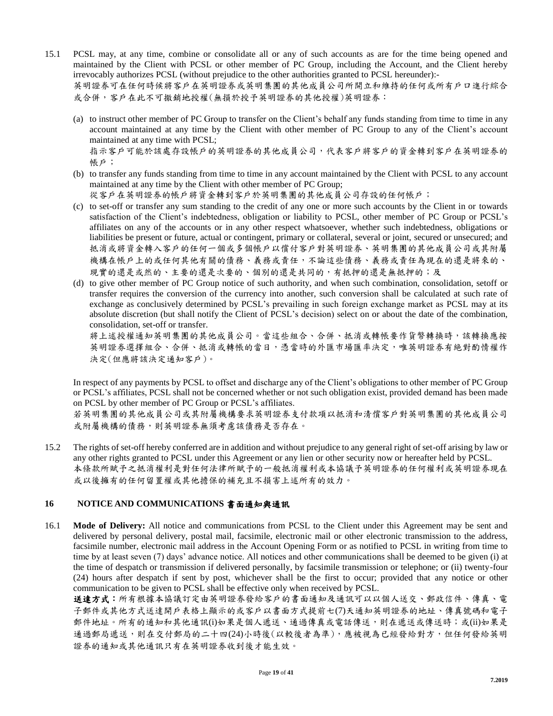- 15.1 PCSL may, at any time, combine or consolidate all or any of such accounts as are for the time being opened and maintained by the Client with PCSL or other member of PC Group, including the Account, and the Client hereby irrevocably authorizes PCSL (without prejudice to the other authorities granted to PCSL hereunder):- 英明證券可在任何時候將客戶在英明證券或英明集團的其他成員公司所開立和維持的任何或所有戶口進行綜合 或合併,客戶在此不可撤銷地授權(無損於授予英明證券的其他授權)英明證券:
	- (a) to instruct other member of PC Group to transfer on the Client's behalf any funds standing from time to time in any account maintained at any time by the Client with other member of PC Group to any of the Client's account maintained at any time with PCSL;

指示客戶可能於該處存設帳戶的英明證券的其他成員公司,代表客戶將客戶的資金轉到客戶在英明證券的 帳戶;

(b) to transfer any funds standing from time to time in any account maintained by the Client with PCSL to any account maintained at any time by the Client with other member of PC Group;

從客戶在英明證券的帳戶將資金轉到客戶於英明集團的其他成員公司存設的任何帳戶;

- (c) to set-off or transfer any sum standing to the credit of any one or more such accounts by the Client in or towards satisfaction of the Client's indebtedness, obligation or liability to PCSL, other member of PC Group or PCSL's affiliates on any of the accounts or in any other respect whatsoever, whether such indebtedness, obligations or liabilities be present or future, actual or contingent, primary or collateral, several or joint, secured or unsecured; and 抵消或將資金轉入客戶的任何一個或多個帳戶以償付客戶對英明證券、英明集團的其他成員公司或其附屬 機構在帳戶上的或任何其他有關的債務、義務或責任,不論這些債務、義務或責任為現在的還是將來的、 現實的還是或然的、主要的還是次要的、個別的還是共同的,有抵押的還是無抵押的;及
- (d) to give other member of PC Group notice of such authority, and when such combination, consolidation, setoff or transfer requires the conversion of the currency into another, such conversion shall be calculated at such rate of exchange as conclusively determined by PCSL's prevailing in such foreign exchange market as PCSL may at its absolute discretion (but shall notify the Client of PCSL's decision) select on or about the date of the combination, consolidation, set-off or transfer.

將上述授權通知英明集團的其他成員公司。當這些組合、合併、抵消或轉帳要作貨幣轉換時,該轉換應按 英明證券選擇組合、合併、抵消或轉帳的當日,憑當時的外匯市場匯率決定,唯英明證券有絶對酌情權作 決定(但應將該決定通知客戶)。

In respect of any payments by PCSL to offset and discharge any of the Client's obligations to other member of PC Group or PCSL's affiliates, PCSL shall not be concerned whether or not such obligation exist, provided demand has been made on PCSL by other member of PC Group or PCSL's affiliates.

若英明集團的其他成員公司或其附屬機構要求英明證券支付款項以抵消和清償客戶對英明集團的其他成員公司 或附屬機構的債務,則英明證券無須考慮該債務是否存在。

15.2 The rights of set-off hereby conferred are in addition and without prejudice to any general right of set-off arising by law or any other rights granted to PCSL under this Agreement or any lien or other security now or hereafter held by PCSL. 本條款所賦予之抵消權利是對任何法律所賦予的一般抵消權利或本協議予英明證券的任何權利或英明證券現在 或以後擁有的任何留置權或其他擔保的補充且不損害上述所有的效力。

## **16** NOTICE AND COMMUNICATIONS 書面通知與通訊

16.1 **Mode of Delivery:** All notice and communications from PCSL to the Client under this Agreement may be sent and delivered by personal delivery, postal mail, facsimile, electronic mail or other electronic transmission to the address, facsimile number, electronic mail address in the Account Opening Form or as notified to PCSL in writing from time to time by at least seven (7) days' advance notice. All notices and other communications shall be deemed to be given (i) at the time of despatch or transmission if delivered personally, by facsimile transmission or telephone; or (ii) twenty-four (24) hours after despatch if sent by post, whichever shall be the first to occur; provided that any notice or other communication to be given to PCSL shall be effective only when received by PCSL.

送達方式:所有根據本協議訂定由英明證券發給客戶的書面通知及通訊可以以個人送交、郵政信件、傳真、電 子郵件或其他方式送達開戶表格上顯示的或客戶以書面方式提前七(7)天通知英明證券的地址、傳真號碼和電子 郵件地址。所有的通知和其他通訊(i)如果是個人遞送、通過傳真或電話傳送,則在遞送或傳送時;或(ii)如果是 通過郵局遞送,則在交付郵局的二十四(24)小時後(以較後者為準),應被視為已經發給對方,但任何發給英明 證券的通知或其他通訊只有在英明證券收到後才能生效。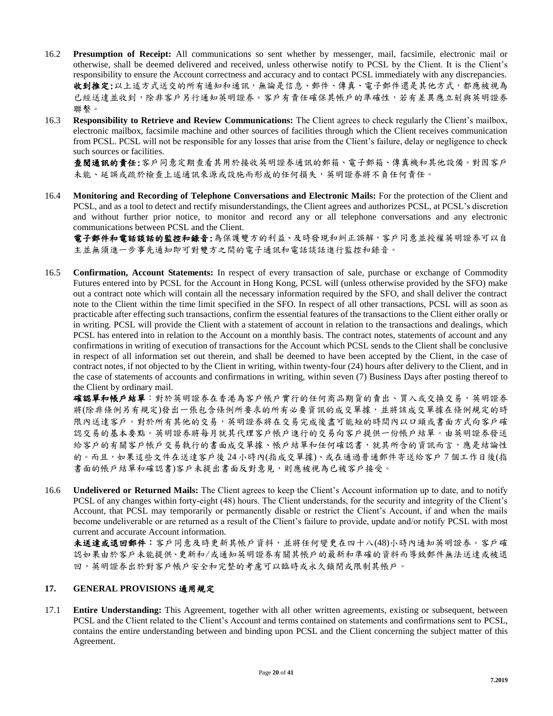- 16.2 **Presumption of Receipt:** All communications so sent whether by messenger, mail, facsimile, electronic mail or otherwise, shall be deemed delivered and received, unless otherwise notify to PCSL by the Client. It is the Client's responsibility to ensure the Account correctness and accuracy and to contact PCSL immediately with any discrepancies. 收到推定:以上述方式送交的所有通知和通訊,無論是信息、郵件、傳真、電子郵件還是其他方式,都應被視為 已經送達並收到,除非客戶另行通知英明證券。客戶有責任確保其帳戶的準確性,若有差異應立刻與英明證券 聯繫。
- 16.3 **Responsibility to Retrieve and Review Communications:** The Client agrees to check regularly the Client's mailbox, electronic mailbox, facsimile machine and other sources of facilities through which the Client receives communication from PCSL. PCSL will not be responsible for any losses that arise from the Client's failure, delay or negligence to check such sources or facilities.

查閱通訊的責任:客戶同意定期查看其用於接收英明證券通訊的郵箱、電子郵箱、傳真機和其他設備。對因客戶 未能、延誤或疏於檢查上述通訊來源或設施而形成的任何損失,英明證券將不負任何責任。

16.4 **Monitoring and Recording of Telephone Conversations and Electronic Mails:** For the protection of the Client and PCSL, and as a tool to detect and rectify misunderstandings, the Client agrees and authorizes PCSL, at PCSL's discretion and without further prior notice, to monitor and record any or all telephone conversations and any electronic communications between PCSL and the Client.

電子郵件和電話談話的監控和錄音:為保護雙方的利益、及時發現和糾正誤解,客戶同意並授權英明證券可以自 主並無須進一步事先通知即可對雙方之間的電子通訊和電話談話進行監控和錄音。

16.5 **Confirmation, Account Statements:** In respect of every transaction of sale, purchase or exchange of Commodity Futures entered into by PCSL for the Account in Hong Kong, PCSL will (unless otherwise provided by the SFO) make out a contract note which will contain all the necessary information required by the SFO, and shall deliver the contract note to the Client within the time limit specified in the SFO. In respect of all other transactions, PCSL will as soon as practicable after effecting such transactions, confirm the essential features of the transactions to the Client either orally or in writing. PCSL will provide the Client with a statement of account in relation to the transactions and dealings, which PCSL has entered into in relation to the Account on a monthly basis. The contract notes, statements of account and any confirmations in writing of execution of transactions for the Account which PCSL sends to the Client shall be conclusive in respect of all information set out therein, and shall be deemed to have been accepted by the Client, in the case of contract notes, if not objected to by the Client in writing, within twenty-four (24) hours after delivery to the Client, and in the case of statements of accounts and confirmations in writing, within seven (7) Business Days after posting thereof to the Client by ordinary mail.

確認單和帳戶結單:對於英明證券在香港為客戶帳戶實行的任何商品期貨的賣出、買入或交換交易,英明證券 將(除非條例另有規定)發出一張包含條例所要求的所有必要資訊的成交單據,並將該成交單據在條例規定的時 限內送達客戶。對於所有其他的交易,英明證券將在交易完成後盡可能短的時間內以口頭或書面方式向客戶確 認交易的基本要點。英明證券將每月就其代理客戶帳戶進行的交易向客戶提供一份帳戶結單。由英明證券發送 給客戶的有關客戶帳戶交易執行的書面成交單據、帳戶結單和任何確認書,就其所含的資訊而言,應是結論性 的。而且,如果這些文件在送達客戶後 24 小時內(指成交單據)、或在通過普通郵件寄送給客戶 7 個工作日後(指 書面的帳戶結單和確認書)客戶未提出書面反對意見,則應被視為已被客戶接受。

16.6 **Undelivered or Returned Mails:** The Client agrees to keep the Client's Account information up to date, and to notify PCSL of any changes within forty-eight (48) hours. The Client understands, for the security and integrity of the Client's Account, that PCSL may temporarily or permanently disable or restrict the Client's Account, if and when the mails become undeliverable or are returned as a result of the Client's failure to provide, update and/or notify PCSL with most current and accurate Account information.

未送達或退回郵件:客戶同意及時更新其帳戶資料,並將任何變更在四十八(48)小時內通知英明證券。客戶確 認如果由於客戶未能提供、更新和/或通知英明證券有關其帳戶的最新和準確的資料而導致郵件無法送達或被退 回,英明證券出於對客戶帳戶安全和完整的考慮可以臨時或永久鎖閉或限制其帳戶。

## **17. GENERAL PROVISIONS** 通用規定

17.1 **Entire Understanding:** This Agreement, together with all other written agreements, existing or subsequent, between PCSL and the Client related to the Client's Account and terms contained on statements and confirmations sent to PCSL, contains the entire understanding between and binding upon PCSL and the Client concerning the subject matter of this Agreement.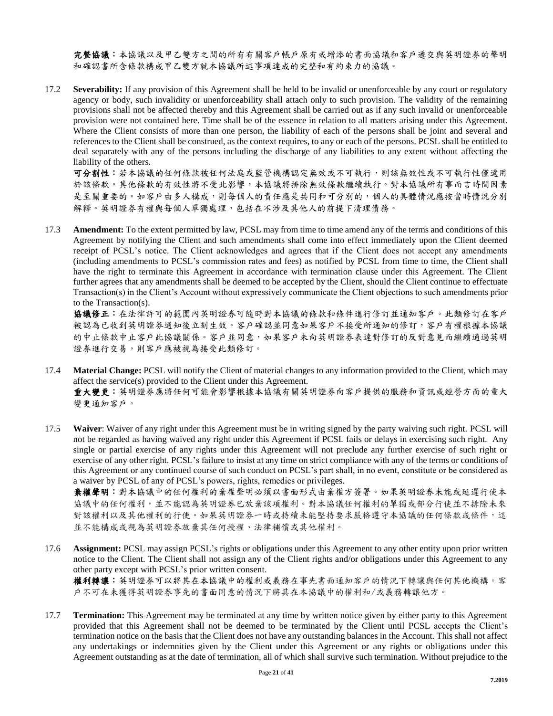完整協議:本協議以及甲乙雙方之間的所有有關客戶帳戶原有或增添的書面協議和客戶遞交與英明證券的聲明 和確認書所含條款構成甲乙雙方就本協議所述事項達成的完整和有約束力的協議。

17.2 **Severability:** If any provision of this Agreement shall be held to be invalid or unenforceable by any court or regulatory agency or body, such invalidity or unenforceability shall attach only to such provision. The validity of the remaining provisions shall not be affected thereby and this Agreement shall be carried out as if any such invalid or unenforceable provision were not contained here. Time shall be of the essence in relation to all matters arising under this Agreement. Where the Client consists of more than one person, the liability of each of the persons shall be joint and several and references to the Client shall be construed, as the context requires, to any or each of the persons. PCSL shall be entitled to deal separately with any of the persons including the discharge of any liabilities to any extent without affecting the liability of the others.

可分割性:若本協議的任何條款被任何法庭或監管機構認定無效或不可執行,則該無效性或不可執行性僅適用 於該條款。其他條款的有效性將不受此影響,本協議將排除無效條款繼續執行。對本協議所有事而言時間因素 是至關重要的。如客戶由多人構成,則每個人的責任應是共同和可分別的,個人的具體情況應按當時情況分別 解釋。英明證券有權與每個人單獨處理,包括在不涉及其他人的前提下清理債務。

17.3 **Amendment:** To the extent permitted by law, PCSL may from time to time amend any of the terms and conditions of this Agreement by notifying the Client and such amendments shall come into effect immediately upon the Client deemed receipt of PCSL's notice. The Client acknowledges and agrees that if the Client does not accept any amendments (including amendments to PCSL's commission rates and fees) as notified by PCSL from time to time, the Client shall have the right to terminate this Agreement in accordance with termination clause under this Agreement. The Client further agrees that any amendments shall be deemed to be accepted by the Client, should the Client continue to effectuate Transaction(s) in the Client's Account without expressively communicate the Client objections to such amendments prior to the Transaction(s).

協議修正:在法律許可的範圍內英明證券可隨時對本協議的條款和條件進行修訂並通知客戶。此類修訂在客戶 被認為已收到英明證券通知後立刻生效。客戶確認並同意如果客戶不接受所通知的修訂,客戶有權根據本協議 的中止條款中止客戶此協議關係。客戶並同意,如果客戶未向英明證券表達對修訂的反對意見而繼續通過英明 證券進行交易,則客戶應被視為接受此類修訂。

- 17.4 **Material Change:** PCSL will notify the Client of material changes to any information provided to the Client, which may affect the service(s) provided to the Client under this Agreement. 重大變更:英明證券應將任何可能會影響根據本協議有關英明證券向客戶提供的服務和資訊或經營方面的重大 變更通知客戶。
- 17.5 **Waiver**: Waiver of any right under this Agreement must be in writing signed by the party waiving such right. PCSL will not be regarded as having waived any right under this Agreement if PCSL fails or delays in exercising such right. Any single or partial exercise of any rights under this Agreement will not preclude any further exercise of such right or exercise of any other right. PCSL's failure to insist at any time on strict compliance with any of the terms or conditions of this Agreement or any continued course of such conduct on PCSL's part shall, in no event, constitute or be considered as a waiver by PCSL of any of PCSL's powers, rights, remedies or privileges.

棄權聲明:對本協議中的任何權利的棄權聲明必須以書面形式由棄權方簽署。如果英明證券未能或延遲行使本 協議中的任何權利,並不能認為英明證券已放棄該項權利。對本協議任何權利的單獨或部分行使並不排除未來 對該權利以及其他權利的行使。如果英明證券一時或持續未能堅持要求嚴格遵守本協議的任何條款或條件,這 並不能構成或視為英明證券放棄其任何授權、法律補償或其他權利。

17.6 **Assignment:** PCSL may assign PCSL's rights or obligations under this Agreement to any other entity upon prior written notice to the Client. The Client shall not assign any of the Client rights and/or obligations under this Agreement to any other party except with PCSL's prior written consent.

權利轉讓:英明證券可以將其在本協議中的權利或義務在事先書面通知客戶的情況下轉讓與任何其他機構。客 戶不可在未獲得英明證券事先的書面同意的情況下將其在本協議中的權利和/或義務轉讓他方。

17.7 **Termination:** This Agreement may be terminated at any time by written notice given by either party to this Agreement provided that this Agreement shall not be deemed to be terminated by the Client until PCSL accepts the Client's termination notice on the basis that the Client does not have any outstanding balances in the Account. This shall not affect any undertakings or indemnities given by the Client under this Agreement or any rights or obligations under this Agreement outstanding as at the date of termination, all of which shall survive such termination. Without prejudice to the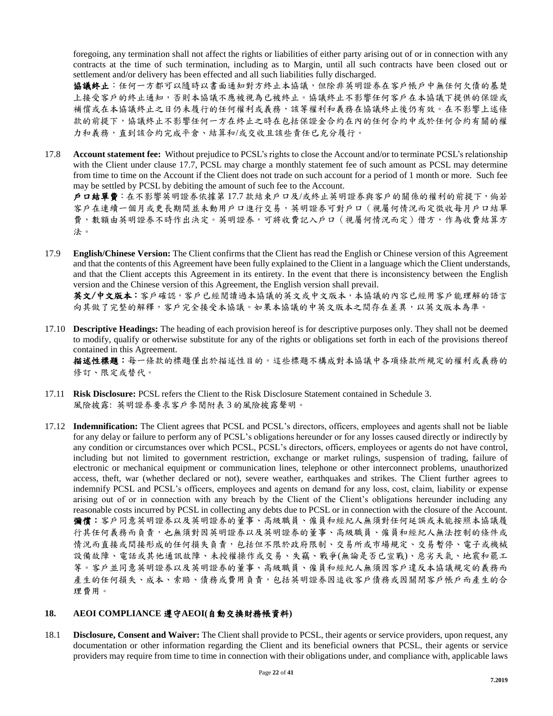foregoing, any termination shall not affect the rights or liabilities of either party arising out of or in connection with any contracts at the time of such termination, including as to Margin, until all such contracts have been closed out or settlement and/or delivery has been effected and all such liabilities fully discharged.

協議終止:任何一方都可以隨時以書面通知對方終止本協議,但除非英明證券在客戶帳戶中無任何欠債的基楚 上接受客戶的終止通知,否則本協議不應被視為已被終止。協議終止不影響任何客戶在本協議下提供的保證或 補償或在本協議終止之日仍未履行的任何權利或義務,該等權利和義務在協議終止後仍有效。在不影響上述條 款的前提下,協議終止不影響任何一方在終止之時在包括保證金合約在內的任何合約中或於任何合約有關的權 力和義務,直到該合約完成平倉、結算和/或交收且該些責任已充分履行。

17.8 **Account statement fee:** Without prejudice to PCSL's rights to close the Account and/or to terminate PCSL's relationship with the Client under clause 17.7, PCSL may charge a monthly statement fee of such amount as PCSL may determine from time to time on the Account if the Client does not trade on such account for a period of 1 month or more. Such fee may be settled by PCSL by debiting the amount of such fee to the Account.

戶口結單費:在不影響英明證券依據第 17.7 款結束戶口及/或終止英明證券與客戶的關係的權利的前提下,倘若 客戶在連續一個月或更長期間並未動用戶口進行交易,英明證券可對戶口(視屬何情況而定徵收每月戶口結單 費,數額由英明證券不時作出決定。英明證券,可將收費記入戶口(視屬何情況而定)借方,作為收費結算方 法。

17.9 **English/Chinese Version:** The Client confirms that the Client has read the English or Chinese version of this Agreement and that the contents of this Agreement have been fully explained to the Client in a language which the Client understands, and that the Client accepts this Agreement in its entirety. In the event that there is inconsistency between the English version and the Chinese version of this Agreement, the English version shall prevail.

英文/中文版本:客戶確認,客戶已經閱讀過本協議的英文或中文版本,本協議的內容已經用客戶能理解的語言 向其做了完整的解釋,客戶完全接受本協議。如果本協議的中英文版本之間存在差異,以英文版本為準。

17.10 **Descriptive Headings:** The heading of each provision hereof is for descriptive purposes only. They shall not be deemed to modify, qualify or otherwise substitute for any of the rights or obligations set forth in each of the provisions thereof contained in this Agreement.

描述性標題:每一條款的標題僅出於描述性目的。這些標題不構成對本協議中各項條款所規定的權利或義務的 修訂、限定或替代。

- 17.11 **Risk Disclosure:** PCSL refers the Client to the Risk Disclosure Statement contained in Schedule 3. 風險披露: 英明證券要求客戶參閱附表 3 的風險披露聲明。
- 17.12 **Indemnification:** The Client agrees that PCSL and PCSL's directors, officers, employees and agents shall not be liable for any delay or failure to perform any of PCSL's obligations hereunder or for any losses caused directly or indirectly by any condition or circumstances over which PCSL, PCSL's directors, officers, employees or agents do not have control, including but not limited to government restriction, exchange or market rulings, suspension of trading, failure of electronic or mechanical equipment or communication lines, telephone or other interconnect problems, unauthorized access, theft, war (whether declared or not), severe weather, earthquakes and strikes. The Client further agrees to indemnify PCSL and PCSL's officers, employees and agents on demand for any loss, cost, claim, liability or expense arising out of or in connection with any breach by the Client of the Client's obligations hereunder including any reasonable costs incurred by PCSL in collecting any debts due to PCSL or in connection with the closure of the Account. 彌償:客戶同意英明證券以及英明證券的董事、高級職員、僱員和經紀人無須對任何延誤或未能按照本協議履 行其任何義務而負責,也無須對因英明證券以及英明證券的董事、高級職員、僱員和經紀人無法控制的條件或 情況而直接或間接形成的任何損失負責,包括但不限於政府限制、交易所或市場規定、交易暫停、電子或機械 設備故障、電話或其他通訊故障、未授權操作或交易、失竊、戰爭(無論是否已宣戰)、惡劣天氣、地震和罷工 等。客戶並同意英明證券以及英明證券的董事、高級職員、僱員和經紀人無須因客戶違反本協議規定的義務而 產生的任何損失、成本、索賠、債務或費用負責,包括英明證券因追收客戶債務或因關閉客戶帳戶而產生的合 理費用。

## **18. AEOI COMPLIANCE** 遵守**AEOI(**自動交換財務帳資料**)**

18.1 **Disclosure, Consent and Waiver:** The Client shall provide to PCSL, their agents or service providers, upon request, any documentation or other information regarding the Client and its beneficial owners that PCSL, their agents or service providers may require from time to time in connection with their obligations under, and compliance with, applicable laws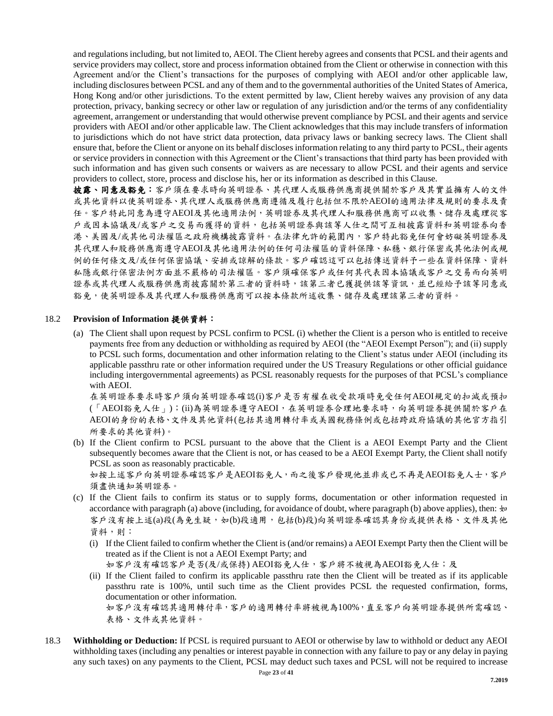and regulations including, but not limited to, AEOI. The Client hereby agrees and consents that PCSL and their agents and service providers may collect, store and process information obtained from the Client or otherwise in connection with this Agreement and/or the Client's transactions for the purposes of complying with AEOI and/or other applicable law, including disclosures between PCSL and any of them and to the governmental authorities of the United States of America, Hong Kong and/or other jurisdictions. To the extent permitted by law, Client hereby waives any provision of any data protection, privacy, banking secrecy or other law or regulation of any jurisdiction and/or the terms of any confidentiality agreement, arrangement or understanding that would otherwise prevent compliance by PCSL and their agents and service providers with AEOI and/or other applicable law. The Client acknowledges that this may include transfers of information to jurisdictions which do not have strict data protection, data privacy laws or banking secrecy laws. The Client shall ensure that, before the Client or anyone on its behalf discloses information relating to any third party to PCSL, their agents or service providers in connection with this Agreement or the Client's transactions that third party has been provided with such information and has given such consents or waivers as are necessary to allow PCSL and their agents and service providers to collect, store, process and disclose his, her or its information as described in this Clause.

披露、同意及豁免:客戶須在要求時向英明證券、其代理人或服務供應商提供關於客戶及其實益擁有人的文件 或其他資料以使英明證券、其代理人或服務供應商遵循及履行包括但不限於AEOI的適用法律及規則的要求及責 任。客戶特此同意為遵守AEOI及其他適用法例,英明證券及其代理人和服務供應商可以收集、儲存及處理從客 戶或因本協議及/或客戶之交易而獲得的資料,包括英明證券與該等人仕之間可互相披露資料和英明證券向香 港、美國及/或其他司法權區之政府機構披露資料。在法律允許的範圍內,客戶特此豁免任何會妨礙英明證券及 其代理人和股務供應商遵守AEOI及其他適用法例的任何司法權區的資料保障、私穩、銀行保密或其他法例或規 例的任何條文及/或任何保密協議、安排或諒解的條款。客戶確認這可以包括傳送資料予一些在資料保障、資料 私隱或銀行保密法例方面並不嚴格的司法權區。客戶須確保客戶或任何其代表因本協議或客戶之交易而向英明 證券或其代理人或服務供應商披露關於第三者的資料時,該第三者已獲提供該等資訊,並已經給予該等同意或 豁免,使英明證券及其代理人和服務供應商可以按本條款所述收集、儲存及處理該第三者的資料。

#### 18.2 **Provision of Information** 提供資料:

(a) The Client shall upon request by PCSL confirm to PCSL (i) whether the Client is a person who is entitled to receive payments free from any deduction or withholding as required by AEOI (the "AEOI Exempt Person"); and (ii) supply to PCSL such forms, documentation and other information relating to the Client's status under AEOI (including its applicable passthru rate or other information required under the US Treasury Regulations or other official guidance including intergovernmental agreements) as PCSL reasonably requests for the purposes of that PCSL's compliance with AEOI.

在英明證券要求時客戶須向英明證券確認(i)客戶是否有權在收受款項時免受任何AEOI規定的扣減或預扣 (「AEOI豁免人仕」);(ii)為英明證券遵守AEOI,在英明證券合理地要求時,向英明證券提供關於客戶在 AEOI的身份的表格、文件及其他資料(包括其適用轉付率或美國稅務條例或包括跨政府協議的其他官方指引 所要求的其他資料)。

- (b) If the Client confirm to PCSL pursuant to the above that the Client is a AEOI Exempt Party and the Client subsequently becomes aware that the Client is not, or has ceased to be a AEOI Exempt Party, the Client shall notify PCSL as soon as reasonably practicable. 如按上述客戶向英明證券確認客戶是AEOI豁免人,而之後客戶發現他並非或已不再是AEOI豁免人士,客戶 須盡快通知英明證券。
- (c) If the Client fails to confirm its status or to supply forms, documentation or other information requested in accordance with paragraph (a) above (including, for avoidance of doubt, where paragraph (b) above applies), then:  $\psi$ 客戶沒有按上述(a)段(為免生疑,如(b)段適用,包括(b)段)向英明證券確認其身份或提供表格、文件及其他 資料,則:
	- (i) If the Client failed to confirm whether the Client is (and/or remains) a AEOI Exempt Party then the Client will be treated as if the Client is not a AEOI Exempt Party; and 如客戶沒有確認客戶是否(及/或保持) AEOI豁免人仕,客戶將不被視為AEOI豁免人仕;及
	- (ii) If the Client failed to confirm its applicable passthru rate then the Client will be treated as if its applicable passthru rate is 100%, until such time as the Client provides PCSL the requested confirmation, forms, documentation or other information. 如客戶沒有確認其適用轉付率,客戶的適用轉付率將被視為100%,直至客戶向英明證券提供所需確認、
		- 表格、文件或其他資料。
- 18.3 **Withholding or Deduction:** If PCSL is required pursuant to AEOI or otherwise by law to withhold or deduct any AEOI withholding taxes (including any penalties or interest payable in connection with any failure to pay or any delay in paying any such taxes) on any payments to the Client, PCSL may deduct such taxes and PCSL will not be required to increase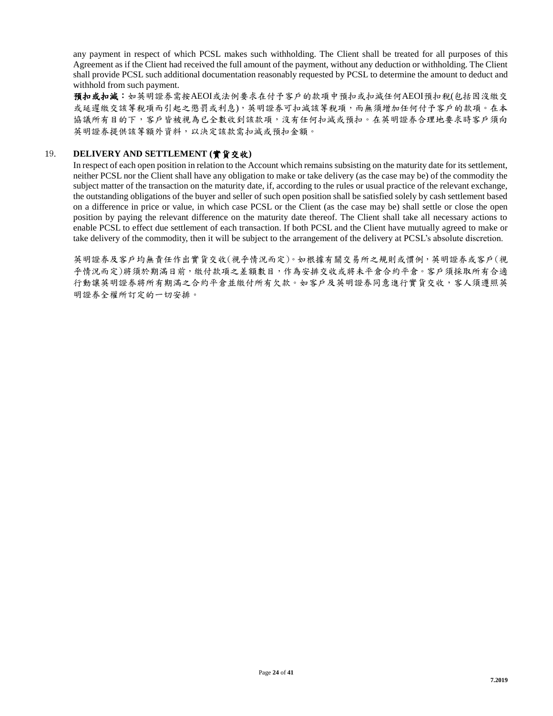any payment in respect of which PCSL makes such withholding. The Client shall be treated for all purposes of this Agreement as if the Client had received the full amount of the payment, without any deduction or withholding. The Client shall provide PCSL such additional documentation reasonably requested by PCSL to determine the amount to deduct and withhold from such payment.

預扣或扣減:如英明證券需按AEOI或法例要求在付予客戶的款項中預扣或扣減任何AEOI預扣稅(包括因沒繳交 或延遲繳交該等稅項而引起之懲罰或利息),英明證券可扣減該等稅項,而無須增加任何付予客戶的款項。在本 協議所有目的下,客戶皆被視為已全數收到該款項,沒有任何扣減或預扣。在英明證券合理地要求時客戶須向 英明證券提供該等額外資料,以決定該款需扣減或預扣金額。

## 19. **DELIVERY AND SETTLEMENT (**實貨交收**)**

In respect of each open position in relation to the Account which remains subsisting on the maturity date for its settlement, neither PCSL nor the Client shall have any obligation to make or take delivery (as the case may be) of the commodity the subject matter of the transaction on the maturity date, if, according to the rules or usual practice of the relevant exchange, the outstanding obligations of the buyer and seller of such open position shall be satisfied solely by cash settlement based on a difference in price or value, in which case PCSL or the Client (as the case may be) shall settle or close the open position by paying the relevant difference on the maturity date thereof. The Client shall take all necessary actions to enable PCSL to effect due settlement of each transaction. If both PCSL and the Client have mutually agreed to make or take delivery of the commodity, then it will be subject to the arrangement of the delivery at PCSL's absolute discretion.

英明證券及客戶均無責任作出實貨交收(視乎情況而定)。如根據有關交易所之規則或慣例,英明證券或客戶(視 乎情況而定)將須於期滿日前,繳付款項之差額數目,作為安排交收或將未平倉合約平倉。客戶須採取所有合適 行動讓英明證券將所有期滿之合約平倉並繳付所有欠款。如客戶及英明證券同意進行實貨交收,客人須遵照英 明證券全權所訂定的一切安排。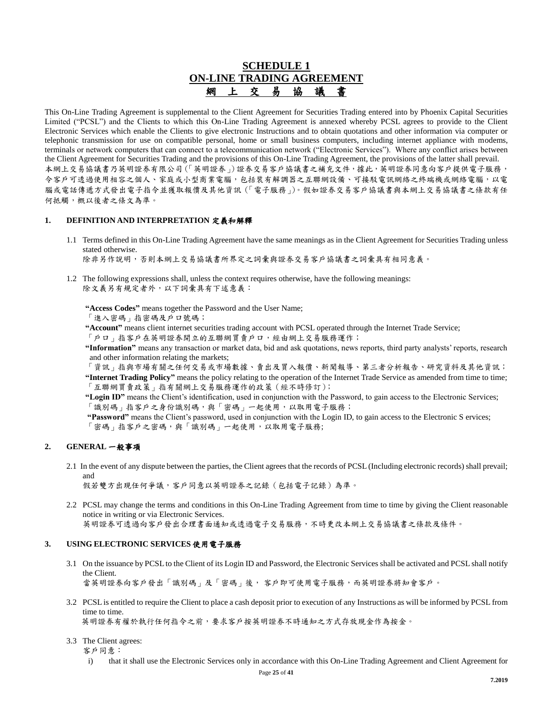## **SCHEDULE 1 ON-LINE TRADING AGREEMENT** 網 上 交 易 協 議 書

This On-Line Trading Agreement is supplemental to the Client Agreement for Securities Trading entered into by Phoenix Capital Securities Limited ("PCSL") and the Clients to which this On-Line Trading Agreement is annexed whereby PCSL agrees to provide to the Client Electronic Services which enable the Clients to give electronic Instructions and to obtain quotations and other information via computer or telephonic transmission for use on compatible personal, home or small business computers, including internet appliance with modems, terminals or network computers that can connect to a telecommunication network ("Electronic Services"). Where any conflict arises between the Client Agreement for Securities Trading and the provisions of this On-Line Trading Agreement, the provisions of the latter shall prevail. 本網上交易協議書乃英明證券有限公司(「英明證券」)證券交易客戶協議書之補充文件,據此,英明證券同意向客戶提供電子服務, 令客戶可透過使用相容之個人、家庭或小型商業電腦,包括裝有解調器之互聯網設備、可接駁電訊網絡之終端機或網絡電腦,以電 腦或電話傳遞方式發出電子指令並獲取報價及其他資訊(「電子服務」)。假如證券交易客戶協議書與本網上交易協議書之條款有任 何抵觸,概以後者之條文為準。

#### **1. DEFINITION AND INTERPRETATION** 定義和解釋

1.1 Terms defined in this On-Line Trading Agreement have the same meanings as in the Client Agreement for Securities Trading unless stated otherwise.

除非另作說明,否則本網上交易協議書所界定之詞彙與證券交易客戶協議書之詞彙具有相同意義。

1.2 The following expressions shall, unless the context requires otherwise, have the following meanings: 除文義另有規定者外,以下詞彙具有下述意義:

**"Access Codes"** means together the Password and the User Name;

「進入密碼」指密碼及戶口號碼;

**"Account"** means client internet securities trading account with PCSL operated through the Internet Trade Service;

「戶口」指客戶在英明證券開立的互聯網買賣戶口,經由網上交易服務運作;

**"Information"** means any transaction or market data, bid and ask quotations, news reports, third party analysts' reports, research and other information relating the markets;

「資訊」指與市場有關之任何交易或市場數據、賣出及買入報價、新聞報導、第三者分析報告、研究資料及其他資訊; **"Internet Trading Policy"** means the policy relating to the operation of the Internet Trade Service as amended from time to time; 「互聯網買賣政策」指有關網上交易服務運作的政策(經不時修訂);

**"Login ID"** means the Client's identification, used in conjunction with the Password, to gain access to the Electronic Services; 「識別碼」指客戶之身份識別碼,與「密碼」一起使用,以取用電子服務;

**"Password"** means the Client's password, used in conjunction with the Login ID, to gain access to the Electronic S ervices; 「密碼」指客戶之密碼,與「識別碼」一起使用,以取用電子服務;

#### **2. GENERAL** 一般事項

2.1 In the event of any dispute between the parties, the Client agrees that the records of PCSL (Including electronic records) shall prevail; and

假若雙方出現任何爭議,客戶同意以英明證券之記錄(包括電子記錄)為準。

2.2 PCSL may change the terms and conditions in this On-Line Trading Agreement from time to time by giving the Client reasonable notice in writing or via Electronic Services. 英明證券可透過向客戶發出合理書面通知或透過電子交易服務,不時更改本網上交易協議書之條款及條件。

#### **3. USING ELECTRONIC SERVICES** 使用電子服務

- 3.1 On the issuance by PCSL to the Client of its Login ID and Password, the Electronic Services shall be activated and PCSL shall notify the Client. 當英明證券向客戶發出「識別碼」及「密碼」後, 客戶即可使用電子服務,而英明證券將知會客戶。
- 3.2 PCSL is entitled to require the Client to place a cash deposit prior to execution of any Instructions as will be informed by PCSL from time to time. 英明證券有權於執行任何指令之前,要求客戶按英明證券不時通知之方式存放現金作為按金。
- 3.3 The Client agrees:
	- 客戶同意:
		- i) that it shall use the Electronic Services only in accordance with this On-Line Trading Agreement and Client Agreement for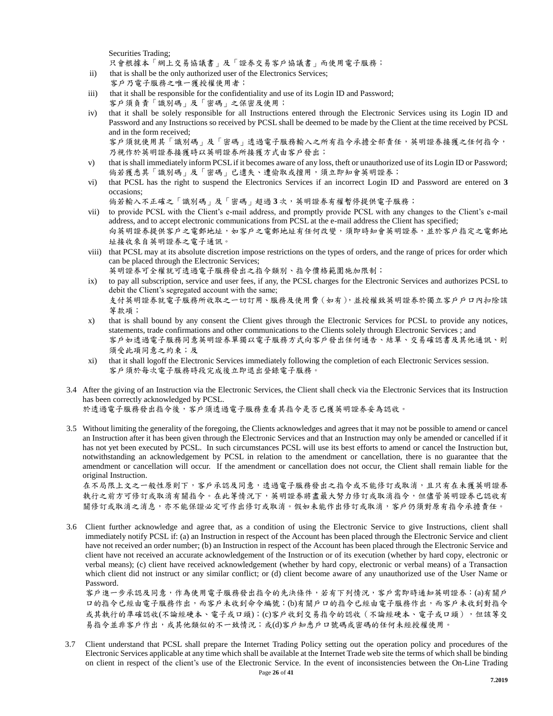Securities Trading;

只會根據本「網上交易協議書」及「證券交易客戶協議書」而使用電子服務;

- ii) that is shall be the only authorized user of the Electronics Services;
- 客戶乃電子服務之唯一獲授權使用者; iii) that it shall be responsible for the confidentiality and use of its Login ID and Password; 客戶須負責「識別碼」及「密碼」之保密及使用;
- iv) that it shall be solely responsible for all Instructions entered through the Electronic Services using its Login ID and Password and any Instructions so received by PCSL shall be deemed to be made by the Client at the time received by PCSL and in the form received;

客戶須就使用其「識別碼」及「密碼」透過電子服務輸入之所有指令承擔全部責任,英明證券接獲之任何指令, 乃視作於英明證券接獲時以英明證券所接獲方式由客戶發出;

- v) that is shall immediately inform PCSL if it becomes aware of any loss, theft or unauthorized use of its Login ID or Password; 倘若獲悉其「識別碼」及「密碼」已遺失、遭偷取或擅用,須立即知會英明證券;
- vi) that PCSL has the right to suspend the Electronics Services if an incorrect Login ID and Password are entered on **3** occasions;

倘若輸入不正確之「識別碼」及「密碼」超過 **3** 次,英明證券有權暫停提供電子服務;

- vii) to provide PCSL with the Client's e-mail address, and promptly provide PCSL with any changes to the Client's e-mail address, and to accept electronic communications from PCSL at the e-mail address the Client has specified; 向英明證券提供客戶之電郵地址,如客戶之電郵地址有任何改變,須即時知會英明證券,並於客戶指定之電郵地 址接收來自英明證券之電子通訊。
- viii) that PCSL may at its absolute discretion impose restrictions on the types of orders, and the range of prices for order which can be placed through the Electronic Services; 英明證券可全權就可透過電子服務發出之指令類別、指令價格範圍施加限制;
- ix) to pay all subscription, service and user fees, if any, the PCSL charges for the Electronic Services and authorizes PCSL to debit the Client's segregated account with the same; 支付英明證券就電子服務所收取之一切訂用、服務及使用費(如有),並授權致英明證券於獨立客戶戶口內扣除該
- 等款項; x) that is shall bound by any consent the Client gives through the Electronic Services for PCSL to provide any notices, statements, trade confirmations and other communications to the Clients solely through Electronic Services ; and 客戶如透過電子服務同意英明證券單獨以電子服務方式向客戶發出任何通告、結單、交易確認書及其他通訊、則 須受此項同意之約束;及
- xi) that it shall logoff the Electronic Services immediately following the completion of each Electronic Services session. 客戶須於每次電子服務時段完成後立即退出登錄電子服務。
- 3.4 After the giving of an Instruction via the Electronic Services, the Client shall check via the Electronic Services that its Instruction has been correctly acknowledged by PCSL. 於透過電子服務發出指令後,客戶須透過電子服務查看其指令是否已獲英明證券妥為認收。
- 3.5 Without limiting the generality of the foregoing, the Clients acknowledges and agrees that it may not be possible to amend or cancel an Instruction after it has been given through the Electronic Services and that an Instruction may only be amended or cancelled if it has not yet been executed by PCSL. In such circumstances PCSL will use its best efforts to amend or cancel the Instruction but, notwithstanding an acknowledgement by PCSL in relation to the amendment or cancellation, there is no guarantee that the amendment or cancellation will occur. If the amendment or cancellation does not occur, the Client shall remain liable for the original Instruction.

在不局限上文之一般性原則下,客戶承認及同意,透過電子服務發出之指令或不能修訂或取消,且只有在未獲英明證券 執行之前方可修訂或取消有關指令。在此等情況下,英明證券將盡最大努力修訂或取消指令,但儘管英明證券已認收有 關修訂或取消之消息,亦不能保證必定可作出修訂或取消。假如未能作出修訂或取消,客戶仍須對原有指令承擔責任。

3.6 Client further acknowledge and agree that, as a condition of using the Electronic Service to give Instructions, client shall immediately notify PCSL if: (a) an Instruction in respect of the Account has been placed through the Electronic Service and client have not received an order number; (b) an Instruction in respect of the Account has been placed through the Electronic Service and client have not received an accurate acknowledgement of the Instruction or of its execution (whether by hard copy, electronic or verbal means); (c) client have received acknowledgement (whether by hard copy, electronic or verbal means) of a Transaction which client did not instruct or any similar conflict; or (d) client become aware of any unauthorized use of the User Name or Password.

客戶進一步承認及同意,作為使用電子服務發出指令的先決條件,若有下列情況,客戶需即時通知英明證券:(a)有關戶 口的指令已經由電子服務作出,而客戶未收到命令編號;(b)有關戶口的指令已經由電子服務作出,而客戶未收到對指令 或其執行的準確認收(不論經硬本、電子或口頭);(c)客戶收到交易指令的認收(不論經硬本、電子或口頭),但該等交 易指令並非客戶作出,或其他類似的不一致情況;或(d)客戶知悉戶口號碼或密碼的任何未經授權使用。

3.7 Client understand that PCSL shall prepare the Internet Trading Policy setting out the operation policy and procedures of the Electronic Services applicable at any time which shall be available at the Internet Trade web site the terms of which shall be binding on client in respect of the client's use of the Electronic Service. In the event of inconsistencies between the On-Line Trading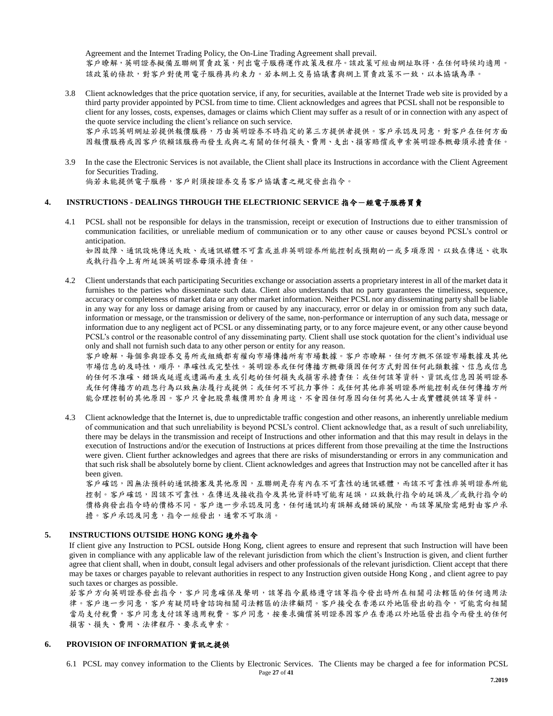Agreement and the Internet Trading Policy, the On-Line Trading Agreement shall prevail. 客戶瞭解,英明證券擬備互聯網買賣政策,列出電子服務運作政策及程序。該政策可經由網址取得,在任何時候均適用。 該政策的條款,對客戶對使用電子服務具約束力。若本網上交易協議書與網上買賣政策不一致,以本協議為準。

3.8 Client acknowledges that the price quotation service, if any, for securities, available at the Internet Trade web site is provided by a third party provider appointed by PCSL from time to time. Client acknowledges and agrees that PCSL shall not be responsible to client for any losses, costs, expenses, damages or claims which Client may suffer as a result of or in connection with any aspect of the quote service including the client's reliance on such service.

客戶承認英明網址若提供報價服務,乃由英明證券不時指定的第三方提供者提供。客戶承認及同意,對客戶在任何方面 因報價服務或因客戶依賴該服務而發生或與之有關的任何損失、費用、支出、損害賠償或申索英明證券概毋須承擔責任。

3.9 In the case the Electronic Services is not available, the Client shall place its Instructions in accordance with the Client Agreement for Securities Trading.

倘若未能提供電子服務,客戶則須按證券交易客戶協議書之規定發出指令。

#### **4. INSTRUCTIONS - DEALINGS THROUGH THE ELECTRIONIC SERVICE** 指令-經電子服務買賣

4.1 PCSL shall not be responsible for delays in the transmission, receipt or execution of Instructions due to either transmission of communication facilities, or unreliable medium of communication or to any other cause or causes beyond PCSL's control or anticipation.

如因故障、通訊設施傳送失敗、或通訊媒體不可靠或並非英明證券所能控制或預期的一或多項原因,以致在傳送、收取 或執行指令上有所延誤英明證券毋須承擔責任。

4.2 Client understands that each participating Securities exchange or association asserts a proprietary interest in all of the market data it furnishes to the parties who disseminate such data. Client also understands that no party guarantees the timeliness, sequence, accuracy or completeness of market data or any other market information. Neither PCSL nor any disseminating party shall be liable in any way for any loss or damage arising from or caused by any inaccuracy, error or delay in or omission from any such data, information or message, or the transmission or delivery of the same, non-performance or interruption of any such data, message or information due to any negligent act of PCSL or any disseminating party, or to any force majeure event, or any other cause beyond PCSL's control or the reasonable control of any disseminating party. Client shall use stock quotation for the client's individual use only and shall not furnish such data to any other person or entity for any reason.

客戶瞭解,每個參與證券交易所或組織都有權向市場傳播所有市場數據。客戶亦瞭解,任何方概不保證市場數據及其他 市場信息的及時性,順序,準確性或完整性。英明證券或任何傳播方概毋須因任何方式對因任何此類數據、信息或信息 的任何不准確、錯誤或延遲或遺漏而產生或引起的任何損失或損害承擔責任;或任何該等資料、資訊或信息因英明證券 或任何傳播方的疏忽行為以致無法履行或提供;或任何不可抗力事件;或任何其他非英明證券所能控制或任何傳播方所 能合理控制的其他原因。客戶只會把股票報價用於自身用途,不會因任何原因向任何其他人士或實體提供該等資料。

4.3 Client acknowledge that the Internet is, due to unpredictable traffic congestion and other reasons, an inherently unreliable medium of communication and that such unreliability is beyond PCSL's control. Client acknowledge that, as a result of such unreliability, there may be delays in the transmission and receipt of Instructions and other information and that this may result in delays in the execution of Instructions and/or the execution of Instructions at prices different from those prevailing at the time the Instructions were given. Client further acknowledges and agrees that there are risks of misunderstanding or errors in any communication and that such risk shall be absolutely borne by client. Client acknowledges and agrees that Instruction may not be cancelled after it has been given.

客戶確認,因無法預料的通訊擠塞及其他原因,互聯網是存有內在不可靠性的通訊媒體,而該不可靠性非英明證券所能 控制。客戶確認,因該不可靠性,在傳送及接收指令及其他資料時可能有延誤,以致執行指令的延誤及/或執行指令的 價格與發出指令時的價格不同。客戶進一步承認及同意,任何通訊均有誤解或錯誤的風險,而該等風險需絕對由客戶承 擔。客戶承認及同意,指令一經發出,通常不可取消。

## **5. INSTRUCTIONS OUTSIDE HONG KONG** 境外指令

If client give any Instruction to PCSL outside Hong Kong, client agrees to ensure and represent that such Instruction will have been given in compliance with any applicable law of the relevant jurisdiction from which the client's Instruction is given, and client further agree that client shall, when in doubt, consult legal advisers and other professionals of the relevant jurisdiction. Client accept that there may be taxes or charges payable to relevant authorities in respect to any Instruction given outside Hong Kong , and client agree to pay such taxes or charges as possible.

若客戶方向英明證券發出指令,客戶同意確保及聲明,該等指令嚴格遵守該等指令發出時所在相關司法轄區的任何適用法 律。客戶進一步同意,客戶擬問時會諮詢相關司法轄區的法律顧問。客戶接受在香港以外地區發出的指令,可能需向相關 當局支付稅費,客戶同意支付該等適用稅費。客戶同意,按要求彌償英明證券因客戶在香港以外地區發出指令而發生的任何 損害、損失、費用、法律程序、要求或申索。

#### **6. PROVISION OF INFORMATION** 資訊之提供

6.1 PCSL may convey information to the Clients by Electronic Services. The Clients may be charged a fee for information PCSL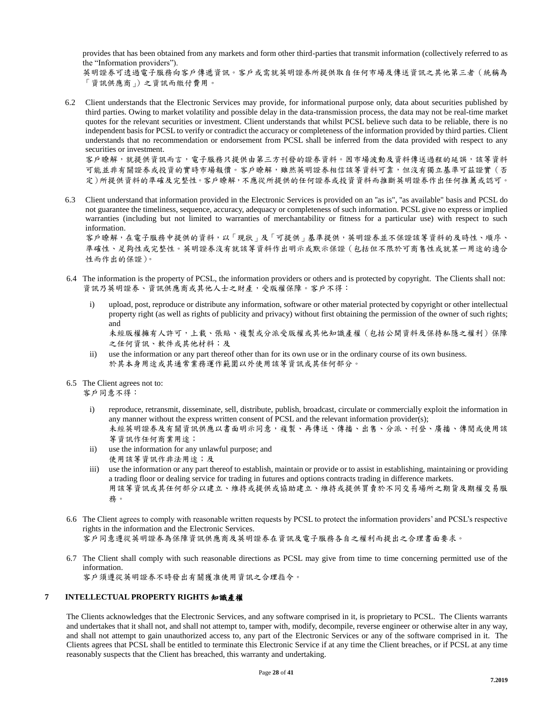provides that has been obtained from any markets and form other third-parties that transmit information (collectively referred to as the "Information providers").

英明證券可透過電子服務向客戶傳遞資訊。客戶或需就英明證券所提供取自任何市場及傳送資訊之其他第三者(統稱為 「資訊供應商」)之資訊而繳付費用。

6.2 Client understands that the Electronic Services may provide, for informational purpose only, data about securities published by third parties. Owing to market volatility and possible delay in the data-transmission process, the data may not be real-time market quotes for the relevant securities or investment. Client understands that whilst PCSL believe such data to be reliable, there is no independent basis for PCSL to verify or contradict the accuracy or completeness of the information provided by third parties. Client understands that no recommendation or endorsement from PCSL shall be inferred from the data provided with respect to any securities or investment.

客戶瞭解,就提供資訊而言,電子服務只提供由第三方刊發的證券資料。因市場波動及資料傳送過程的延誤,該等資料 可能並非有關證券或投資時市場報價。客戶瞭解,雖然英明證券相信該等資料可靠,但沒有獨立基準可茲證實(否 定)所提供資料的準確及完整性。客戶瞭解,不應從所提供的任何證券或投資資料而推斷英明證券作出任何推薦或認可。

6.3 Client understand that information provided in the Electronic Services is provided on an ''as is", ''as available" basis and PCSL do not guarantee the timeliness, sequence, accuracy, adequacy or completeness of such information. PCSL give no express or implied warranties (including but not limited to warranties of merchantability or fitness for a particular use) with respect to such information.

客戶瞭解,在電子服務中提供的資料,以「現狀」及「可提供」基準提供,英明證券並不保證該等資料的及時性、順序、 準確性、足夠性或完整性。英明證券沒有就該等資料作出明示或默示保證(包括但不限於可商售性或就某一用途的適合 性而作出的保證)。

- 6.4 The information is the property of PCSL, the information providers or others and is protected by copyright. The Clients shall not: 資訊乃英明證券、資訊供應商或其他人士之財產,受版權保障。客戶不得:
	- i) upload, post, reproduce or distribute any information, software or other material protected by copyright or other intellectual property right (as well as rights of publicity and privacy) without first obtaining the permission of the owner of such rights; and 未經版權擁有人許可,上載、張貼、複製或分派受版權或其他知識產權(包括公開資料及保持私隱之權利)保障

之任何資訊、軟件或其他材料;及

- ii) use the information or any part thereof other than for its own use or in the ordinary course of its own business. 於其本身用途或其通常業務運作範圍以外使用該等資訊或其任何部分。
- 6.5 The Client agrees not to:

客戶同意不得:

- i) reproduce, retransmit, disseminate, sell, distribute, publish, broadcast, circulate or commercially exploit the information in any manner without the express written consent of PCSL and the relevant information provider(s); 未經英明證券及有關資訊供應以書面明示同意,複製、再傳送、傳播、出售、分派、刊登、廣播、傳閱或使用該 等資訊作任何商業用途;
- ii) use the information for any unlawful purpose; and 使用該等資訊作非法用途;及
- iii) use the information or any part thereof to establish, maintain or provide or to assist in establishing, maintaining or providing a trading floor or dealing service for trading in futures and options contracts trading in difference markets. 用該等資訊或其任何部分以建立、維持或提供或協助建立、維持或提供買賣於不同交易場所之期貨及期權交易服 務。
- 6.6 The Client agrees to comply with reasonable written requests by PCSL to protect the information providers' and PCSL's respective rights in the information and the Electronic Services. 客戶同意遵從英明證券為保障資訊供應商及英明證券在資訊及電子服務各自之權利而提出之合理書面要求。
- 6.7 The Client shall comply with such reasonable directions as PCSL may give from time to time concerning permitted use of the

information.

客戶須遵從英明證券不時發出有關獲准使用資訊之合理指令。

#### **7 INTELLECTUAL PROPERTY RIGHTS** 知識產權

The Clients acknowledges that the Electronic Services, and any software comprised in it, is proprietary to PCSL. The Clients warrants and undertakes that it shall not, and shall not attempt to, tamper with, modify, decompile, reverse engineer or otherwise alter in any way, and shall not attempt to gain unauthorized access to, any part of the Electronic Services or any of the software comprised in it. The Clients agrees that PCSL shall be entitled to terminate this Electronic Service if at any time the Client breaches, or if PCSL at any time reasonably suspects that the Client has breached, this warranty and undertaking.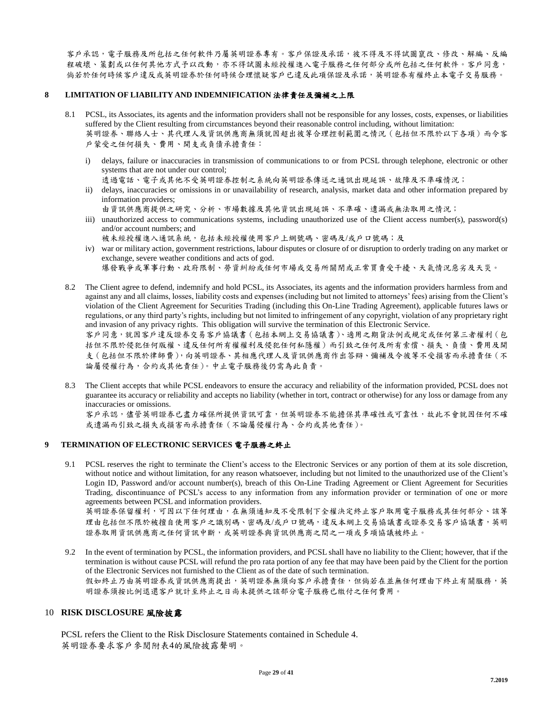客戶承認,電子服務及所包括之任何軟件乃屬英明證券專有。客戶保證及承諾,彼不得及不得試圖竄改、修改、解編、反編 程破壞、策劃或以任何其他方式予以改動,亦不得試圖未經授權進入電子服務之任何部分或所包括之任何軟件。客戶同意, 倘若於任何時候客戶違反或英明證券於任何時候合理懷疑客戶已違反此項保證及承諾,英明證券有權終止本電子交易服務。

#### **8 LIMITATION OF LIABILITY AND INDEMNIFICATION** 法律責任及彌補之上限

- 8.1 PCSL, its Associates, its agents and the information providers shall not be responsible for any losses, costs, expenses, or liabilities suffered by the Client resulting from circumstances beyond their reasonable control including, without limitation: 英明證券、聯絡人士、其代理人及資訊供應商無須就因超出彼等合理控制範圍之情況(包括但不限於以下各項)而令客 戶蒙受之任何損失、費用、開支或負債承擔責任:
	- i) delays, failure or inaccuracies in transmission of communications to or from PCSL through telephone, electronic or other systems that are not under our control;
		- 透過電話、電子或其他不受英明證券採用等等等等等是是可以提延為、故障及不準確情況;
	- ii) delays, inaccuracies or omissions in or unavailability of research, analysis, market data and other information prepared by information providers;
	- 由資訊供應商提供之研究、分析、市場數據及其他資訊出現延誤、不準確、遺漏或無法取用之情況; iii) unauthorized access to communications systems, including unauthorized use of the Client access number(s), password(s)
	- and/or account numbers; and 被未經授權進入通訊系統,包括未經授權使用客戶上網號碼、密碼及/或戶口號碼;及
	- iv) war or military action, government restrictions, labour disputes or closure of or disruption to orderly trading on any market or exchange, severe weather conditions and acts of god. 爆發戰爭或軍事行動、政府限制、勞資糾紛或任何市場或交易所關閉或正常買賣受干擾、天氣情況惡劣及天災。
- 8.2 The Client agree to defend, indemnify and hold PCSL, its Associates, its agents and the information providers harmless from and against any and all claims, losses, liability costs and expenses (including but not limited to attorneys' fees) arising from the Client's violation of the Client Agreement for Securities Trading (including this On-Line Trading Agreement), applicable futures laws or regulations, or any third party's rights, including but not limited to infringement of any copyright, violation of any proprietary right and invasion of any privacy rights. This obligation will survive the termination of this Electronic Service. 客戶同意,就因客戶違反證券交易客戶協議書(包括本網上交易協議書)、適用之期貨法例或規定或任何第三者權利(包 括但不限於侵犯任何版權、違反任何所有權權利及侵犯任何私隱權)而引致之任何及所有索償、損失、負債、費用及開

支(包括但不限於律師費),向英明證券、其相應代理人及資訊供應商作出答辯、彌補及令彼等不受損害而承擔責任(不 論屬侵權行為,合約或其他責任)。中止電子服務後仍需為此負責。

8.3 The Client accepts that while PCSL endeavors to ensure the accuracy and reliability of the information provided, PCSL does not guarantee its accuracy or reliability and accepts no liability (whether in tort, contract or otherwise) for any loss or damage from any inaccuracies or omissions.

客戶承認,儘管英明證券已盡力確保所提供資訊可靠,但英明證券不能擔保其準確性或可靠性,故此不會就因任何不確 或遺漏而引致之損失或損害而承擔責任(不論屬侵權行為、合約或其他責任)。

#### **9 TERMINATION OF ELECTRONIC SERVICES** 電子服務之終止

9.1 PCSL reserves the right to terminate the Client's access to the Electronic Services or any portion of them at its sole discretion, without notice and without limitation, for any reason whatsoever, including but not limited to the unauthorized use of the Client's Login ID, Password and/or account number(s), breach of this On-Line Trading Agreement or Client Agreement for Securities Trading, discontinuance of PCSL's access to any information from any information provider or termination of one or more agreements between PCSL and information providers.

英明證券保留權利,可因以下任何理由,在無須通知及不受限制下全權決定終止客戶取用電子服務或其任何部分、該等 理由包括但不限於被擅自使用客戶之識別碼、密碼及/或戶口號碼,違反本網上交易協議書或證券交易客戶協議書,英明 證券取用資訊供應商之任何資訊中斷,或英明證券與資訊供應商之間之一項或多項協議被終止。

9.2 In the event of termination by PCSL, the information providers, and PCSL shall have no liability to the Client; however, that if the termination is without cause PCSL will refund the pro rata portion of any fee that may have been paid by the Client for the portion of the Electronic Services not furnished to the Client as of the date of such termination. 假如終止乃由英明證券或資訊供應商提出,英明證券無須向客戶承擔責任,但倘若在並無任何理由下終止有關服務,英 明證券須按比例退還客戶就計至終止之日尚未提供之該部分電子服務已繳付之任何費用。

#### 10 **RISK DISCLOSURE** 風險披露

PCSL refers the Client to the Risk Disclosure Statements contained in Schedule 4. 英明證券要求客戶參閱附表4的風險披露聲明。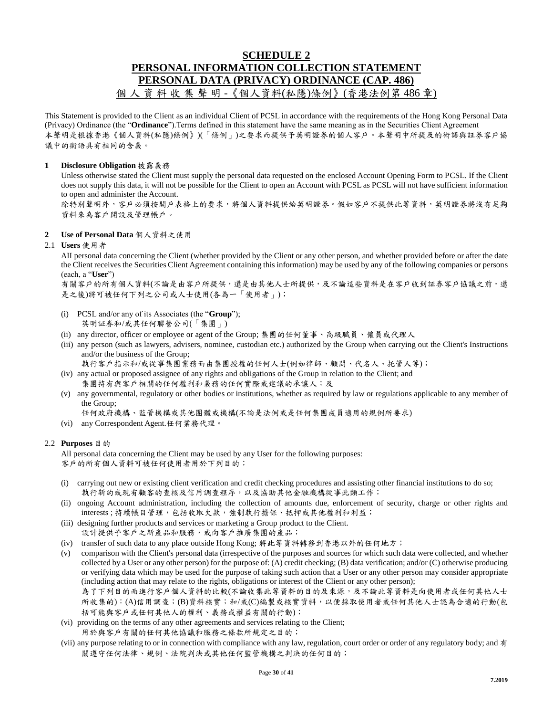## **SCHEDULE 2 PERSONAL INFORMATION COLLECTION STATEMENT PERSONAL DATA (PRIVACY) ORDINANCE (CAP. 486)** 資料收集聲明 -《個人資料(私隱)條例》(香港法例第486章)

This Statement is provided to the Client as an individual Client of PCSL in accordance with the requirements of the Hong Kong Personal Data (Privacy) Ordinance (the "**Ordinance**").Terms defined in this statement have the same meaning as in the Securities Client Agreement 本聲明是根據香港《個人資料(私隱)條例》)(「條例」)之要求而提供予英明證券的個人客戶。本聲明中所提及的術語與証券客戶協 議中的術語具有相同的含義。

#### **1 Disclosure Obligation** 披露義務

Unless otherwise stated the Client must supply the personal data requested on the enclosed Account Opening Form to PCSL. If the Client does not supply this data, it will not be possible for the Client to open an Account with PCSL as PCSL will not have sufficient information to open and administer the Account.

除特別聲明外,客戶必須按開戶表格上的要求,將個人資料提供給英明證券。假如客戶不提供此等資料,英明證券將沒有足夠 資料來為客戶開設及管理帳戶。

#### **2 Use of Personal Data** 個人資料之使用

#### 2.1 **Users** 使用者

AII personal data concerning the Client (whether provided by the Client or any other person, and whether provided before or after the date the Client receives the Securities Client Agreement containing this information) may be used by any of the following companies or persons (each, a "**User**")

有關客戶的所有個人資料(不論是由客戶所提供,還是由其他人士所提供,及不論這些資料是在客戶收到証券客戶協議之前,還 是之後)將可被任何下列之公司或人士使用(各為一「使用者」);

- (i) PCSL and/or any of its Associates (the "**Group**"); 英明証券和/或其任何聯營公司(「集團」)
- (ii) any director, officer or employee or agent of the Group; 集團的任何董事、高級職員、僱員或代理人
- (iii) any person (such as lawyers, advisers, nominee, custodian etc.) authorized by the Group when carrying out the Client's Instructions and/or the business of the Group;

執行客戶指示和/或從事集團業務而由集團授權的任何人士(例如律師、顧問、代名人、托管人等);

- (iv) any actual or proposed assignee of any rights and obligations of the Group in relation to the Client; and 集團持有與客戶相關的任何權利和義務的任何實際或建議的承讓人;及
- (v) any governmental, regulatory or other bodies or institutions, whether as required by law or regulations applicable to any member of the Group;

任何政府機構、監管機構或其他團體或機構(不論是法例或是任何集團成員適用的規例所要求)

(vi) any Correspondent Agent.任何業務代理。

#### 2.2 **Purposes** 目的

All personal data concerning the Client may be used by any User for the following purposes: 客戶的所有個人資料可被任何使用者用於下列目的;

- (i) carrying out new or existing client verification and credit checking procedures and assisting other financial institutions to do so; 執行新的或現有顧客的查核及信用調查程序,以及協助其他金融機構從事此類工作;
- (ii) ongoing Account administration, including the collection of amounts due, enforcement of security, charge or other rights and interests ; 持續帳目管理,包括收取欠款,強制執行擔保、抵押或其他權利和利益;
- (iii) designing further products and services or marketing a Group product to the Client. 設計提供予客戶之新產品和服務,或向客戶推廣集團的產品;
- (iv) transfer of such data to any place outside Hong Kong; 將此等資料轉移到香港以外的任何地方;
- (v) comparison with the Client's personal data (irrespective of the purposes and sources for which such data were collected, and whether collected by a User or any other person) for the purpose of: (A) credit checking; (B) data verification; and/or (C) otherwise producing or verifying data which may be used for the purpose of taking such action that a User or any other person may consider appropriate (including action that may relate to the rights, obligations or interest of the Client or any other person); 為了下列目的而進行客戶個人資料的比較(不論收集此等資料的目的及來源,及不論此等資料是向使用者或任何其他人士

所收集的):(A)信用調查;(B)資料核實;和/或(C)編製或核實資料,以便採取使用者或任何其他人士認為合適的行動(包 括可能與客戶或任何其他人的權利、義務或權益有關的行動);

- (vi) providing on the terms of any other agreements and services relating to the Client;
- 用於與客戶有關的任何其他協議和服務之條款所規定之目的;
- (vii) any purpose relating to or in connection with compliance with any law, regulation, court order or order of any regulatory body; and 有 關遵守任何法律、規例、法院判決或其他任何監管機構之判決的任何目的;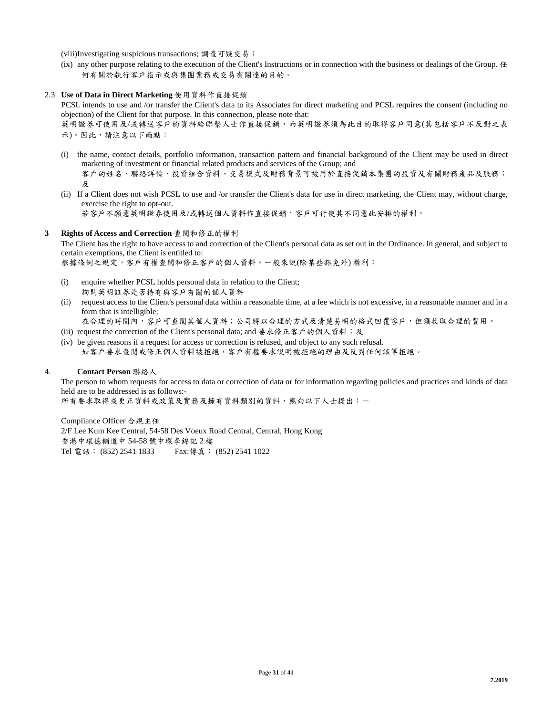(viii)Investigating suspicious transactions; 調查可疑交易;

- (ix) any other purpose relating to the execution of the Client's Instructions or in connection with the business or dealings of the Group.  $#$ 何有關於執行客戶指示或與集團業務或交易有關連的目的。
- 2.3 **Use of Data in Direct Marketing** 使用資料作直接促銷

PCSL intends to use and /or transfer the Client's data to its Associates for direct marketing and PCSL requires the consent (including no objection) of the Client for that purpose. In this connection, please note that: 英明證券可使用及/或轉送客戶的資料給聯繫人士作直接促銷,而英明證券須為此目的取得客戶同意(其包括客戶不反對之表

示)。因此,請注意以下兩點:

- (i) the name, contact details, portfolio information, transaction pattern and financial background of the Client may be used in direct marketing of investment or financial related products and services of the Group; and 客戶的姓名、聯絡詳情、投資組合資料、交易模式及財務背景可被用於直接促銷本集團的投資及有關財務產品及服務; 及
- (ii) If a Client does not wish PCSL to use and /or transfer the Client's data for use in direct marketing, the Client may, without charge, exercise the right to opt-out.

若客戶不願意英明證券使用及/或轉送個人資料作直接促銷,客戶可行使其不同意此安排的權利。

#### **3 Rights of Access and Correction** 查閱和修正的權利

The Client has the right to have access to and correction of the Client's personal data as set out in the Ordinance. In general, and subject to certain exemptions, the Client is entitled to:

根據條例之規定,客戶有權查閱和修正客戶的個人資料。一般來說(除某些豁免外) 權利;

- (i) enquire whether PCSL holds personal data in relation to the Client; 詢問英明証券是否持有與客戶有關的個人資料
- (ii) request access to the Client's personal data within a reasonable time, at a fee which is not excessive, in a reasonable manner and in a form that is intelligible;
	- 在合理的時間內,客戶可查閱其個人資料;公司將以合理的方式及清楚易明的格式回覆客戶,但須收取合理的費用。
- (iii) request the correction of the Client's personal data; and 要求修正客戶的個人資料;及
- (iv) be given reasons if a request for access or correction is refused, and object to any such refusal. 如客戶要求查閱或修正個人資料被拒絕,客戶有權要求說明被拒絕的理由及反對任何該等拒絕。

#### 4. **Contact Person** 聯絡人

The person to whom requests for access to data or correction of data or for information regarding policies and practices and kinds of data held are to be addressed is as follows:-

所有要求取得或更正資料或政策及實務及擁有資料類別的資料,應向以下人士提出:一

Compliance Officer 合規主任 2/F Lee Kum Kee Central, 54-58 Des Voeux Road Central, Central, Hong Kong 香港中環德輔道中 54-58 號中環李錦記 2 樓 Tel 電話: (852) 2541 1833 Fax:傳真: (852) 2541 1022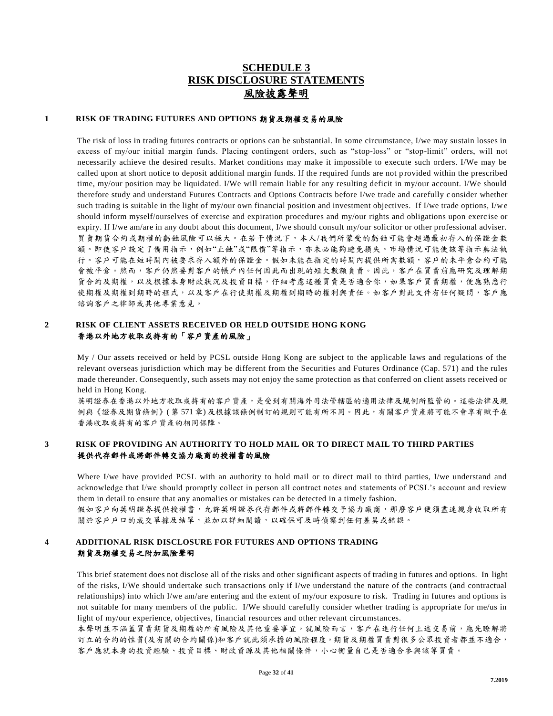## **SCHEDULE 3 RISK DISCLOSURE STATEMENTS** 風險披露聲明

#### **1 RISK OF TRADING FUTURES AND OPTIONS** 期貨及期權交易的風險

The risk of loss in trading futures contracts or options can be substantial. In some circumstance, I/we may sustain losses in excess of my/our initial margin funds. Placing contingent orders, such as "stop-loss" or "stop-limit" orders, will not necessarily achieve the desired results. Market conditions may make it impossible to execute such orders. I/We may be called upon at short notice to deposit additional margin funds. If the required funds are not p rovided within the prescribed time, my/our position may be liquidated. I/We will remain liable for any resulting deficit in my/our account. I/We should therefore study and understand Futures Contracts and Options Contracts before I/we trade and carefully c onsider whether such trading is suitable in the light of my/our own financial position and investment objectives. If I/we trade options, I/w e should inform myself/ourselves of exercise and expiration procedures and my/our rights and obligations upon exerc ise or expiry. If I/we am/are in any doubt about this document, I/we should consult my/our solicitor or other professional adviser. 買賣期貨合約或期權的虧蝕風險可以極大。在若干情況下,本人/我們所蒙受的虧蝕可能會超過最初存入的保證金數 額。即使客戶設定了備用指示,例如"止蝕"或"限價"等指示,亦未必能夠避免損失。市場情況可能使該等指示無法執 行。客戶可能在短時間內被要求存入額外的保證金。假如未能在指定的時間內提供所需數額,客戶的未平倉合約可能 會被平倉。然而,客戶仍然要對客戶的帳戶內任何因此而出現的短欠數額負責。因此,客戶在買賣前應研究及理解期 貨合約及期權,以及根據本身財政狀況及投資目標,仔細考慮這種買賣是否適合你,如果客戶買賣期權,便應熟悉行 使期權及期權到期時的程式,以及客戶在行使期權及期權到期時的權利與責任。如客戶對此文件有任何疑問,客戶應 諮詢客戶之律師或其他專業意見。

## **2 RISK OF CLIENT ASSETS RECEIVED OR HELD OUTSIDE HONG KONG** 香港以外地方收取或持有的「客戶資產的風險」

My / Our assets received or held by PCSL outside Hong Kong are subject to the applicable laws and regulations of the relevant overseas jurisdiction which may be different from the Securities and Futures Ordinance (Cap. 571) and the rules made thereunder. Consequently, such assets may not enjoy the same protection as that conferred on client assets received or held in Hong Kong.

英明證券在香港以外地方收取或持有的客戶資產,是受到有關海外司法管轄區的適用法律及規例所監管的。這些法律及規 例與《證券及期貨條例》( 第 571 章) 及根據該條例制訂的規則可能有所不同。因此,有關客戶資產將可能不會享有賦予在 香港收取或持有的客戶資產的相同保障。

## **3 RISK OF PROVIDING AN AUTHORITY TO HOLD MAIL OR TO DIRECT MAIL TO THIRD PARTIES** 提供代存郵件或將郵件轉交協力廠商的授權書的風險

Where I/we have provided PCSL with an authority to hold mail or to direct mail to third parties, I/we understand and acknowledge that I/we should promptly collect in person all contract notes and statements of PCSL's account and review them in detail to ensure that any anomalies or mistakes can be detected in a timely fashion.

假如客戶向英明證券提供資事,允許英明證券代存郵件或將郵件轉交予協力廠商,那麼客戶便須盡速親身收取所有 關於客戶戶口的成交單據及結單,並加以詳細閱讀,以確保可及時偵察到任何差異或錯誤。

#### **4 ADDITIONAL RISK DISCLOSURE FOR FUTURES AND OPTIONS TRADING** 期貨及期權交易之附加風險聲明

This brief statement does not disclose all of the risks and other significant aspects of trading in futures and options. In light of the risks, I/We should undertake such transactions only if I/we understand the nature of the contracts (and contractual relationships) into which I/we am/are entering and the extent of my/our exposure to risk. Trading in futures and options is not suitable for many members of the public. I/We should carefully consider whether trading is appropriate for me/us in light of my/our experience, objectives, financial resources and other relevant circumstances.

本聲明並不涵蓋買賣期貨及期權的所有風險及其他重要事宜。就風險而言,客戶在進行任何上述交易前,應先瞭解將 訂立的合約的性質(及有關的合約關係)和客戶就此須承擔的風險程度。期貨及期權買賣對很多公眾投資者都並不適合, 客戶應就本身的投資經驗、投資目標、財政資源及其他相關條件,小心衡量自己是否適合參與該等買賣。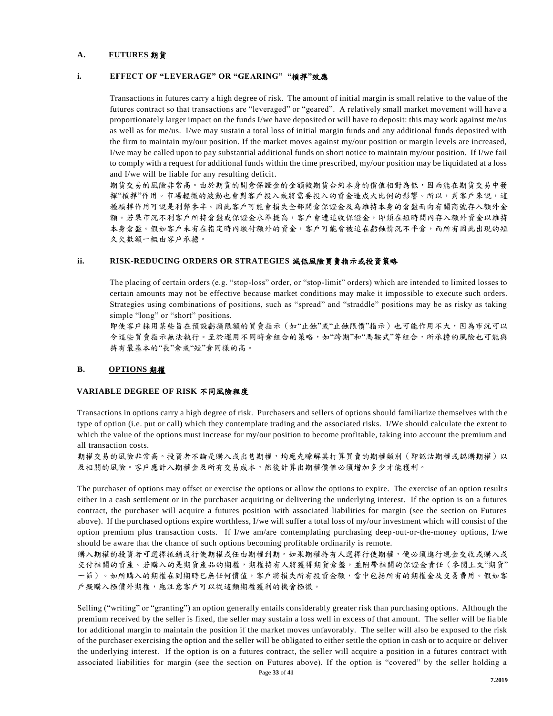#### **A. FUTURES** 期貨

#### **i. EFFECT OF "LEVERAGE" OR "GEARING" "**槓捍**"**效應

Transactions in futures carry a high degree of risk. The amount of initial margin is small relative to the value of the futures contract so that transactions are "leveraged" or "geared". A relatively small market movement will have a proportionately larger impact on the funds I/we have deposited or will have to deposit: this may work against me/us as well as for me/us. I/we may sustain a total loss of initial margin funds and any additional funds deposited with the firm to maintain my/our position. If the market moves against my/our position or margin levels are increased, I/we may be called upon to pay substantial additional funds on short notice to maintain my/our position. If I/we fail to comply with a request for additional funds within the time prescribed, my/our position may be liquidated at a loss and I/we will be liable for any resulting deficit.

期貨交易的風險非常高。由於期貨的開倉保證金的金額較期貨合約本身的價值相對為低,因而能在期貨交易中發 揮"槓捍"作用。市場輕微的波動也會對客戶投入或將需要投入的資金造成大比例的影響。所以,對客戶來說,這 種槓捍作用可說是利弊參半。因此客戶可能會損失全部開倉保證金及為維持本身的倉盤而向有關商號存入額外金 額。若果市況不利客戶所持倉盤或保證金水準提高,客戶會遭追收保證金,即須在短時間內存入額外資金以維持 本身倉盤。假如客戶未有在指定時內繳付額外的資金,客戶可能會被追在虧蝕情況不平倉,而所有因此出現的短 久欠數額一概由客戶承擔。

#### **ii. RISK-REDUCING ORDERS OR STRATEGIES** 減低風險買賣指示或投資策略

The placing of certain orders (e.g. "stop-loss" order, or "stop-limit" orders) which are intended to limited losses to certain amounts may not be effective because market conditions may make it impossible to execute such orders. Strategies using combinations of positions, such as "spread" and "straddle" positions may be as risky as taking simple "long" or "short" positions.

即使客戶採用某些旨在預設虧損限額的買賣指示(如"止蝕"或"止蝕限價"指示)也可能作用不大,因為市況可以 令這些買賣指示無法執行。至於運用不同時倉組合的策略,如"跨期"和"馬鞍式"等組合,所承擔的風險也可能與 持有最基本的"長"倉或"短"倉同樣的高。

#### **B. OPTIONS** 期權

#### **VARIABLE DEGREE OF RISK** 不同風險程度

Transactions in options carry a high degree of risk. Purchasers and sellers of options should familiarize themselves with th e type of option (i.e. put or call) which they contemplate trading and the associated risks. I/We should calculate the extent to which the value of the options must increase for my/our position to become profitable, taking into account the premium and all transaction costs.

期權交易的風險非常高。投資者不論是購入或出售期權,均應先瞭解其打算買賣的期權類別(即認沽期權或認購期權)以 及相關的風險。客戶應計入期權金及所有交易成本,然後計算出期權價值必須增加多少才能獲利。

The purchaser of options may offset or exercise the options or allow the options to expire. The exercise of an option results either in a cash settlement or in the purchaser acquiring or delivering the underlying interest. If the option is on a futures contract, the purchaser will acquire a futures position with associated liabilities for margin (see the section on Futures above). If the purchased options expire worthless, I/we will suffer a total loss of my/our investment which will consist of the option premium plus transaction costs. If I/we am/are contemplating purchasing deep-out-or-the-money options, I/we should be aware that the chance of such options becoming profitable ordinarily is remote.

購入期權的投資者可選擇抵銷或行使期權或任由期權到期。如果期權持有人選擇行使期權,便必須進行現金交收或購入或 交付相關的資產。若購入的是期貨產品的期權,期權持有人將獲得期貨倉盤,並附帶相關的保證金責任(參閱上文"期貨" 一節)。如所購入的期權在到期時已無任何價值,客戶將損失所有投資金額,當中包括所有的期權金及交易費用。假如客 戶擬購入極價外期權,應注意客戶可以從這類期權獲利的機會極微。

Selling ("writing" or "granting") an option generally entails considerably greater risk than purchasing options. Although the premium received by the seller is fixed, the seller may sustain a loss well in excess of that amount. The seller will be lia ble for additional margin to maintain the position if the market moves unfavorably. The seller will also be exposed to the risk of the purchaser exercising the option and the seller will be obligated to either settle the option in cash or to acquire or deliver the underlying interest. If the option is on a futures contract, the seller will acquire a position in a futures contract with associated liabilities for margin (see the section on Futures above). If the option is "covered" by the seller holding a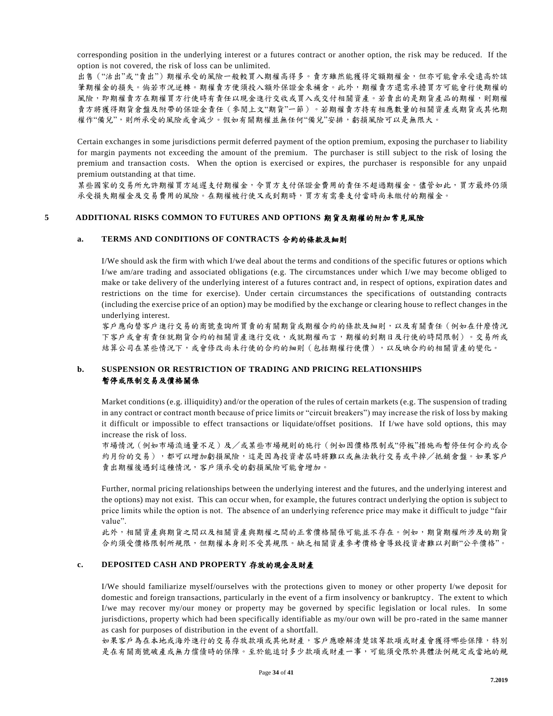corresponding position in the underlying interest or a futures contract or another option, the risk may be reduced. If the option is not covered, the risk of loss can be unlimited.

出售 ("沽出"或"賣出") 期權承受的風險一般較買入期權高得多。賣方雖然能獲得定額期權金,但亦可能會承受遠高於該 筆期權金的損失。倘若市況逆轉。期權賣方便須投入額外保證金來補倉。此外,期權賣方還需承擔買方可能會行使期權的 風險,即期權賣方在期權買方行使時有責任以現金進行交收或買入或交付相關資產。若賣出的是期貨產品的期權,則期權 賣方將獲得期貨倉盤及附帶的保證金責任(參閱上文"期貨"一節)。若期權賣方持有相應數量的相關資產或期貨或其他期 權作"備兌",則所承受的風險或會減少。假如有關期權並無任何"備兌"安排,虧損風險可以是無限大。

Certain exchanges in some jurisdictions permit deferred payment of the option premium, exposing the purchase r to liability for margin payments not exceeding the amount of the premium. The purchaser is still subject to the risk of losing the premium and transaction costs. When the option is exercised or expires, the purchaser is responsible for any unpaid premium outstanding at that time.

某些國家的交易所允許期權買方延遲支付期權金,令買方支付保證金費用的責任不超過期權金。儘管如此,買方最終仍須 承受損失期權金及交易費用的風險。在期權被行使又或到期時,買方有需要支付當時尚未繳付的期權金。

#### **5 ADDITIONAL RISKS COMMON TO FUTURES AND OPTIONS** 期貨及期權的附加常見風險

#### **a. TERMS AND CONDITIONS OF CONTRACTS** 合約的條款及細則

I/We should ask the firm with which I/we deal about the terms and conditions of the specific futures or options which I/we am/are trading and associated obligations (e.g. The circumstances under which I/we may become obliged to make or take delivery of the underlying interest of a futures contract and, in respect of options, expiration dates and restrictions on the time for exercise). Under certain circumstances the specifications of outstanding contracts (including the exercise price of an option) may be modified by the exchange or clearing house to reflect changes in the underlying interest.

客戶應向替客戶進行交易的商號查詢所買賣的有關期貨或期權合約的條款及細則,以及有關責任(例如在什麼情況 下客戶或會有責任就期貨合約的相關資產進行交收,或就期權而言,期權的到期日及行使的時間限制)。交易所或 結算公司在某些情況下,或會修改尚未行使的合約細則(包括期權行使價),以反映合約的相關資產的變化。

## **b. SUSPENSION OR RESTRICTION OF TRADING AND PRICING RELATIONSHIPS** 暫停或限制交易及價格關係

Market conditions (e.g. illiquidity) and/or the operation of the rules of certain markets (e.g. The suspension of trading in any contract or contract month because of price limits or "circuit breakers") may incre ase the risk of loss by making it difficult or impossible to effect transactions or liquidate/offset positions. If I/we have sold options, this may increase the risk of loss.

市場情況(例如市場流通量不足)及/或某些市場規則的施行(例如因價格限制或"停板"措施而暫停任何合約或合 約月份的交易),都可以增加虧損風險,這是因為投資者屆時將難以或無法執行交易或平掉/抵銷倉盤。如果客戶 賣出期權後遇到這種情況,客戶須承受的虧損風險可能會增加。

Further, normal pricing relationships between the underlying interest and the futures, and the underlying interest and the options) may not exist. This can occur when, for example, the futures contract underlying the option is subject to price limits while the option is not. The absence of an underlying reference price may make it difficult to judge "fair value".

此外,相關資產與期貨之間以及相關資產與期權之間的正常價格關係可能並不存在。例如,期貨期權所涉及的期貨 合約須受價格限制所規限,但期權本身則不受其規限。缺乏相關資產參考價格會導致投資者難以判斷"公平價格"。

#### **c. DEPOSITED CASH AND PROPERTY** 存放的現金及財產

I/We should familiarize myself/ourselves with the protections given to money or other property I/we deposit for domestic and foreign transactions, particularly in the event of a firm insolvency or bankruptcy. The extent to which I/we may recover my/our money or property may be governed by specific legislation or local rules. In some jurisdictions, property which had been specifically identifiable as my/our own will be pro -rated in the same manner as cash for purposes of distribution in the event of a shortfall.

如果客戶為在本地或海外進行的交易存放款項或其他財產,客戶應瞭解清楚該等款項或財產會獲得哪些保障,特別 是在有關商號破產或無力償債時的保障。至於能追討多少款項或財產一事,可能須受限於具體法例規定或當地的規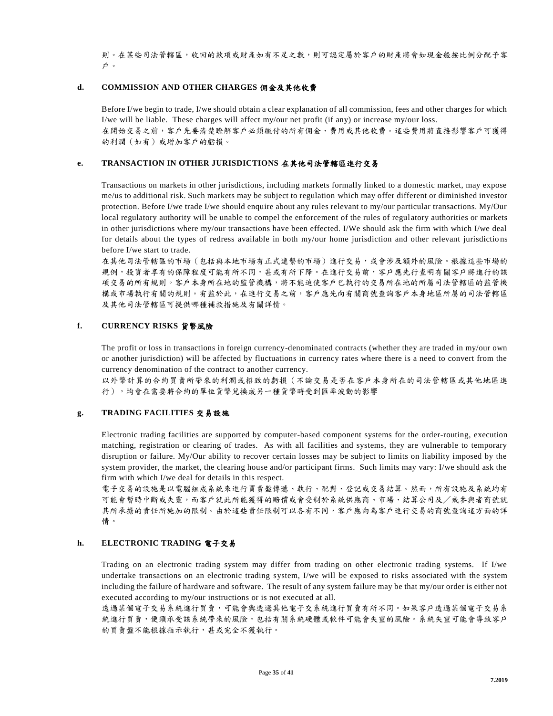則。在某些司法管轄區,收回的款項或財產如有不足之數,則可認定屬於客戶的財產將會如現金般按比例分配予客 戶。

#### **d. COMMISSION AND OTHER CHARGES** 佣金及其他收費

Before I/we begin to trade, I/we should obtain a clear explanation of all commission, fees and other charges for which I/we will be liable. These charges will affect my/our net profit (if any) or increase my/our loss. 在開始交易之前,客戶先要清楚瞭解客戶必須繳付的所有佣金、費用或其他收費。這些費用將直接影響客戶可獲得 的利潤(如有)或增加客戶的虧損。

#### **e. TRANSACTION IN OTHER JURISDICTIONS** 在其他司法管轄區進行交易

Transactions on markets in other jurisdictions, including markets formally linked to a domestic market, may expose me/us to additional risk. Such markets may be subject to regulation which may offer different or diminished investor protection. Before I/we trade I/we should enquire about any rules relevant to my/our particular transactions. My/Our local regulatory authority will be unable to compel the enforcement of the rules of regul atory authorities or markets in other jurisdictions where my/our transactions have been effected. I/We should ask the firm with which I/we deal for details about the types of redress available in both my/our home jurisdiction and other relevant jurisdictio ns before I/we start to trade.

在其他司法管轄區的市場(包括與本地市場有正式連繫的市場)進行交易,或會涉及額外的風險。根據這些市場的 規例,投資者享有的保障程度可能有所不同,甚或有所下降。在進行交易前,客戶應先行查明有關客戶將進行的該 項交易的所有規則。客戶本身所在地的監管機構,將不能迫使客戶已執行的交易所在地的所屬司法管轄區的監管機 構或市場執行有關的規則。有監於此,在進行交易之前,客戶應先向有關商號查詢客戶本身地區所屬的司法管轄區 及其他司法管轄區可提供哪種補救措施及有關詳情。

#### **f. CURRENCY RISKS** 貨幣風險

The profit or loss in transactions in foreign currency-denominated contracts (whether they are traded in my/our own or another jurisdiction) will be affected by fluctuations in currency rates where there is a need to convert from the currency denomination of the contract to another currency.

以外幣計算的合約買賣所帶來的利潤或招致的虧損(不論交易是否在客戶本身所在的司法管轄區或其他地區進 行),均會在需要將合約的單位貨幣兌換成另一種貨幣時受到匯率波動的影響

## **g. TRADING FACILITIES** 交易設施

Electronic trading facilities are supported by computer-based component systems for the order-routing, execution matching, registration or clearing of trades. As with all facilities and systems, they are vulnerable to temporary disruption or failure. My/Our ability to recover certain losses may be subject to limits on liability imposed by the system provider, the market, the clearing house and/or participant firms. Such limits may vary: I/we should ask the firm with which I/we deal for details in this respect.

電子交易的設施是以電腦組成系統來進行買賣盤傳遞、執行、配對、登記或交易結算。然而,所有設施及系統均有 可能會暫時中斷或失靈,而客戶就此所能獲得的賠償或會受制於系統供應商、市場、結算公司及/或參與者商號就 其所承擔的責任所施加的限制。由於這些責任限制可以各有不同,客戶應向為客戶進行交易的商號查詢這方面的詳 情。

#### **h. ELECTRONIC TRADING** 電子交易

Trading on an electronic trading system may differ from trading on other electronic trading systems. If I/we undertake transactions on an electronic trading system, I/we will be exposed to risks associated with the system including the failure of hardware and software. The result of any system failure may be that my/our order is either not executed according to my/our instructions or is not executed at all.

透過某個電子交易系統進行買賣,可能會與透過其他電子交系統進行買賣有所不同。如果客戶透過某個電子交易系 統進行買賣,便須承受該系統帶來的風險,包括有關系統硬體或軟件可能會失靈的風險。系統失靈可能會導致客戶 的買賣盤不能根據指示執行,甚或完全不獲執行。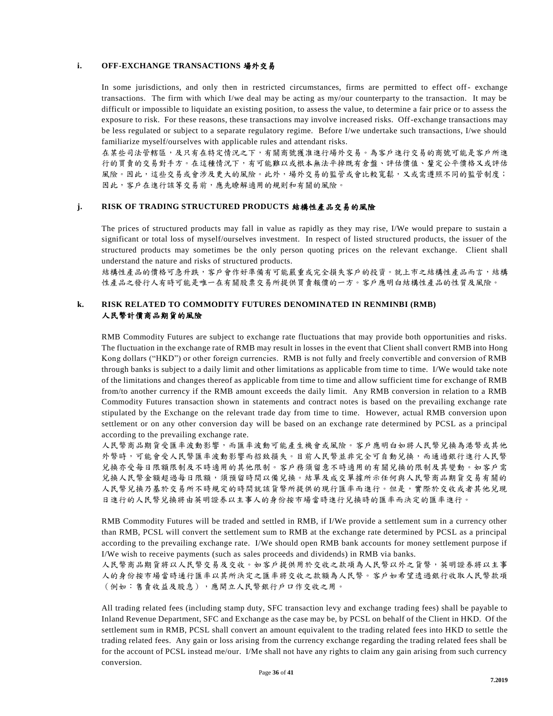#### **i. OFF-EXCHANGE TRANSACTIONS** 場外交易

In some jurisdictions, and only then in restricted circumstances, firms are permitted to effect off- exchange transactions. The firm with which I/we deal may be acting as my/our counterparty to the transaction. It may be difficult or impossible to liquidate an existing position, to assess the value, to determine a fair price or to assess the exposure to risk. For these reasons, these transactions may involve increased risks. Off-exchange transactions may be less regulated or subject to a separate regulatory regime. Before I/we undertake such transactions, I/we should familiarize myself/ourselves with applicable rules and attendant risks.

在某些司法管轄區,及只有在特定情況之下,有關商號獲准進行場外交易。為客戶進行交易的商號可能是客戶所進 行的買賣的交易對手方。在這種情況下,有可能難以或根本無法平掉既有倉盤、評估價值、釐定公平價格又或評估 風險。因此,這些交易或會沙及更大的風險。此外,場外交易的監管或會比較寬鬆,又或需遵照不同的監管制度; 因此,客戶在進行該等交易前,應先瞭解適用的規則和有關的風險。

#### **j. RISK OF TRADING STRUCTURED PRODUCTS** 結構性產品交易的風險

The prices of structured products may fall in value as rapidly as they may rise, I/We would prepare to sustain a significant or total loss of myself/ourselves investment. In respect of listed structured products, the issuer of the structured products may sometimes be the only person quoting prices on the relevant exchange. Client shall understand the nature and risks of structured products.

結構性產品的價格可急升跌,客戶會作好準備有可能嚴重或完全損失客戶的投資。就上市之結構性產品而言,結構 性產品之發行人有時可能是唯一在有關股票交易所提供買賣報價的一方。客戶應明白結構性產品的性質及風險。

#### **k. RISK RELATED TO COMMODITY FUTURES DENOMINATED IN RENMINBI (RMB)** 人民幣計價商品期貨的風險

RMB Commodity Futures are subject to exchange rate fluctuations that may provide both opportunities and risks. The fluctuation in the exchange rate of RMB may result in losses in the event that Client shall convert RMB into Hong Kong dollars ("HKD") or other foreign currencies. RMB is not fully and freely convertible and conversion of RMB through banks is subject to a daily limit and other limitations as applicable from time to time. I/We would take note of the limitations and changes thereof as applicable from time to time and allow sufficient time for exchange of RMB from/to another currency if the RMB amount exceeds the daily limit. Any RMB conversion in relation to a RMB Commodity Futures transaction shown in statements and contract notes is based on the prevailing exchange rate stipulated by the Exchange on the relevant trade day from time to time. However, actual RMB conversion upon settlement or on any other conversion day will be based on an exchange rate determined by PCSL as a principal according to the prevailing exchange rate.

人民幣商品期貨受匯率波動影響,而匯率波動可能產生機會或風險。客戶應明白如將人民幣兌換為港幣或其他 外幣時,可能會受人民幣匯率波動影響而招致損失。目前人民幣並非完全可自動兒換,而通過銀行進行人民幣 兌換亦受每日限額限制及不時適用的其他限制。客戶務須留意不時適用的有關兌換的限制及其變動。如客戶需 兌換人民幣金額超過每日限額,須預留時間以備兌換。結單及成交單據所示任何與人民幣商品期貨交易有關的 人民幣兌換乃基於交易所不時規定的時間就該貨幣所提供的現行匯率而進行。但是,實際於交收或者其他兌現 日進行的人民幣兌換將由英明證券以主事人的身份按市場當時進行兌換時的匯率而決定的匯率進行。

RMB Commodity Futures will be traded and settled in RMB, if I/We provide a settlement sum in a currency other than RMB, PCSL will convert the settlement sum to RMB at the exchange rate determined by PCSL as a principal according to the prevailing exchange rate. I/We should open RMB bank accounts for money settlement purpose if I/We wish to receive payments (such as sales proceeds and dividends) in RMB via banks.

人民幣商品期貨將以人民幣交易及交收。如客戶提供用於交收之款項為人民幣以外之貨幣,英明證券將以主事 人的身份按市場當時通行匯率以其所決定之匯率將交收之款額為人民幣。客戶如希望透過銀行收取人民幣款項 (例如︰售賣收益及股息),應開立人民幣銀行戶口作交收之用。

All trading related fees (including stamp duty, SFC transaction levy and exchange trading fees) shall be payable to Inland Revenue Department, SFC and Exchange as the case may be, by PCSL on behalf of the Client in HKD. Of the settlement sum in RMB, PCSL shall convert an amount equivalent to the trading related fees into HKD to settle the trading related fees. Any gain or loss arising from the currency exchange regarding the trading related fees shall be for the account of PCSL instead me/our. I/Me shall not have any rights to claim any gain arising from such currency conversion.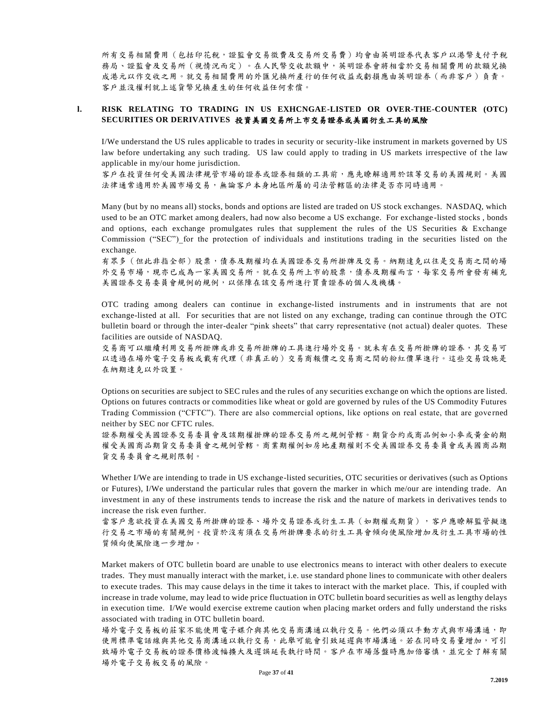所有交易相關費用(包括印花稅,證監會交易徵費及交易所交易費)均會由英明證券代表客戶以港幣支付予稅 務局、證監會及交易所(視情況而定)。在人民幣交收款額中,英明證券會將相當於交易相關費用的款額兌換 成港元以作交收之用。就交易相關費用的外匯兌換所產行的任何收益或虧損應由英明證券(而非客戶)負責。 客戶並沒權利就上述貨幣兌換產生的任何收益任何索償。

#### **l. RISK RELATING TO TRADING IN US EXHCNGAE-LISTED OR OVER-THE-COUNTER (OTC) SECURITIES OR DERIVATIVES** 投資美國交易所上市交易證券或美國衍生工具的風險

I/We understand the US rules applicable to trades in security or security-like instrument in markets governed by US law before undertaking any such trading. US law could apply to trading in US markets irrespective of the law applicable in my/our home jurisdiction.

客戶在投資任何受美國法律規管市場的證券或證券相類的工具前,應先瞭解適用於該等交易的美國規則。美國 法律通常適用於美國市場交易,無論客戶本身地區所屬的司法管轄區的法律是否亦同時適用。

Many (but by no means all) stocks, bonds and options are listed are traded on US stock exchanges. NASDAQ, which used to be an OTC market among dealers, had now also become a US exchange. For exchange -listed stocks , bonds and options, each exchange promulgates rules that supplement the rules of the US Securities & Exchange Commission ("SEC") for the protection of individuals and institutions trading in the securities listed on the exchange.

有眾多(但此非指全部)股票,債券及期權均在美國證券交易所掛牌及交易。納期達克以往是交易商之間的場 外交易市場,現亦已成為一家美國交易所。就在交易所上市的股票,債券及期權而言,每家交易所會發有補充 美國證券交易委員會規例的規例,以保障在該交易所進行買賣證券的個人及機構。

OTC trading among dealers can continue in exchange-listed instruments and in instruments that are not exchange-listed at all. For securities that are not listed on any exchange, trading can continue through the OTC bulletin board or through the inter-dealer "pink sheets" that carry representative (not actual) dealer quotes. These facilities are outside of NASDAQ.

交易商可以繼續利用交易所掛牌或非交易所掛牌的工具進行場外交易。就未有在交易所掛牌的證券,其交易可 以透過在場外電子交易板或載有代理(非真正的)交易商報價之交易商之間的粉紅價單進行。這些交易設施是 在納期達克以外設置。

Options on securities are subject to SEC rules and the rules of any securities exchange on which the options are listed. Options on futures contracts or commodities like wheat or gold are governed by rules of the US Commodity Futures Trading Commission ("CFTC"). There are also commercial options, like options on real estate, that are gove rned neither by SEC nor CFTC rules.

證券期權受美國證券交易委員會及該期權掛牌的證券交易所之規例管轄。期貨合約或商品例如小麥或黃金的期 權受美國商品期貨交易委員會之規例管轄。商業期權例如房地產期權則不受美國證券交易委員會或美國商品期 貨交易委員會之規則限制。

Whether I/We are intending to trade in US exchange-listed securities, OTC securities or derivatives (such as Options or Futures), I/We understand the particular rules that govern the marker in which me/our are intending trade. An investment in any of these instruments tends to increase the risk and the nature of markets in derivatives tends to increase the risk even further.

當客戶意欲投資在美國交易所掛牌的證券、場外交易證券或衍生工具(如期權或期貨),客戶應瞭解監管擬進 行交易之市場的有關規例。投資於沒有須在交易所掛牌要求的衍生工具會傾向使風險增加及衍生工具市場的性 質傾向使風險進一步增加。

Market makers of OTC bulletin board are unable to use electronics means to interact with other dealers to execute trades. They must manually interact with the market, i.e. use standard phone lines to communicate with other dealers to execute trades. This may cause delays in the time it takes to interact with the market place. This, if coupled with increase in trade volume, may lead to wide price fluctuation in OTC bulletin board securities as well as lengthy delays in execution time. I/We would exercise extreme caution when placing market orders and fully understand the risks associated with trading in OTC bulletin board.

場外電子交易板的莊家不能使用電子媒介與其他交易商溝通以執行交易。他們必須以手動方式與市場溝通,即 使用標準電話線與其他交易商溝通以執行交易,比舉可能會引致延遲與市場溝通。若在同時交易量增加,可引 致場外電子交易板的證券價格波幅橫大及遲誤延長執行時間。客戶在市場落盤時應加倍審慎,並完全了解有關 場外電子交易板交易的風險。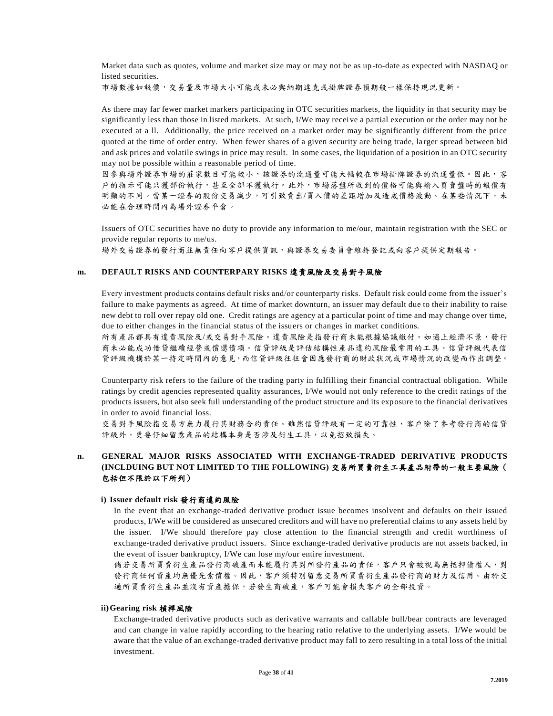Market data such as quotes, volume and market size may or may not be as up-to-date as expected with NASDAQ or listed securities.

市場數據如報價,交易量及市場大小可能或未必與納期達克或掛牌證券預期般一樣保持現況更新。

As there may far fewer market markers participating in OTC securities markets, the liquidity in that security may be significantly less than those in listed markets. At such, I/We may receive a partial execution or the order may not be executed at a ll. Additionally, the price received on a market order may be significantly different from the price quoted at the time of order entry. When fewer shares of a given security are being trade, la rger spread between bid and ask prices and volatile swings in price may result. In some cases, the liquidation of a position in an OTC security may not be possible within a reasonable period of time.

因參與場外證券市場的莊家數目可能較小,該證券的流通量可能大幅較在市場掛牌證券的流通量低。因此,客 戶的指示可能只獲部份執行,甚至全部不獲執行。此外,市場落盤所收到的價格可能與輸入買賣盤時的報價有 明顯的不同。當某一證券的股份交易減少,可引致賣出/買入價的差距增加及造成價格波動。在某些情況下,未 必能在合理時間內為場外證券平倉。

Issuers of OTC securities have no duty to provide any information to me/our, maintain registration with the SEC or provide regular reports to me/us.

場外交易證券的發行商並無責任向客戶提供資訊,與證券交易委員會維持登記或向客戶提供定期報告。

#### **m. DEFAULT RISKS AND COUNTERPARY RISKS** 違責風險及交易對手風險

Every investment products contains default risks and/or counterparty risks. Default risk could come from the issuer's failure to make payments as agreed. At time of market downturn, an issuer may default due to their inability to raise new debt to roll over repay old one. Credit ratings are agency at a particular point of time and may change over time, due to either changes in the financial status of the issuers or changes in market conditions.

所有產品都具有違責風險及/或交易對手風險。違責風險是指發行商未能根據協議繳付。如遇上經濟不景,發行 商未必能成功借貸繼續經營或償還債項。信貸評級是評估結構性產品違約風險最常用的工具。信貸評級代表信 貸評級機構於某一持定時間內的意見,而信貸評級往往會因應發行商的財政狀況或市場情況的改變而作出調整。

Counterparty risk refers to the failure of the trading party in fulfilling their financial contractual obligation. While ratings by credit agencies represented quality assurances, I/We would not only reference to the credit ratings of the products issuers, but also seek full understanding of the product structure and its exposure to the financial derivatives in order to avoid financial loss.

交易對手風險指交易方無力履行其財務合約責任。雖然信貸評級有一定的可靠性,客戶除了參考發行商的信貸 評級外,更要仔細留意產品的結構本身是否涉及衍生工具,以免招致損失。

## **n. GENERAL MAJOR RISKS ASSOCIATED WITH EXCHANGE-TRADED DERIVATIVE PRODUCTS (INCLDUING BUT NOT LIMITED TO THE FOLLOWING)** 交易所買賣衍生工具產品附帶的一般主要風險( 包括但不限於以下所列)

#### **i) Issuer default risk** 發行商違約風險

In the event that an exchange-traded derivative product issue becomes insolvent and defaults on their issued products, I/We will be considered as unsecured creditors and will have no preferential claims to any assets held by the issuer. I/We should therefore pay close attention to the financial strength and credit worthiness of exchange-traded derivative product issuers. Since exchange-traded derivative products are not assets backed, in the event of issuer bankruptcy, I/We can lose my/our entire investment.

倘若交易所買賣衍生產品發行商破產而未能履行其對所發行產品的責任,客戶只會被視為無抵押債權人,對 發行商任何資產均無優先索償權。因此,客戶須特別留意交易所買賣衍生產品發行商的財力及信用。由於交 通所買賣衍生產品並沒有資產擔保,若發生商破產,客戶可能會損失客戶的全部投資。

#### **ii)Gearing risk** 槓桿風險

Exchange-traded derivative products such as derivative warrants and callable bull/bear contracts are leveraged and can change in value rapidly according to the hearing ratio relative to the underlying assets. I/We would be aware that the value of an exchange-traded derivative product may fall to zero resulting in a total loss of the initial investment.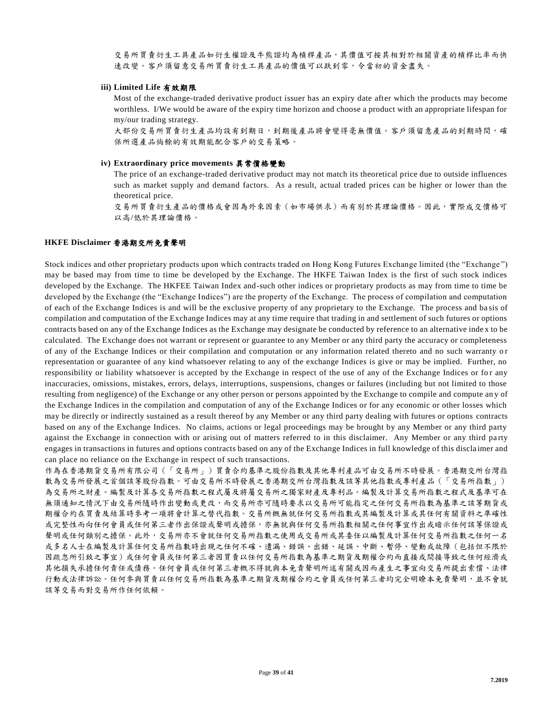交易所買賣衍生工具產品如衍生權證及牛熊證均為槓桿產品,其價值可按其相對於相關資產的槓桿比率而快 速改變。客戶須留意交易所買賣衍生工具產品的價值可以趺到零,令當初的資金盡失。

#### **iii) Limited Life** 有效期限

Most of the exchange-traded derivative product issuer has an expiry date after which the products may become worthless. I/We would be aware of the expiry time horizon and choose a product with an appropriate lifespan for my/our trading strategy.

大部份交易所買賣衍生產品均設有到期日,到期後產品將會變得亳無價值。客戶須留意產品的到期時間,確 保所選產品倘餘的有效期能配合客戶的交易策略。

#### **iv) Extraordinary price movements** 異常價格變動

The price of an exchange-traded derivative product may not match its theoretical price due to outside influences such as market supply and demand factors. As a result, actual traded prices can be higher or lower than the theoretical price.

交易所買賣衍生產品的價格或會因為外來因素(如市場供求)而有別於其理論價格。因此,實際成交價格可 以高/低於其理論價格。

#### **HKFE Disclaimer** 香港期交所免責聲明

Stock indices and other proprietary products upon which contracts traded on Hong Kong Futures Exchange limited (the "Exchange ") may be based may from time to time be developed by the Exchange. The HKFE Taiwan Index is the first of such stock indices developed by the Exchange. The HKFEE Taiwan Index and-such other indices or proprietary products as may from time to time be developed by the Exchange (the "Exchange Indices") are the property of the Exchange. The process of compilation and computation of each of the Exchange Indices is and will be the exclusive property of any proprietary to the Exchange. The process and ba sis of compilation and computation of the Exchange Indices may at any time require that trading in and settlement of such futures or options contracts based on any of the Exchange Indices as the Exchange may designate be conducted by reference to an alternative inde x to be calculated. The Exchange does not warrant or represent or guarantee to any Member or any third party the accuracy or completeness of any of the Exchange Indices or their compilation and computation or any information related thereto and no such warranty o r representation or guarantee of any kind whatsoever relating to any of the exchange Indices is give or may be implied. Further, no responsibility or liability whatsoever is accepted by the Exchange in respect of the use of any of the Exchange Indices or for any inaccuracies, omissions, mistakes, errors, delays, interruptions, suspensions, changes or failures (including but not limited to those resulting from negligence) of the Exchange or any other person or persons appointed by the Exchange to compile and compute an y of the Exchange Indices in the compilation and computation of any of the Exchange Indices or for any economic or other losses which may be directly or indirectly sustained as a result thereof by any Member or any third party dealing with futures or options contracts based on any of the Exchange Indices. No claims, actions or legal proceedings may be brought by any Member or any third party against the Exchange in connection with or arising out of matters referred to in this disclaimer. Any Member or any third party engages in transactions in futures and options contracts based on any of the Exchange Indices in full knowledge of this discla imer and can place no reliance on the Exchange in respect of such transactions.

作為在香港期貨交易所有限公司(「交易所」)買賣合約基準之股份指數及其他專利產品可由交易所不時發展。香港期交所台灣指 數為交易所發展之首個該等股份指數。可由交易所不時發展之香港期交所台灣指數及該等其他指數或專利產品(「交易所指數」) 為交易所之財產。編製及計算各交易所指數之程式屬及將屬交易所之獨家財產及專利品。編製及計算交易所指數之程式及基準可在 無須通知之情況下由交易所隨時作出變動或更改,而交易所亦可隨時要求以交易所可能指定之任何交易所指數為基準之該等期貨或 期權合約在買賣及結算時參考一項將會計算之替代指數。交易所概無就任何交易所指數或其編製及計算或其任何有關資料之準確性 或完整性而向任何會員或任何第三者作出保證或聲明或擔保,亦無就與任何交易所指數相關之任何事宜作出或暗示任何該等保證或 聲明或任何類別之擔保。此外,交易所亦不會就任何交易所指數之使用或交易所或其委任以編製及計算任何交易所指數之任何一名 或多名人士在編製及計算任何交易所指數時出現之任何不確、遺漏、錯誤、出錯、延誤、中斷、暫停、變動或故障(包括但不限於 因疏忽所引致之事宜)或任何會員或任何第三者因買賣以任何交易所指數為基準之期貨及期權合約而直接或間接導致之任何經濟或 其他損失承擔任何責任或債務。任何會員或任何第三者概不得就與本免責聲明所述有關或因而產生之事宜向交易所提出索償、法律 行動或法律訴訟。任何參與買賣以任何交易所指數為基準之期貨及期權合約之會員或任何第三者均完全明瞭本免責聲明,並不會就 該等交易而對交易所作任何依賴。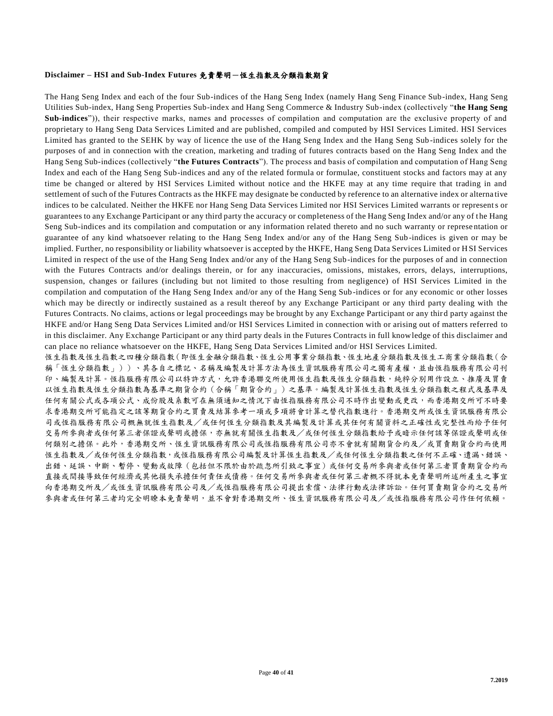#### **Disclaimer – HSI and Sub-Index Futures** 免責聲明-恆生指數及分類指數期貨

The Hang Seng Index and each of the four Sub-indices of the Hang Seng Index (namely Hang Seng Finance Sub-index, Hang Seng Utilities Sub-index, Hang Seng Properties Sub-index and Hang Seng Commerce & Industry Sub-index (collectively "**the Hang Seng Sub-indices**")), their respective marks, names and processes of compilation and computation are the exclusive property of and proprietary to Hang Seng Data Services Limited and are published, compiled and computed by HSI Services Limited. HSI Services Limited has granted to the SEHK by way of licence the use of the Hang Seng Index and the Hang Seng Sub -indices solely for the purposes of and in connection with the creation, marketing and trading of futures contracts based on the Hang Seng Index and the Hang Seng Sub-indices (collectively "**the Futures Contracts**"). The process and basis of compilation and computation of Hang Seng Index and each of the Hang Seng Sub-indices and any of the related formula or formulae, constituent stocks and factors may at any time be changed or altered by HSI Services Limited without notice and the HKFE may at any time require that trading in and settlement of such of the Futures Contracts as the HKFE may designate be conducted by reference to an alternative index or alterna tive indices to be calculated. Neither the HKFE nor Hang Seng Data Services Limited nor HSI Services Limited warrants or represents or guarantees to any Exchange Participant or any third party the accuracy or completeness of the Hang Seng Index and/or any of the Hang Seng Sub-indices and its compilation and computation or any information related thereto and no such warranty or represe ntation or guarantee of any kind whatsoever relating to the Hang Seng Index and/or any of the Hang Seng Sub -indices is given or may be implied. Further, no responsibility or liability whatsoever is accepted by the HKFE, Hang Seng Data Services Limited or H SI Services Limited in respect of the use of the Hang Seng Index and/or any of the Hang Seng Sub -indices for the purposes of and in connection with the Futures Contracts and/or dealings therein, or for any inaccuracies, omissions, mistakes, errors, delays, interruptions, suspension, changes or failures (including but not limited to those resulting from negligence) of HSI Services Limited in the compilation and computation of the Hang Seng Index and/or any of the Hang Seng Sub -indices or for any economic or other losses which may be directly or indirectly sustained as a result thereof by any Exchange Participant or any third party dealing with the Futures Contracts. No claims, actions or legal proceedings may be brought by any Exchange Participant or any thir d party against the HKFE and/or Hang Seng Data Services Limited and/or HSI Services Limited in connection with or arising out of matters referred to in this disclaimer. Any Exchange Participant or any third party deals in the Futures Contracts in full knowledge of this disclaimer and can place no reliance whatsoever on the HKFE, Hang Seng Data Services Limited and/or HSI Services Limited.

恆生指數及恆生指數之四種分類指數(即恆生金融分類指數、恆生公用事業分類指數、恆生地產分類指數及恆生工商業分類指數(合 稱「恆生分類指數」))、其各自之標記、名稱及編製及計算方法為恆生資訊服務有限公司之獨有產權,並由恆指服務有限公司刊 印、編製及計算。恆指服務有限公司以特許方式,允許香港聯交所使用恆生指數及恆生分類指數,純粹分別用作設立、推廣及買賣 以恆生指數及恆生分類指數為基準之期貨合約(合稱「期貨合約」)之基準。編製及計算恆生指數及恆生分類指數之程式及基準及 任何有關公式或各項公式、成份股及系數可在無須通知之情況下由恆指服務有限公司不時作出變動或更改,而香港期交所可不時要 求香港期交所可能指定之該等期貨合約之買賣及結算參考一項或多項將會計算之替代指數進行。香港期交所或恆生資訊服務有限公 司或恆指服務有限公司概無就恆生指數及/或任何恆生分類指數及其編製及計算或其任何有關資料之正確性或完整性而給予任何 交易所參與者或任何第三者保證或聲明或擔保,亦無就有關恆生指數及/或任何恆生分類指數給予或暗示任何該等保證或聲明或任 何類別之擔保。此外,香港期交所、恆生資訊服務有限公司或恆指服務有限公司亦不會就有關期貨合約及/或買賣期貨合約而使用 恆生指數及/或任何恆生分類指數,或恆指服務有限公司編製及計算恆生指數及/或任何恆生分類指數之任何不正確、遺漏、錯誤、 出錯、延誤、中斷、暫停、變動或故障(包括但不限於由於疏忽所引致之事宜)或任何交易所參與者或任何第三者買賣期貨合約而 直接或間接導致任何經濟或其他損失承擔任何責任或債務。任何交易所參與者或任何第三者概不得就本免責聲明所述所產生之事宜 向香港期交所及/或恆生資訊服務有限公司及/或恆指服務有限公司提出索償、法律行動或法律訴訟。任何買賣期貨合約之交易所 參與者或任何第三者均完全明瞭本免責聲明,並不會對香港期交所、恆生資訊服務有限公司及/或恆指服務有限公司作任何依賴。